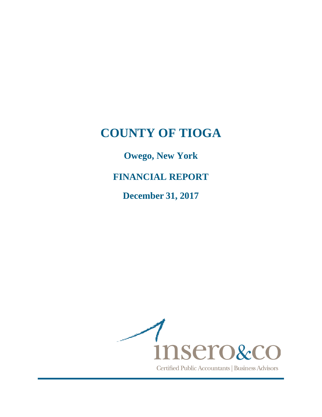**Owego, New York**

**FINANCIAL REPORT**

**December 31, 2017**

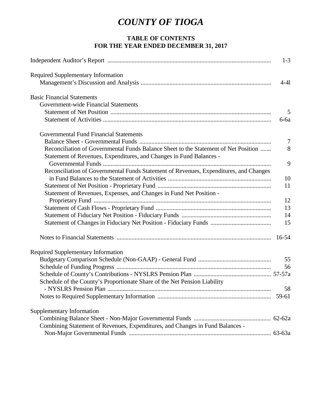## **TABLE OF CONTENTS FOR THE YEAR ENDED DECEMBER 31, 2017**

|                                                                                       | $1-3$  |
|---------------------------------------------------------------------------------------|--------|
| <b>Required Supplementary Information</b>                                             |        |
|                                                                                       | $4-41$ |
| <b>Basic Financial Statements</b>                                                     |        |
| Government-wide Financial Statements                                                  |        |
|                                                                                       | 5      |
|                                                                                       | $6-6a$ |
| Governmental Fund Financial Statements                                                |        |
|                                                                                       | $\tau$ |
| Reconciliation of Governmental Funds Balance Sheet to the Statement of Net Position   | 8      |
| Statement of Revenues, Expenditures, and Changes in Fund Balances -                   |        |
|                                                                                       | 9      |
| Reconciliation of Governmental Funds Statement of Revenues, Expenditures, and Changes |        |
|                                                                                       | 10     |
|                                                                                       | 11     |
| Statement of Revenues, Expenses, and Changes in Fund Net Position -                   |        |
|                                                                                       | 12     |
|                                                                                       | 13     |
|                                                                                       | 14     |
|                                                                                       | 15     |
|                                                                                       | 16-54  |
| <b>Required Supplementary Information</b>                                             |        |
|                                                                                       | 55     |
|                                                                                       | 56     |
|                                                                                       |        |
| Schedule of the County's Proportionate Share of the Net Pension Liability             |        |
|                                                                                       | 58     |
|                                                                                       |        |
| Supplementary Information                                                             |        |
|                                                                                       |        |
| Combining Statement of Revenues, Expenditures, and Changes in Fund Balances -         |        |
|                                                                                       |        |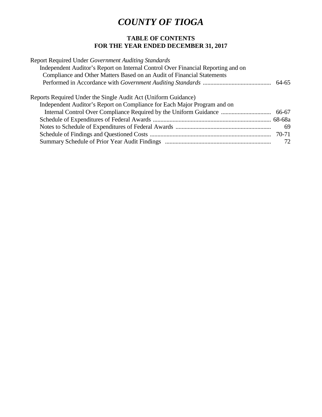## **TABLE OF CONTENTS FOR THE YEAR ENDED DECEMBER 31, 2017**

| Report Required Under Government Auditing Standards                              |       |
|----------------------------------------------------------------------------------|-------|
| Independent Auditor's Report on Internal Control Over Financial Reporting and on |       |
| Compliance and Other Matters Based on an Audit of Financial Statements           |       |
|                                                                                  |       |
| Reports Required Under the Single Audit Act (Uniform Guidance)                   |       |
| Independent Auditor's Report on Compliance for Each Major Program and on         |       |
|                                                                                  |       |
|                                                                                  |       |
|                                                                                  | 69    |
|                                                                                  | 70-71 |
|                                                                                  | 72    |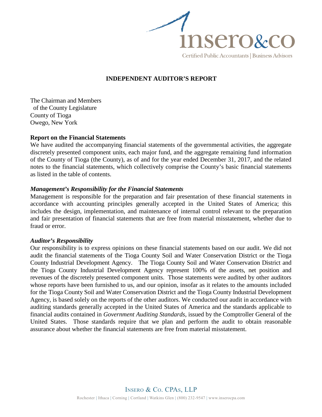

## **INDEPENDENT AUDITOR'S REPORT**

The Chairman and Members of the County Legislature County of Tioga Owego, New York

#### **Report on the Financial Statements**

We have audited the accompanying financial statements of the governmental activities, the aggregate discretely presented component units, each major fund, and the aggregate remaining fund information of the County of Tioga (the County), as of and for the year ended December 31, 2017, and the related notes to the financial statements, which collectively comprise the County's basic financial statements as listed in the table of contents.

#### *Management's Responsibility for the Financial Statements*

Management is responsible for the preparation and fair presentation of these financial statements in accordance with accounting principles generally accepted in the United States of America; this includes the design, implementation, and maintenance of internal control relevant to the preparation and fair presentation of financial statements that are free from material misstatement, whether due to fraud or error.

#### *Auditor's Responsibility*

Our responsibility is to express opinions on these financial statements based on our audit. We did not audit the financial statements of the Tioga County Soil and Water Conservation District or the Tioga County Industrial Development Agency. The Tioga County Soil and Water Conservation District and the Tioga County Industrial Development Agency represent 100% of the assets, net position and revenues of the discretely presented component units. Those statements were audited by other auditors whose reports have been furnished to us, and our opinion, insofar as it relates to the amounts included for the Tioga County Soil and Water Conservation District and the Tioga County Industrial Development Agency, is based solely on the reports of the other auditors. We conducted our audit in accordance with auditing standards generally accepted in the United States of America and the standards applicable to financial audits contained in *Government Auditing Standards*, issued by the Comptroller General of the United States. Those standards require that we plan and perform the audit to obtain reasonable assurance about whether the financial statements are free from material misstatement.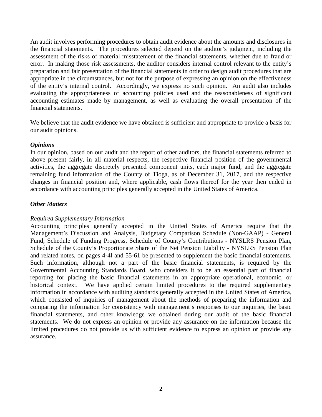An audit involves performing procedures to obtain audit evidence about the amounts and disclosures in the financial statements. The procedures selected depend on the auditor's judgment, including the assessment of the risks of material misstatement of the financial statements, whether due to fraud or error. In making those risk assessments, the auditor considers internal control relevant to the entity's preparation and fair presentation of the financial statements in order to design audit procedures that are appropriate in the circumstances, but not for the purpose of expressing an opinion on the effectiveness of the entity's internal control. Accordingly, we express no such opinion. An audit also includes evaluating the appropriateness of accounting policies used and the reasonableness of significant accounting estimates made by management, as well as evaluating the overall presentation of the financial statements.

We believe that the audit evidence we have obtained is sufficient and appropriate to provide a basis for our audit opinions.

#### *Opinions*

In our opinion, based on our audit and the report of other auditors, the financial statements referred to above present fairly, in all material respects, the respective financial position of the governmental activities, the aggregate discretely presented component units, each major fund, and the aggregate remaining fund information of the County of Tioga, as of December 31, 2017, and the respective changes in financial position and, where applicable, cash flows thereof for the year then ended in accordance with accounting principles generally accepted in the United States of America.

#### *Other Matters*

#### *Required Supplementary Information*

Accounting principles generally accepted in the United States of America require that the Management's Discussion and Analysis, Budgetary Comparison Schedule (Non-GAAP) - General Fund, Schedule of Funding Progress, Schedule of County's Contributions - NYSLRS Pension Plan, Schedule of the County's Proportionate Share of the Net Pension Liability - NYSLRS Pension Plan and related notes, on pages 4-4l and 55-61 be presented to supplement the basic financial statements. Such information, although not a part of the basic financial statements, is required by the Governmental Accounting Standards Board, who considers it to be an essential part of financial reporting for placing the basic financial statements in an appropriate operational, economic, or historical context. We have applied certain limited procedures to the required supplementary information in accordance with auditing standards generally accepted in the United States of America, which consisted of inquiries of management about the methods of preparing the information and comparing the information for consistency with management's responses to our inquiries, the basic financial statements, and other knowledge we obtained during our audit of the basic financial statements. We do not express an opinion or provide any assurance on the information because the limited procedures do not provide us with sufficient evidence to express an opinion or provide any assurance.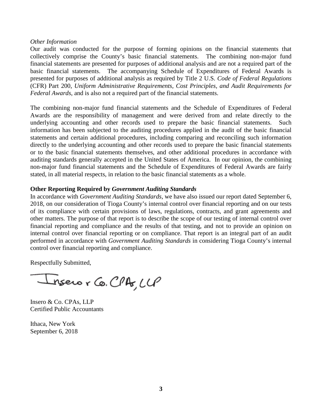#### *Other Information*

Our audit was conducted for the purpose of forming opinions on the financial statements that collectively comprise the County's basic financial statements. The combining non-major fund financial statements are presented for purposes of additional analysis and are not a required part of the basic financial statements. The accompanying Schedule of Expenditures of Federal Awards is presented for purposes of additional analysis as required by Title 2 U.S. *Code of Federal Regulations* (CFR) Part 200, *Uniform Administrative Requirements, Cost Principles, and Audit Requirements for Federal Awards*, and is also not a required part of the financial statements.

The combining non-major fund financial statements and the Schedule of Expenditures of Federal Awards are the responsibility of management and were derived from and relate directly to the underlying accounting and other records used to prepare the basic financial statements. Such information has been subjected to the auditing procedures applied in the audit of the basic financial statements and certain additional procedures, including comparing and reconciling such information directly to the underlying accounting and other records used to prepare the basic financial statements or to the basic financial statements themselves, and other additional procedures in accordance with auditing standards generally accepted in the United States of America. In our opinion, the combining non-major fund financial statements and the Schedule of Expenditures of Federal Awards are fairly stated, in all material respects, in relation to the basic financial statements as a whole.

### **Other Reporting Required by** *Government Auditing Standards*

In accordance with *Government Auditing Standards*, we have also issued our report dated September 6, 2018, on our consideration of Tioga County's internal control over financial reporting and on our tests of its compliance with certain provisions of laws, regulations, contracts, and grant agreements and other matters. The purpose of that report is to describe the scope of our testing of internal control over financial reporting and compliance and the results of that testing, and not to provide an opinion on internal control over financial reporting or on compliance. That report is an integral part of an audit performed in accordance with *Government Auditing Standards* in considering Tioga County's internal control over financial reporting and compliance.

Respectfully Submitted,

Insero r Co. CPA, LLP

Insero & Co. CPAs, LLP Certified Public Accountants

Ithaca, New York September 6, 2018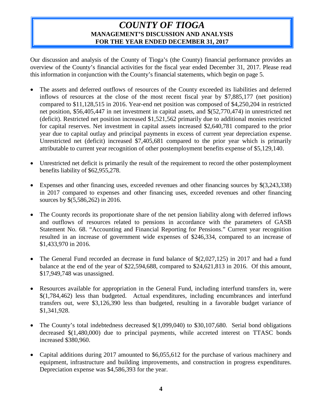Our discussion and analysis of the County of Tioga's (the County) financial performance provides an overview of the County's financial activities for the fiscal year ended December 31, 2017. Please read this information in conjunction with the County's financial statements, which begin on page 5.

- The assets and deferred outflows of resources of the County exceeded its liabilities and deferred inflows of resources at the close of the most recent fiscal year by \$7,885,177 (net position) compared to \$11,128,515 in 2016. Year-end net position was composed of \$4,250,204 in restricted net position, \$56,405,447 in net investment in capital assets, and \$(52,770,474) in unrestricted net (deficit). Restricted net position increased \$1,521,562 primarily due to additional monies restricted for capital reserves. Net investment in capital assets increased \$2,640,781 compared to the prior year due to capital outlay and principal payments in excess of current year depreciation expense. Unrestricted net (deficit) increased \$7,405,681 compared to the prior year which is primarily attributable to current year recognition of other postemployment benefits expense of \$5,129,140.
- Unrestricted net deficit is primarily the result of the requirement to record the other postemployment benefits liability of \$62,955,278.
- Expenses and other financing uses, exceeded revenues and other financing sources by \$(3,243,338) in 2017 compared to expenses and other financing uses, exceeded revenues and other financing sources by \$(5,586,262) in 2016.
- The County records its proportionate share of the net pension liability along with deferred inflows and outflows of resources related to pensions in accordance with the parameters of GASB Statement No. 68. "Accounting and Financial Reporting for Pensions." Current year recognition resulted in an increase of government wide expenses of \$246,334, compared to an increase of \$1,433,970 in 2016.
- The General Fund recorded an decrease in fund balance of  $\$(2,027,125)$  in 2017 and had a fund balance at the end of the year of \$22,594,688, compared to \$24,621,813 in 2016. Of this amount, \$17,949,748 was unassigned.
- Resources available for appropriation in the General Fund, including interfund transfers in, were \$(1,784,462) less than budgeted. Actual expenditures, including encumbrances and interfund transfers out, were \$3,126,390 less than budgeted, resulting in a favorable budget variance of \$1,341,928.
- The County's total indebtedness decreased  $\$(1,099,040)$  to  $\$30,107,680$ . Serial bond obligations decreased \$(1,480,000) due to principal payments, while accreted interest on TTASC bonds increased \$380,960.
- Capital additions during 2017 amounted to \$6,055,612 for the purchase of various machinery and equipment, infrastructure and building improvements, and construction in progress expenditures. Depreciation expense was \$4,586,393 for the year.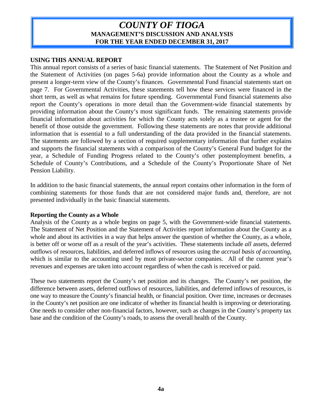### **USING THIS ANNUAL REPORT**

This annual report consists of a series of basic financial statements. The Statement of Net Position and the Statement of Activities (on pages 5-6a) provide information about the County as a whole and present a longer-term view of the County's finances. Governmental Fund financial statements start on page 7. For Governmental Activities, these statements tell how these services were financed in the short term, as well as what remains for future spending. Governmental Fund financial statements also report the County's operations in more detail than the Government-wide financial statements by providing information about the County's most significant funds. The remaining statements provide financial information about activities for which the County acts solely as a trustee or agent for the benefit of those outside the government. Following these statements are notes that provide additional information that is essential to a full understanding of the data provided in the financial statements. The statements are followed by a section of required supplementary information that further explains and supports the financial statements with a comparison of the County's General Fund budget for the year, a Schedule of Funding Progress related to the County's other postemployment benefits, a Schedule of County's Contributions, and a Schedule of the County's Proportionate Share of Net Pension Liability.

In addition to the basic financial statements, the annual report contains other information in the form of combining statements for those funds that are not considered major funds and, therefore, are not presented individually in the basic financial statements.

#### **Reporting the County as a Whole**

Analysis of the County as a whole begins on page 5, with the Government-wide financial statements. The Statement of Net Position and the Statement of Activities report information about the County as a whole and about its activities in a way that helps answer the question of whether the County, as a whole, is better off or worse off as a result of the year's activities. These statements include *all* assets, deferred outflows of resources, liabilities, and deferred inflows of resources using the *accrual basis of accounting*, which is similar to the accounting used by most private-sector companies. All of the current year's revenues and expenses are taken into account regardless of when the cash is received or paid.

These two statements report the County's net position and its changes. The County's net position, the difference between assets, deferred outflows of resources, liabilities, and deferred inflows of resources, is one way to measure the County's financial health, or financial position. Over time, increases or decreases in the County's net position are one indicator of whether its financial health is improving or deteriorating. One needs to consider other non-financial factors, however, such as changes in the County's property tax base and the condition of the County's roads, to assess the overall health of the County.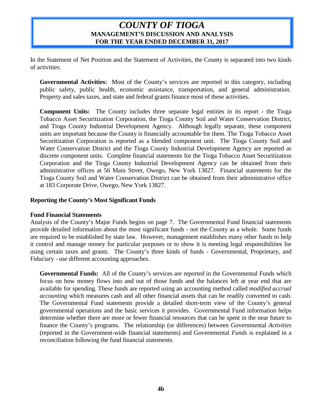In the Statement of Net Position and the Statement of Activities, the County is separated into two kinds of activities:

**Governmental Activities:** Most of the County's services are reported in this category, including public safety, public health, economic assistance, transportation, and general administration. Property and sales taxes, and state and federal grants finance most of these activities.

**Component Units:** The County includes three separate legal entities in its report - the Tioga Tobacco Asset Securitization Corporation, the Tioga County Soil and Water Conservation District, and Tioga County Industrial Development Agency. Although legally separate, these component units are important because the County is financially accountable for them. The Tioga Tobacco Asset Securitization Corporation is reported as a blended component unit. The Tioga County Soil and Water Conservation District and the Tioga County Industrial Development Agency are reported as discrete component units. Complete financial statements for the Tioga Tobacco Asset Securitization Corporation and the Tioga County Industrial Development Agency can be obtained from their administrative offices at 56 Main Street, Owego, New York 13827. Financial statements for the Tioga County Soil and Water Conservation District can be obtained from their administrative office at 183 Corporate Drive, Owego, New York 13827.

### **Reporting the County's Most Significant Funds**

#### **Fund Financial Statements**

Analysis of the County's Major Funds begins on page 7. The Governmental Fund financial statements provide detailed information about the most significant funds - not the County as a whole. Some funds are required to be established by state law. However, management establishes many other funds to help it control and manage money for particular purposes or to show it is meeting legal responsibilities for using certain taxes and grants. The County's three kinds of funds - Governmental, Proprietary, and Fiduciary - use different accounting approaches.

**Governmental Funds:** All of the County's services are reported in the Governmental Funds which focus on how money flows into and out of those funds and the balances left at year end that are available for spending. These funds are reported using an accounting method called *modified accrual accounting* which measures cash and all other financial assets that can be readily converted to cash. The Governmental Fund statements provide a detailed short-term view of the County's general governmental operations and the basic services it provides. Governmental Fund information helps determine whether there are more or fewer financial resources that can be spent in the near future to finance the County's programs. The relationship (or differences) between Governmental *Activities* (reported in the Government-wide financial statements) and Governmental *Funds* is explained in a reconciliation following the fund financial statements.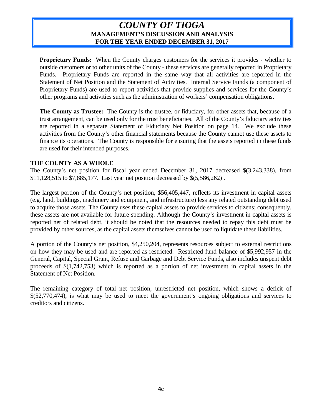**Proprietary Funds:** When the County charges customers for the services it provides - whether to outside customers or to other units of the County - these services are generally reported in Proprietary Funds. Proprietary Funds are reported in the same way that all activities are reported in the Statement of Net Position and the Statement of Activities. Internal Service Funds (a component of Proprietary Funds) are used to report activities that provide supplies and services for the County's other programs and activities such as the administration of workers' compensation obligations.

**The County as Trustee:** The County is the trustee, or fiduciary, for other assets that, because of a trust arrangement, can be used only for the trust beneficiaries. All of the County's fiduciary activities are reported in a separate Statement of Fiduciary Net Position on page 14. We exclude these activities from the County's other financial statements because the County cannot use these assets to finance its operations. The County is responsible for ensuring that the assets reported in these funds are used for their intended purposes.

## **THE COUNTY AS A WHOLE**

The County's net position for fiscal year ended December 31, 2017 decreased \$(3,243,338), from \$11,128,515 to \$7,885,177. Last year net position decreased by \$(5,586,262) .

The largest portion of the County's net position, \$56,405,447, reflects its investment in capital assets (e.g. land, buildings, machinery and equipment, and infrastructure) less any related outstanding debt used to acquire those assets. The County uses these capital assets to provide services to citizens; consequently, these assets are not available for future spending. Although the County's investment in capital assets is reported net of related debt, it should be noted that the resources needed to repay this debt must be provided by other sources, as the capital assets themselves cannot be used to liquidate these liabilities.

A portion of the County's net position, \$4,250,204, represents resources subject to external restrictions on how they may be used and are reported as restricted. Restricted fund balance of \$5,992,957 in the General, Capital, Special Grant, Refuse and Garbage and Debt Service Funds, also includes unspent debt proceeds of \$(1,742,753) which is reported as a portion of net investment in capital assets in the Statement of Net Position.

The remaining category of total net position, unrestricted net position, which shows a deficit of \$(52,770,474), is what may be used to meet the government's ongoing obligations and services to creditors and citizens.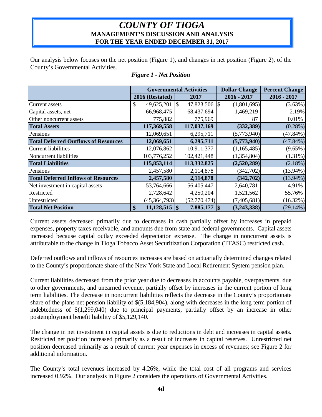Our analysis below focuses on the net position (Figure 1), and changes in net position (Figure 2), of the County's Governmental Activities.

|                                             |                                 | <b>Governmental Activities</b> | <b>Dollar Change</b> | <b>Percent Change</b> |  |
|---------------------------------------------|---------------------------------|--------------------------------|----------------------|-----------------------|--|
|                                             | 2016 (Restated)                 | 2017                           | $2016 - 2017$        | $2016 - 2017$         |  |
| Current assets                              | 49,625,201<br>\$                | 47,823,506                     | (1,801,695)          | (3.63%)               |  |
| Capital assets, net                         | 66,968,475                      | 68,437,694                     | 1,469,219            | 2.19%                 |  |
| Other noncurrent assets                     | 775,882                         | 775,969                        | 87                   | 0.01%                 |  |
| <b>Total Assets</b>                         | 117,369,558                     | 117,037,169                    | (332, 389)           | $(0.28\%)$            |  |
| Pensions                                    | 12,069,651                      | 6,295,711                      | (5,773,940)          | $(47.84\%)$           |  |
| <b>Total Deferred Outflows of Resources</b> | 12,069,651                      | 6,295,711                      | (5,773,940)          | $(47.84\%)$           |  |
| <b>Current liabilities</b>                  | 12,076,862                      | 10,911,377                     | (1,165,485)          | $(9.65\%)$            |  |
| Noncurrent liabilities                      | 103,776,252                     | 102,421,448                    | (1,354,804)          | $(1.31\%)$            |  |
| <b>Total Liabilities</b>                    | 115,853,114                     | 113,332,825                    | (2,520,289)          | $(2.18\%)$            |  |
| Pensions                                    | 2,457,580                       | 2,114,878                      | (342,702)            | $(13.94\%)$           |  |
| <b>Total Deferred Inflows of Resources</b>  | 2,457,580                       | 2,114,878                      | (342,702)            | $(13.94\%)$           |  |
| Net investment in capital assets            | 53,764,666                      | 56,405,447                     | 2,640,781            | 4.91%                 |  |
| Restricted                                  | 2,728,642                       | 4,250,204                      | 1,521,562            | 55.76%                |  |
| Unrestricted                                | (45,364,793)                    | (52, 770, 474)                 | (7,405,681)          | (16.32%)              |  |
| <b>Total Net Position</b>                   | 11,128,515<br>$\boldsymbol{\$}$ | 7,885,177                      | (3, 243, 338)        | $(29.14\%)$           |  |

Current assets decreased primarily due to decreases in cash partially offset by increases in prepaid expenses, property taxes receivable, and amounts due from state and federal governments. Capital assets increased because capital outlay exceeded depreciation expense. The change in noncurrent assets is attributable to the change in Tioga Tobacco Asset Securitization Corporation (TTASC) restricted cash.

Deferred outflows and inflows of resources increases are based on actuarially determined changes related to the County's proportionate share of the New York State and Local Retirement System pension plan.

Current liabilities decreased from the prior year due to decreases in accounts payable, overpayments, due to other governments, and unearned revenue, partially offset by increases in the current portion of long term liabilities. The decrease in noncurrent liabilities reflects the decrease in the County's proportionate share of the plans net pension liability of \$(5,184,904), along with decreases in the long term portion of indebtedness of \$(1,299,040) due to principal payments, partially offset by an increase in other postemployment benefit liability of \$5,129,140.

The change in net investment in capital assets is due to reductions in debt and increases in capital assets. Restricted net position increased primarily as a result of increases in capital reserves. Unrestricted net position decreased primarily as a result of current year expenses in excess of revenues; see Figure 2 for additional information.

The County's total revenues increased by 4.26%, while the total cost of all programs and services increased 0.92%. Our analysis in Figure 2 considers the operations of Governmental Activities.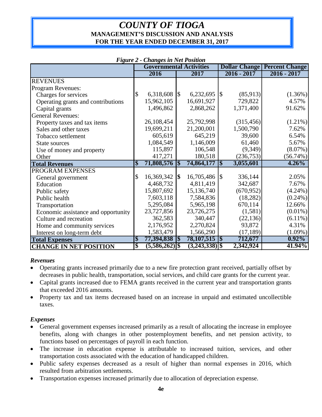| <b>Figure 2 - Changes in Net Position</b> |    |                                |                   |                     |            |             |                                         |  |  |  |  |
|-------------------------------------------|----|--------------------------------|-------------------|---------------------|------------|-------------|-----------------------------------------|--|--|--|--|
|                                           |    | <b>Governmental Activities</b> |                   |                     |            |             | <b>Dollar Change   Percent Change  </b> |  |  |  |  |
|                                           |    | 2016                           |                   | 2017                |            | 2016 - 2017 | 2016 - 2017                             |  |  |  |  |
| <b>REVENUES</b>                           |    |                                |                   |                     |            |             |                                         |  |  |  |  |
| <b>Program Revenues:</b>                  |    |                                |                   |                     |            |             |                                         |  |  |  |  |
| Charges for services                      | \$ | 6,318,608                      | $\sqrt{3}$        | 6,232,695           | $\sqrt{3}$ | (85,913)    | $(1.36\%)$                              |  |  |  |  |
| Operating grants and contributions        |    | 15,962,105                     |                   | 16,691,927          |            | 729,822     | 4.57%                                   |  |  |  |  |
| Capital grants                            |    | 1,496,862                      |                   | 2,868,262           |            | 1,371,400   | 91.62%                                  |  |  |  |  |
| <b>General Revenues:</b>                  |    |                                |                   |                     |            |             |                                         |  |  |  |  |
| Property taxes and tax items              |    | 26,108,454                     |                   | 25,792,998          |            | (315, 456)  | $(1.21\%)$                              |  |  |  |  |
| Sales and other taxes                     |    | 19,699,211                     |                   | 21,200,001          |            | 1,500,790   | 7.62%                                   |  |  |  |  |
| Tobacco settlement                        |    | 605,619                        |                   | 645,219             |            | 39,600      | 6.54%                                   |  |  |  |  |
| State sources                             |    | 1,084,549                      |                   | 1,146,009           |            | 61,460      | 5.67%                                   |  |  |  |  |
| Use of money and property                 |    | 115,897                        |                   | 106,548             |            | (9,349)     | $(8.07\%)$                              |  |  |  |  |
| Other                                     |    | 417,271                        |                   | 180,518             |            | (236,753)   | (56.74%)                                |  |  |  |  |
| <b>Total Revenues</b>                     | \$ | 71,808,576                     | $\boldsymbol{\$}$ | 74,864,177          | l\$        | 3,055,601   | $4.26\%$                                |  |  |  |  |
| PROGRAM EXPENSES                          |    |                                |                   |                     |            |             |                                         |  |  |  |  |
| General government                        | \$ | 16,369,342                     | $\boldsymbol{\$}$ | $16,705,486$ \\ \\$ |            | 336,144     | 2.05%                                   |  |  |  |  |
| Education                                 |    | 4,468,732                      |                   | 4,811,419           |            | 342,687     | 7.67%                                   |  |  |  |  |
| Public safety                             |    | 15,807,692                     |                   | 15,136,740          |            | (670, 952)  | $(4.24\%)$                              |  |  |  |  |
| Public health                             |    | 7,603,118                      |                   | 7,584,836           |            | (18, 282)   | $(0.24\%)$                              |  |  |  |  |
| Transportation                            |    | 5,295,084                      |                   | 5,965,198           |            | 670,114     | 12.66%                                  |  |  |  |  |
| Economic assistance and opportunity       |    | 23,727,856                     |                   | 23,726,275          |            | (1,581)     | $(0.01\%)$                              |  |  |  |  |
| Culture and recreation                    |    | 362,583                        |                   | 340,447             |            | (22, 136)   | $(6.11\%)$                              |  |  |  |  |
| Home and community services               |    | 2,176,952                      |                   | 2,270,824           |            | 93,872      | 4.31%                                   |  |  |  |  |
| Interest on long-term debt                |    | 1,583,479                      |                   | 1,566,290           |            | (17, 189)   | $(1.09\%)$                              |  |  |  |  |
| <b>Total Expenses</b>                     | \$ | 77,394,838                     | $\boldsymbol{s}$  | 78,107,515          | 1\$        | 712,677     | $0.92\%$                                |  |  |  |  |
| <b>CHANGE IN NET POSITION</b>             | \$ | $(5,586,262)$ \$               |                   |                     |            | 2,342,924   | 41.94%                                  |  |  |  |  |

## *Figure 2 - Changes in Net Position*

#### *Revenues*

- Operating grants increased primarily due to a new fire protection grant received, partially offset by decreases in public health, transportation, social services, and child care grants for the current year.
- Capital grants increased due to FEMA grants received in the current year and transportation grants that exceeded 2016 amounts.
- Property tax and tax items decreased based on an increase in unpaid and estimated uncollectible taxes.

#### *Expenses*

- General government expenses increased primarily as a result of allocating the increase in employee benefits, along with changes in other postemployment benefits, and net pension activity, to functions based on percentages of payroll in each function.
- The increase in education expense is attributable to increased tuition, services, and other transportation costs associated with the education of handicapped children.
- Public safety expenses decreased as a result of higher than normal expenses in 2016, which resulted from arbitration settlements.
- Transportation expenses increased primarily due to allocation of depreciation expense.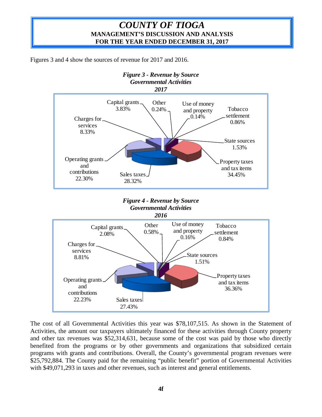Figures 3 and 4 show the sources of revenue for 2017 and 2016.



The cost of all Governmental Activities this year was \$78,107,515. As shown in the Statement of Activities, the amount our taxpayers ultimately financed for these activities through County property and other tax revenues was \$52,314,631, because some of the cost was paid by those who directly benefited from the programs or by other governments and organizations that subsidized certain programs with grants and contributions. Overall, the County's governmental program revenues were \$25,792,884. The County paid for the remaining "public benefit" portion of Governmental Activities with \$49,071,293 in taxes and other revenues, such as interest and general entitlements.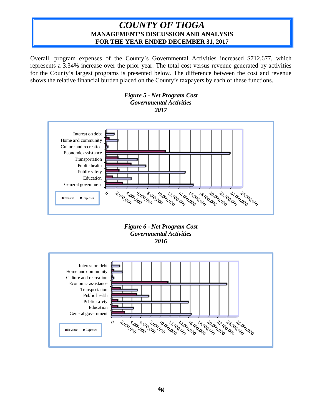Overall, program expenses of the County's Governmental Activities increased \$712,677, which represents a 3.34% increase over the prior year. The total cost versus revenue generated by activities for the County's largest programs is presented below. The difference between the cost and revenue shows the relative financial burden placed on the County's taxpayers by each of these functions.





*Figure 6 - Net Program Cost Governmental Activities 2016*

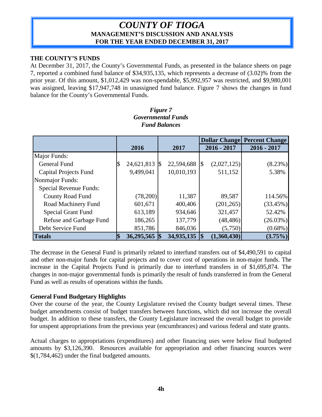### **THE COUNTY'S FUNDS**

At December 31, 2017, the County's Governmental Funds, as presented in the balance sheets on page 7, reported a combined fund balance of \$34,935,135, which represents a decrease of (3.02)% from the prior year. Of this amount, \$1,012,429 was non-spendable, \$5,992,957 was restricted, and \$9,980,001 was assigned, leaving \$17,947,748 in unassigned fund balance. Figure 7 shows the changes in fund balance for the County's Governmental Funds.

|                               |            |     |               |   |             | <b>Dollar Change Percent Change</b> |
|-------------------------------|------------|-----|---------------|---|-------------|-------------------------------------|
|                               | 2016       |     | 2017          |   | 2016 - 2017 | $2016 - 2017$                       |
| Major Funds:                  |            |     |               |   |             |                                     |
| <b>General Fund</b>           | 24,621,813 | IS. | 22,594,688    | S | (2,027,125) | $(8.23\%)$                          |
| Capital Projects Fund         | 9,499,041  |     | 10,010,193    |   | 511,152     | 5.38%                               |
| Nonmajor Funds:               |            |     |               |   |             |                                     |
| <b>Special Revenue Funds:</b> |            |     |               |   |             |                                     |
| <b>County Road Fund</b>       | (78,200)   |     | 11,387        |   | 89,587      | 114.56%                             |
| Road Machinery Fund           | 601,671    |     | 400,406       |   | (201, 265)  | (33.45%)                            |
| <b>Special Grant Fund</b>     | 613,189    |     | 934,646       |   | 321,457     | 52.42%                              |
| Refuse and Garbage Fund       | 186,265    |     | 137,779       |   | (48, 486)   | $(26.03\%)$                         |
| Debt Service Fund             | 851,786    |     | 846,036       |   | (5,750)     | $(0.68\%)$                          |
| <b>Totals</b>                 | 36,295,565 |     | 34,935,135 \$ |   | (1,360,430) | $(3.75\%)$                          |

### *Figure 7 Governmental Funds Fund Balances*

The decrease in the General Fund is primarily related to interfund transfers out of \$4,490,591 to capital and other non-major funds for capital projects and to cover cost of operations in non-major funds. The increase in the Capital Projects Fund is primarily due to interfund transfers in of \$1,695,874. The changes in non-major governmental funds is primarily the result of funds transferred in from the General Fund as well as results of operations within the funds.

#### **General Fund Budgetary Highlights**

Over the course of the year, the County Legislature revised the County budget several times. These budget amendments consist of budget transfers between functions, which did not increase the overall budget. In addition to these transfers, the County Legislature increased the overall budget to provide for unspent appropriations from the previous year (encumbrances) and various federal and state grants.

Actual charges to appropriations (expenditures) and other financing uses were below final budgeted amounts by \$3,126,390. Resources available for appropriation and other financing sources were \$(1,784,462) under the final budgeted amounts.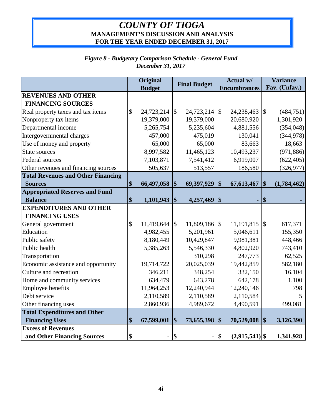## *Figure 8 - Budgetary Comparison Schedule - General Fund December 31, 2017*

|                                           |                   | <b>Original</b>          | <b>Final Budget</b>              |                          |                     | <b>Actual w/</b> |                           | <b>Variance</b> |  |
|-------------------------------------------|-------------------|--------------------------|----------------------------------|--------------------------|---------------------|------------------|---------------------------|-----------------|--|
|                                           |                   | <b>Budget</b>            |                                  |                          | <b>Encumbrances</b> |                  |                           | Fav. (Unfav.)   |  |
| <b>REVENUES AND OTHER</b>                 |                   |                          |                                  |                          |                     |                  |                           |                 |  |
| <b>FINANCING SOURCES</b>                  |                   |                          |                                  |                          |                     |                  |                           |                 |  |
| Real property taxes and tax items         | \$                | $24,723,214$ \\ \\$      |                                  | $24,723,214$ \$          |                     | 24,238,463       | $\boldsymbol{\mathsf{S}}$ | (484, 751)      |  |
| Nonproperty tax items                     |                   | 19,379,000               |                                  | 19,379,000               |                     | 20,680,920       |                           | 1,301,920       |  |
| Departmental income                       |                   | 5,265,754                |                                  | 5,235,604                |                     | 4,881,556        |                           | (354, 048)      |  |
| Intergovernmental charges                 |                   | 457,000                  |                                  | 475,019                  |                     | 130,041          |                           | (344, 978)      |  |
| Use of money and property                 |                   | 65,000                   |                                  | 65,000                   |                     | 83,663           |                           | 18,663          |  |
| <b>State sources</b>                      |                   | 8,997,582                |                                  | 11,465,123               |                     | 10,493,237       |                           | (971, 886)      |  |
| Federal sources                           |                   | 7,103,871                |                                  | 7,541,412                |                     | 6,919,007        |                           | (622, 405)      |  |
| Other revenues and financing sources      |                   | 505,637                  |                                  | 513,557                  |                     | 186,580          |                           | (326, 977)      |  |
| <b>Total Revenues and Other Financing</b> |                   |                          |                                  |                          |                     |                  |                           |                 |  |
| <b>Sources</b>                            | $\boldsymbol{\$}$ | 66,497,058               | $\vert \mathbf{\$}$              | 69,397,929               | $\vert \mathsf{s}$  | 67,613,467       | $\boldsymbol{\$}$         | (1,784,462)     |  |
| <b>Appropriated Reserves and Fund</b>     |                   |                          |                                  |                          |                     |                  |                           |                 |  |
| <b>Balance</b>                            | \$                | 1,101,943                | $\vert \mathsf{s}$               | 4,257,469                | $\vert \$\$         |                  | \$                        |                 |  |
| <b>EXPENDITURES AND OTHER</b>             |                   |                          |                                  |                          |                     |                  |                           |                 |  |
| <b>FINANCING USES</b>                     |                   |                          |                                  |                          |                     |                  |                           |                 |  |
| General government                        | \$                | 11,419,644               | $\sqrt{3}$                       | 11,809,186               | $\sqrt{5}$          | 11,191,815       | $\boldsymbol{\mathsf{S}}$ | 617,371         |  |
| Education                                 |                   | 4,982,455                |                                  | 5,201,961                |                     | 5,046,611        |                           | 155,350         |  |
| Public safety                             |                   | 8,180,449                |                                  | 10,429,847               |                     | 9,981,381        |                           | 448,466         |  |
| Public health                             |                   | 5,385,263                |                                  | 5,546,330                |                     | 4,802,920        |                           | 743,410         |  |
| Transportation                            |                   |                          |                                  | 310,298                  |                     | 247,773          |                           | 62,525          |  |
| Economic assistance and opportunity       |                   | 19,714,722               |                                  | 20,025,039               |                     | 19,442,859       |                           | 582,180         |  |
| Culture and recreation                    |                   | 346,211                  |                                  | 348,254                  |                     | 332,150          |                           | 16,104          |  |
| Home and community services               |                   | 634,479                  |                                  | 643,278                  |                     | 642,178          |                           | 1,100           |  |
| <b>Employee benefits</b>                  |                   | 11,964,253               |                                  | 12,240,944               |                     | 12,240,146       |                           | 798             |  |
| Debt service                              |                   | 2,110,589                |                                  | 2,110,589                |                     | 2,110,584        |                           | 5               |  |
| Other financing uses                      |                   | 2,860,936                |                                  | 4,989,672                |                     | 4,490,591        |                           | 499,081         |  |
| <b>Total Expenditures and Other</b>       |                   |                          |                                  |                          |                     |                  |                           |                 |  |
| <b>Financing Uses</b>                     | \$                | 67,599,001               | $\overline{\boldsymbol{\theta}}$ | 73,655,398               | $\vert \$\$         | 70,529,008       | \$                        | 3,126,390       |  |
| <b>Excess of Revenues</b>                 |                   |                          |                                  |                          |                     |                  |                           |                 |  |
| and Other Financing Sources               | \$                | $\overline{\phantom{a}}$ | \$                               | $\overline{\phantom{a}}$ | $\sqrt{3}$          | $(2,915,541)$ \$ |                           | 1,341,928       |  |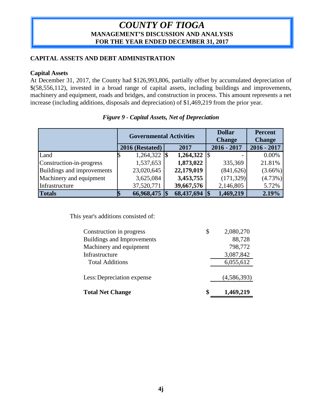## **CAPITAL ASSETS AND DEBT ADMINISTRATION**

#### **Capital Assets**

At December 31, 2017, the County had \$126,993,806, partially offset by accumulated depreciation of \$(58,556,112), invested in a broad range of capital assets, including buildings and improvements, machinery and equipment, roads and bridges, and construction in process. This amount represents a net increase (including additions, disposals and depreciation) of \$1,469,219 from the prior year.

|                            | <b>Governmental Activities</b> |               | <b>Dollar</b><br><b>Change</b> | <b>Percent</b><br><b>Change</b> |
|----------------------------|--------------------------------|---------------|--------------------------------|---------------------------------|
|                            | 2016 (Restated)                | 2017          | $2016 - 2017$                  | 2016 - 2017                     |
| Land                       | $1,264,322$ \$                 |               |                                | $0.00\%$                        |
| Construction-in-progress   | 1,537,653                      | 1,873,022     | 335,369                        | 21.81%                          |
| Buildings and improvements | 23,020,645                     | 22,179,019    | (841, 626)                     | $(3.66\%)$                      |
| Machinery and equipment    | 3,625,084                      | 3,453,755     | (171, 329)                     | (4.73%)                         |
| Infrastructure             | 37,520,771                     | 39,667,576    | 2,146,805                      | 5.72%                           |
| <b>Totals</b>              | $66,968,475$ \$                | 68,437,694 \$ | 1,469,219                      | 2.19%                           |

#### *Figure 9 - Capital Assets, Net of Depreciation*

This year's additions consisted of:

| <b>Total Net Change</b>           | 1,469,219       |
|-----------------------------------|-----------------|
| Less: Depreciation expense        | (4, 586, 393)   |
| <b>Total Additions</b>            | 6,055,612       |
| Infrastructure                    | 3,087,842       |
| Machinery and equipment           | 798,772         |
| <b>Buildings and Improvements</b> | 88,728          |
| Construction in progress          | \$<br>2,080,270 |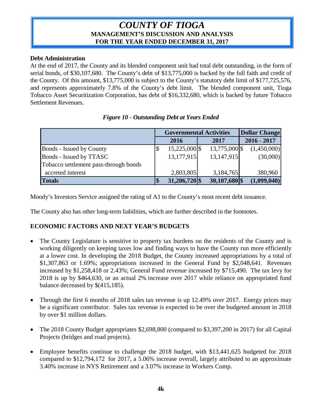### **Debt Administration**

At the end of 2017, the County and its blended component unit had total debt outstanding, in the form of serial bonds, of \$30,107,680. The County's debt of \$13,775,000 is backed by the full faith and credit of the County. Of this amount, \$13,775,000 is subject to the County's statutory debt limit of \$177,725,576, and represents approximately 7.8% of the County's debt limit. The blended component unit, Tioga Tobacco Asset Securitization Corporation, has debt of \$16,332,680, which is backed by future Tobacco Settlement Revenues.

### *Figure 10 - Outstanding Debt at Years Ended*

|                                       | <b>Governmental Activities</b> |               | <b>Dollar Change</b> |
|---------------------------------------|--------------------------------|---------------|----------------------|
|                                       | 2016                           | 2017          | $2016 - 2017$        |
| <b>Bonds</b> - Issued by County       | 15,225,000 \$                  | 13,775,000 \$ | (1,450,000)          |
| Bonds - Issued by TTASC               | 13,177,915                     | 13,147,915    | (30,000)             |
| Tobacco settlement pass-through bonds |                                |               |                      |
| accreted interest                     | 2,803,805                      | 3,184,765     | 380,960              |
| <b>Totals</b>                         | 31,206,720 \$                  | 30,107,680 \$ | (1,099,040)          |

Moody's Investors Service assigned the rating of A1 to the County's most recent debt issuance.

The County also has other long-term liabilities, which are further described in the footnotes.

## **ECONOMIC FACTORS AND NEXT YEAR'S BUDGETS**

- The County Legislature is sensitive to property tax burdens on the residents of the County and is working diligently on keeping taxes low and finding ways to have the County run more efficiently at a lower cost. In developing the 2018 Budget, the County increased appropriations by a total of \$1,307,863 or 1.69%; appropriations increased in the General Fund by \$2,048,641. Revenues increased by \$1,258,418 or 2.43%; General Fund revenue increased by \$715,490. The tax levy for 2018 is up by \$464,630, or an actual 2% increase over 2017 while reliance on appropriated fund balance decreased by \$(415,185).
- Through the first 6 months of 2018 sales tax revenue is up 12.49% over 2017. Energy prices may be a significant contributor. Sales tax revenue is expected to be over the budgeted amount in 2018 by over \$1 million dollars.
- The 2018 County Budget appropriates \$2,698,800 (compared to \$3,397,200 in 2017) for all Capital Projects (bridges and road projects).
- Employee benefits continue to challenge the 2018 budget, with \$13,441,625 budgeted for 2018 compared to \$12,794,172 for 2017, a 5.06% increase overall, largely attributed to an approximate 3.40% increase in NYS Retirement and a 3.07% increase in Workers Comp.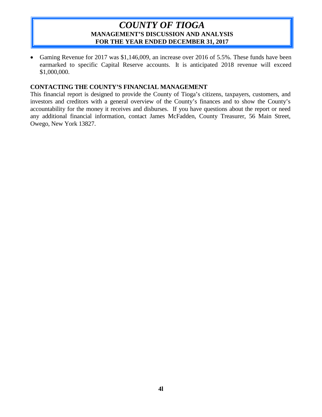• Gaming Revenue for 2017 was \$1,146,009, an increase over 2016 of 5.5%. These funds have been earmarked to specific Capital Reserve accounts. It is anticipated 2018 revenue will exceed \$1,000,000.

## **CONTACTING THE COUNTY'S FINANCIAL MANAGEMENT**

This financial report is designed to provide the County of Tioga's citizens, taxpayers, customers, and investors and creditors with a general overview of the County's finances and to show the County's accountability for the money it receives and disburses. If you have questions about the report or need any additional financial information, contact James McFadden, County Treasurer, 56 Main Street, Owego, New York 13827.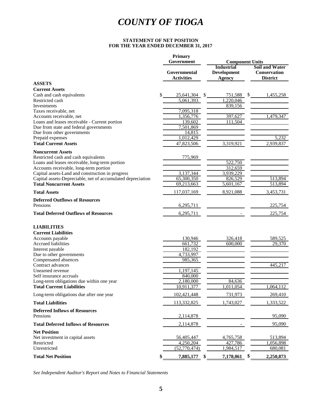#### **STATEMENT OF NET POSITION FOR THE YEAR ENDED DECEMBER 31, 2017**

|                                                                                            | <b>Primary</b>                    |                        |                                        |  |  |  |
|--------------------------------------------------------------------------------------------|-----------------------------------|------------------------|----------------------------------------|--|--|--|
|                                                                                            | Government                        | <b>Component Units</b> |                                        |  |  |  |
|                                                                                            |                                   | <b>Industrial</b>      | <b>Soil and Water</b>                  |  |  |  |
|                                                                                            | Governmental<br><b>Activities</b> | <b>Development</b>     | <b>Conservation</b><br><b>District</b> |  |  |  |
| <b>ASSETS</b>                                                                              |                                   | <b>Agency</b>          |                                        |  |  |  |
|                                                                                            |                                   |                        |                                        |  |  |  |
| <b>Current Assets</b>                                                                      | \$<br>$\mathcal{S}$               | \$                     |                                        |  |  |  |
| Cash and cash equivalents<br>Restricted cash                                               | 25,641,304<br>5,061,393           | 751,588<br>1,220,046   | 1,455,258                              |  |  |  |
| Investments                                                                                |                                   | 839,156                |                                        |  |  |  |
| Taxes receivable, net                                                                      | 7,095,318                         |                        |                                        |  |  |  |
| Accounts receivable, net                                                                   | 1,356,776                         | 397,627                | 1,479,347                              |  |  |  |
| Loans and leases receivable - Current portion                                              | 139,602                           | 111,504                |                                        |  |  |  |
| Due from state and federal governments                                                     | 7,501,869                         |                        |                                        |  |  |  |
| Due from other governments                                                                 | 14,815                            |                        |                                        |  |  |  |
| Prepaid expenses                                                                           | 1,012,429                         |                        | 5,232                                  |  |  |  |
| <b>Total Current Assets</b>                                                                | 47,823,506                        | 3,319,921              | 2,939,837                              |  |  |  |
|                                                                                            |                                   |                        |                                        |  |  |  |
| <b>Noncurrent Assets</b>                                                                   |                                   |                        |                                        |  |  |  |
| Restricted cash and cash equivalents                                                       | 775,969                           |                        |                                        |  |  |  |
| Loans and leases receivable, long-term portion                                             |                                   | 522,750<br>312,659     |                                        |  |  |  |
| Accounts receivable, long-term portion<br>Capital assets-Land and construction in progress | 3,137,344                         | 3,939,229              |                                        |  |  |  |
| Capital assets-Depreciable, net of accumulated depreciation                                | 65,300,350                        | 826,529                | 513,894                                |  |  |  |
| <b>Total Noncurrent Assets</b>                                                             | 69,213,663                        | $\overline{5,601,167}$ | 513,894                                |  |  |  |
| <b>Total Assets</b>                                                                        | 117,037,169                       | 8,921,088              | 3,453,731                              |  |  |  |
|                                                                                            |                                   |                        |                                        |  |  |  |
| <b>Deferred Outflows of Resources</b>                                                      |                                   |                        |                                        |  |  |  |
| Pensions                                                                                   | 6,295,711                         |                        | 225,754                                |  |  |  |
| <b>Total Deferred Outflows of Resources</b>                                                | 6,295,711                         |                        | 225,754                                |  |  |  |
| <b>LIABILITIES</b>                                                                         |                                   |                        |                                        |  |  |  |
| <b>Current Liabilities</b>                                                                 |                                   |                        |                                        |  |  |  |
| Accounts payable                                                                           | 130,946                           | 326,418                | 589,525                                |  |  |  |
| <b>Accrued liabilities</b>                                                                 | 661,732                           | 600,000                | 29,370                                 |  |  |  |
| Interest payable                                                                           | 182,192                           |                        |                                        |  |  |  |
| Due to other governments                                                                   | 4,733,997                         |                        |                                        |  |  |  |
| Compensated absences                                                                       | 985,365                           |                        |                                        |  |  |  |
| Contract advances                                                                          |                                   |                        | 445,217                                |  |  |  |
| Unearned revenue                                                                           | 1,197,145                         |                        |                                        |  |  |  |
| Self insurance accruals                                                                    | 840,000                           |                        |                                        |  |  |  |
| Long-term obligations due within one year                                                  | 2,180,000                         | 84,636                 |                                        |  |  |  |
| <b>Total Current Liabilities</b>                                                           | 10,911,377                        | 1,011,054              | 1,064,112                              |  |  |  |
| Long-term obligations due after one year                                                   | 102,421,448                       | 731,973                | 269,410                                |  |  |  |
| <b>Total Liabilities</b>                                                                   | 113,332,825                       | 1,743,027              | 1,333,522                              |  |  |  |
| <b>Deferred Inflows of Resources</b>                                                       |                                   |                        |                                        |  |  |  |
| Pensions                                                                                   | 2,114,878                         |                        | 95,090                                 |  |  |  |
| <b>Total Deferred Inflows of Resources</b>                                                 | 2,114,878                         |                        | 95,090                                 |  |  |  |
| <b>Net Position</b>                                                                        |                                   |                        |                                        |  |  |  |
| Net investment in capital assets                                                           | 56,405,447                        | 4,765,758              | 513,894                                |  |  |  |
| Restricted                                                                                 | 4,250,204                         | 427,786                | 1,056,898                              |  |  |  |
| Unrestricted                                                                               | (52, 770, 474)                    | 1,984,517              | 680,081                                |  |  |  |
| <b>Total Net Position</b>                                                                  | 7,885,177 \$                      | 7,178,061<br>\$        | 2,250,873                              |  |  |  |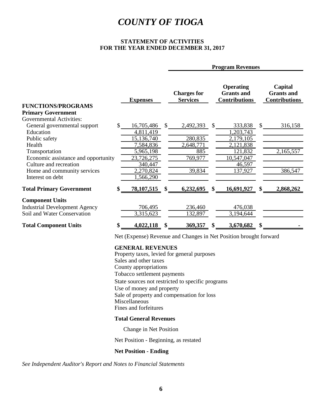#### **STATEMENT OF ACTIVITIES FOR THE YEAR ENDED DECEMBER 31, 2017**

|                                      |    |                 | <b>Program Revenues</b> |                                       |     |                                                               |               |                                                      |  |
|--------------------------------------|----|-----------------|-------------------------|---------------------------------------|-----|---------------------------------------------------------------|---------------|------------------------------------------------------|--|
| <b>FUNCTIONS/PROGRAMS</b>            |    | <b>Expenses</b> |                         | <b>Charges for</b><br><b>Services</b> |     | <b>Operating</b><br><b>Grants and</b><br><b>Contributions</b> |               | Capital<br><b>Grants and</b><br><b>Contributions</b> |  |
| <b>Primary Government</b>            |    |                 |                         |                                       |     |                                                               |               |                                                      |  |
| <b>Governmental Activities:</b>      |    |                 |                         |                                       |     |                                                               |               |                                                      |  |
| General governmental support         |    | 16,705,486      | $\mathcal{S}$           | 2,492,393                             | \$. | 333,838                                                       | $\mathcal{S}$ | 316,158                                              |  |
| Education                            |    | 4,811,419       |                         |                                       |     | 1,203,743                                                     |               |                                                      |  |
| Public safety                        |    | 15,136,740      |                         | 280,835                               |     | 2,179,105                                                     |               |                                                      |  |
| Health                               |    | 7,584,836       |                         | 2,648,771                             |     | 2,121,838                                                     |               |                                                      |  |
| Transportation                       |    | 5,965,198       |                         | 885                                   |     | 121,832                                                       |               | 2,165,557                                            |  |
| Economic assistance and opportunity  |    | 23,726,275      |                         | 769,977                               |     | 10,547,047                                                    |               |                                                      |  |
| Culture and recreation               |    | 340,447         |                         |                                       |     | 46,597                                                        |               |                                                      |  |
| Home and community services          |    | 2,270,824       |                         | 39,834                                |     | 137,927                                                       |               | 386,547                                              |  |
| Interest on debt                     |    | 1,566,290       |                         |                                       |     |                                                               |               |                                                      |  |
| <b>Total Primary Government</b>      | S  | 78,107,515      | \$                      | 6,232,695                             | S   | 16,691,927                                                    | S.            | 2,868,262                                            |  |
| <b>Component Units</b>               |    |                 |                         |                                       |     |                                                               |               |                                                      |  |
| <b>Industrial Development Agency</b> |    | 706,495         |                         | 236,460                               |     | 476,038                                                       |               |                                                      |  |
| Soil and Water Conservation          |    | 3,315,623       |                         | 132,897                               |     | 3,194,644                                                     |               |                                                      |  |
| <b>Total Component Units</b>         | \$ | 4,022,118       | - \$                    | 369,357                               |     | 3,670,682                                                     | <b>S</b>      |                                                      |  |

Net (Expense) Revenue and Changes in Net Position brought forward

**GENERAL REVENUES**

Property taxes, levied for general purposes Sales and other taxes County appropriations Tobacco settlement payments State sources not restricted to specific programs Use of money and property Sale of property and compensation for loss **Miscellaneous** Fines and forfeitures

#### **Total General Revenues**

Change in Net Position

Net Position - Beginning, as restated

#### **Net Position - Ending**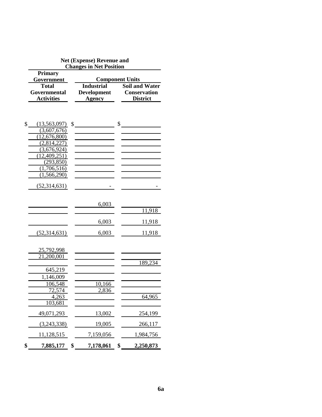|                              |               | <b>Net (Expense) Revenue and</b><br><b>Changes in Net Position</b> |    |                                              |  |  |  |
|------------------------------|---------------|--------------------------------------------------------------------|----|----------------------------------------------|--|--|--|
| <b>Primary</b><br>Government |               | <b>Component Units</b>                                             |    |                                              |  |  |  |
| <b>Total</b><br>Governmental |               | <b>Industrial</b><br>Development                                   |    | <b>Soil and Water</b><br><b>Conservation</b> |  |  |  |
| <b>Activities</b>            |               | <b>Agency</b>                                                      |    | <b>District</b>                              |  |  |  |
|                              |               |                                                                    |    |                                              |  |  |  |
| \$<br>(13,563,097)           | $\mathsf{\$}$ |                                                                    | \$ |                                              |  |  |  |
| (3,607,676)                  |               |                                                                    |    |                                              |  |  |  |
| (12,676,800)<br>(2,814,227)  |               |                                                                    |    |                                              |  |  |  |
| (3,676,924)                  |               |                                                                    |    |                                              |  |  |  |
| (12,409,251)                 |               |                                                                    |    |                                              |  |  |  |
| (293, 850)                   |               |                                                                    |    |                                              |  |  |  |
| (1,706,516)                  |               |                                                                    |    |                                              |  |  |  |
| (1, 566, 290)                |               |                                                                    |    |                                              |  |  |  |
| (52, 314, 631)               |               |                                                                    |    |                                              |  |  |  |
|                              |               | 6,003                                                              |    |                                              |  |  |  |
|                              |               |                                                                    |    | 11,918                                       |  |  |  |
|                              |               | 6,003                                                              |    | 11,918                                       |  |  |  |
| (52, 314, 631)               |               | 6,003                                                              |    | 11,918                                       |  |  |  |
| 25,792,998                   |               |                                                                    |    |                                              |  |  |  |
| $\overline{21,200,001}$      |               |                                                                    |    | 189,234                                      |  |  |  |
| 645,219                      |               |                                                                    |    |                                              |  |  |  |
| 1,146,009                    |               |                                                                    |    |                                              |  |  |  |
| 106,548                      |               | 10,166                                                             |    |                                              |  |  |  |
| 72,574                       |               | 2,836                                                              |    |                                              |  |  |  |
| 4,263                        |               |                                                                    |    | 64,965                                       |  |  |  |
| 103,681                      |               |                                                                    |    |                                              |  |  |  |
| 49,071,293                   |               | 13,002                                                             |    | 254,199                                      |  |  |  |
| (3,243,338)                  |               | <u>19,005</u>                                                      |    | <u>266,117</u>                               |  |  |  |
| <u>11,128,515</u>            |               | <u>7,159,056</u>                                                   |    | 1,984,756                                    |  |  |  |
| \$<br><u>7,885,177 \$</u>    |               | 7,178,061                                                          | \$ | <u>2,250,873</u>                             |  |  |  |

**6a**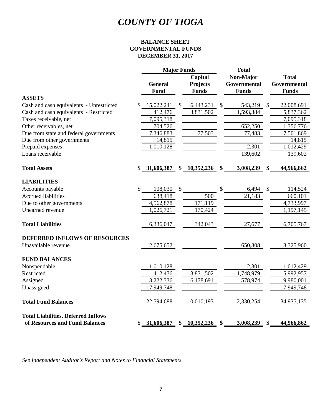#### **BALANCE SHEET GOVERNMENTAL FUNDS DECEMBER 31, 2017**

|                                            | <b>Major Funds</b> |                |               | <b>Total</b>         |                   |              |    |              |
|--------------------------------------------|--------------------|----------------|---------------|----------------------|-------------------|--------------|----|--------------|
|                                            |                    |                |               | Capital              |                   | Non-Major    |    | <b>Total</b> |
|                                            |                    | <b>General</b> |               | Projects             |                   | Governmental |    | Governmental |
|                                            |                    | Fund           |               | <b>Funds</b>         |                   | <b>Funds</b> |    | <b>Funds</b> |
| <b>ASSETS</b>                              |                    |                |               |                      |                   |              |    |              |
| Cash and cash equivalents - Unrestricted   | $\mathbb{S}$       | 15,022,241     | \$            | 6,443,231            | \$                | 543,219      | \$ | 22,008,691   |
| Cash and cash equivalents - Restricted     |                    | 412,476        |               | 3,831,502            |                   | 1,593,384    |    | 5,837,362    |
| Taxes receivable, net                      |                    | 7,095,318      |               |                      |                   |              |    | 7,095,318    |
| Other receivables, net                     |                    | 704,526        |               |                      |                   | 652,250      |    | 1,356,776    |
| Due from state and federal governments     |                    | 7,346,883      |               | 77,503               |                   | 77,483       |    | 7,501,869    |
| Due from other governments                 |                    | 14,815         |               |                      |                   |              |    | 14,815       |
| Prepaid expenses                           |                    | 1,010,128      |               |                      |                   | 2,301        |    | 1,012,429    |
| Loans receivable                           |                    |                |               |                      |                   | 139,602      |    | 139,602      |
| <b>Total Assets</b>                        |                    | 31,606,387     |               | 10,352,236           | \$                | 3,008,239    | \$ | 44,966,862   |
| <b>LIABILITIES</b>                         |                    |                |               |                      |                   |              |    |              |
| Accounts payable                           | \$                 | 108,030        | $\mathcal{S}$ |                      | \$                | 6,494        | \$ | 114,524      |
| <b>Accrued liabilities</b>                 |                    | 638,418        |               | 500                  |                   | 21,183       |    | 660,101      |
| Due to other governments                   |                    | 4,562,878      |               | $\overline{171,119}$ |                   |              |    | 4,733,997    |
| Unearned revenue                           |                    | 1,026,721      |               | 170,424              |                   |              |    | 1,197,145    |
| <b>Total Liabilities</b>                   |                    | 6,336,047      |               | 342,043              |                   | 27,677       |    | 6,705,767    |
| DEFERRED INFLOWS OF RESOURCES              |                    |                |               |                      |                   |              |    |              |
| Unavailable revenue                        |                    | 2,675,652      |               |                      |                   | 650,308      |    | 3,325,960    |
| <b>FUND BALANCES</b>                       |                    |                |               |                      |                   |              |    |              |
| Nonspendable                               |                    | 1,010,128      |               |                      |                   | 2,301        |    | 1,012,429    |
| Restricted                                 |                    | 412,476        |               | 3,831,502            |                   | 1,748,979    |    | 5,992,957    |
| Assigned                                   |                    | 3,222,336      |               | 6,178,691            |                   | 578,974      |    | 9,980,001    |
| Unassigned                                 |                    | 17,949,748     |               |                      |                   |              |    | 17,949,748   |
| <b>Total Fund Balances</b>                 |                    | 22,594,688     |               | 10,010,193           |                   | 2,330,254    |    | 34,935,135   |
| <b>Total Liabilities, Deferred Inflows</b> |                    |                |               |                      |                   |              |    |              |
| of Resources and Fund Balances             | \$                 | 31,606,387     | \$            | 10,352,236           | $\boldsymbol{\$}$ | 3,008,239    | \$ | 44,966,862   |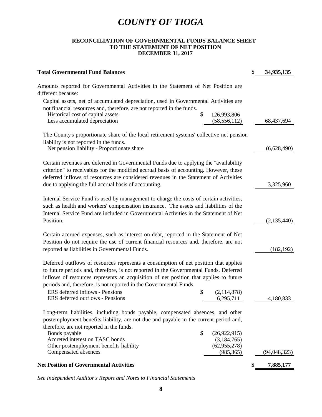#### **RECONCILIATION OF GOVERNMENTAL FUNDS BALANCE SHEET TO THE STATEMENT OF NET POSITION DECEMBER 31, 2017**

| <b>Total Governmental Fund Balances</b>                                                                                                                                       | \$<br>34,935,135 |
|-------------------------------------------------------------------------------------------------------------------------------------------------------------------------------|------------------|
| Amounts reported for Governmental Activities in the Statement of Net Position are<br>different because:                                                                       |                  |
| Capital assets, net of accumulated depreciation, used in Governmental Activities are                                                                                          |                  |
| not financial resources and, therefore, are not reported in the funds.                                                                                                        |                  |
| Historical cost of capital assets<br>S<br>126,993,806<br>Less accumulated depreciation                                                                                        |                  |
| (58, 556, 112)                                                                                                                                                                | 68,437,694       |
| The County's proportionate share of the local retirement systems' collective net pension                                                                                      |                  |
| liability is not reported in the funds.                                                                                                                                       |                  |
| Net pension liability - Proportionate share                                                                                                                                   | (6,628,490)      |
|                                                                                                                                                                               |                  |
| Certain revenues are deferred in Governmental Funds due to applying the "availability"                                                                                        |                  |
| criterion" to receivables for the modified accrual basis of accounting. However, these                                                                                        |                  |
| deferred inflows of resources are considered revenues in the Statement of Activities                                                                                          |                  |
| due to applying the full accrual basis of accounting.                                                                                                                         | 3,325,960        |
| Internal Service Fund is used by management to charge the costs of certain activities,                                                                                        |                  |
| such as health and workers' compensation insurance. The assets and liabilities of the                                                                                         |                  |
| Internal Service Fund are included in Governmental Activities in the Statement of Net                                                                                         |                  |
| Position.                                                                                                                                                                     | (2, 135, 440)    |
|                                                                                                                                                                               |                  |
| Certain accrued expenses, such as interest on debt, reported in the Statement of Net                                                                                          |                  |
| Position do not require the use of current financial resources and, therefore, are not                                                                                        |                  |
| reported as liabilities in Governmental Funds.                                                                                                                                | (182, 192)       |
|                                                                                                                                                                               |                  |
| Deferred outflows of resources represents a consumption of net position that applies<br>to future periods and, therefore, is not reported in the Governmental Funds. Deferred |                  |
| inflows of resources represents an acquisition of net position that applies to future                                                                                         |                  |
| periods and, therefore, is not reported in the Governmental Funds.                                                                                                            |                  |
| ERS deferred inflows - Pensions<br>\$<br>(2, 114, 878)                                                                                                                        |                  |
| ERS deferred outflows - Pensions<br>6,295,711                                                                                                                                 | 4,180,833        |
|                                                                                                                                                                               |                  |
| Long-term liabilities, including bonds payable, compensated absences, and other                                                                                               |                  |
| postemployment benefits liability, are not due and payable in the current period and,                                                                                         |                  |
| therefore, are not reported in the funds.                                                                                                                                     |                  |
| Bonds payable<br>\$<br>(26,922,915)<br>Accreted interest on TASC bonds                                                                                                        |                  |
| (3,184,765)<br>Other postemployment benefits liability<br>(62, 955, 278)                                                                                                      |                  |
| Compensated absences<br>(985, 365)                                                                                                                                            | (94, 048, 323)   |
|                                                                                                                                                                               |                  |
| <b>Net Position of Governmental Activities</b>                                                                                                                                | \$<br>7,885,177  |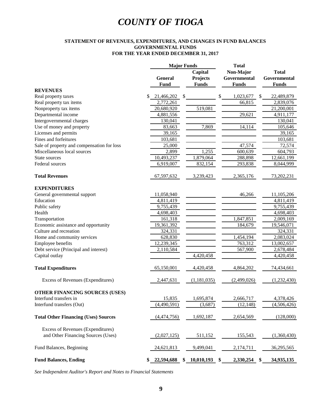#### **STATEMENT OF REVENUES, EXPENDITURES, AND CHANGES IN FUND BALANCES GOVERNMENTAL FUNDS FOR THE YEAR ENDED DECEMBER 31, 2017**

|                                             |                       | <b>Major Funds</b> |                 |                  |
|---------------------------------------------|-----------------------|--------------------|-----------------|------------------|
|                                             |                       | Capital            | Non-Major       | <b>Total</b>     |
|                                             | General               | Projects           | Governmental    | Governmental     |
|                                             | <b>Fund</b>           | <b>Funds</b>       | <b>Funds</b>    | <b>Funds</b>     |
| <b>REVENUES</b>                             |                       |                    |                 |                  |
| Real property taxes                         | S<br>21,466,202<br>\$ |                    | \$<br>1,023,677 | S.<br>22,489,879 |
| Real property tax items                     | 2,772,261             |                    | 66,815          | 2,839,076        |
| Nonproperty tax items                       | 20,680,920            | 519,081            |                 | 21,200,001       |
| Departmental income                         | 4,881,556             |                    | 29,621          | 4,911,177        |
| Intergovernmental charges                   | 130,041               |                    |                 | 130,041          |
| Use of money and property                   | 83,663                | 7,869              | 14,114          | 105,646          |
| Licenses and permits                        | 39,165                |                    |                 | 39,165           |
| Fines and forfeitures                       | 103,681               |                    |                 | 103,681          |
| Sale of property and compensation for loss  | 25,000                |                    | 47,574          | 72,574           |
| Miscellaneous local sources                 | 2,899                 | 1,255              | 600,639         | 604,793          |
| State sources                               | 10,493,237            | 1,879,064          | 288,898         | 12,661,199       |
| Federal sources                             | 6,919,007             | 832,154            | 293,838         | 8,044,999        |
| <b>Total Revenues</b>                       | 67,597,632            | 3,239,423          | 2,365,176       | 73,202,231       |
| <b>EXPENDITURES</b>                         |                       |                    |                 |                  |
| General governmental support                | 11,058,940            |                    | 46,266          | 11,105,206       |
| Education                                   | 4,811,419             |                    |                 | 4,811,419        |
| Public safety                               | 9,755,439             |                    |                 | 9,755,439        |
| Health                                      | 4,698,403             |                    |                 | 4,698,403        |
| Transportation                              | 161,318               |                    | 1,847,851       | 2,009,169        |
| Economic assistance and opportunity         | 19,361,392            |                    | 184,679         | 19,546,071       |
| Culture and recreation                      | 324,331               |                    |                 | 324,331          |
| Home and community services                 | 628,830               |                    | 1,454,194       | 2,083,024        |
| Employee benefits                           | 12,239,345            |                    | 763,312         | 13,002,657       |
| Debt service (Principal and interest)       | 2,110,584             |                    | 567,900         | 2,678,484        |
| Capital outlay                              |                       | 4,420,458          |                 | 4,420,458        |
| <b>Total Expenditures</b>                   | 65,150,001            | 4,420,458          | 4,864,202       | 74,434,661       |
| Excess of Revenues (Expenditures)           | 2,447,631             | (1, 181, 035)      | (2,499,026)     | (1,232,430)      |
| OTHER FINANCING SOURCES (USES)              |                       |                    |                 |                  |
| Interfund transfers in                      | 15,835                | 1,695,874          | 2,666,717       | 4,378,426        |
| Interfund transfers (Out)                   | (4,490,591)           | (3,687)            | (12, 148)       | (4,506,426)      |
| <b>Total Other Financing (Uses) Sources</b> | (4,474,756)           | 1,692,187          | 2,654,569       | (128,000)        |
| Excess of Revenues (Expenditures)           |                       |                    |                 |                  |
| and Other Financing Sources (Uses)          | (2,027,125)           | 511,152            | 155,543         | (1,360,430)      |
| Fund Balances, Beginning                    | 24,621,813            | 9,499,041          | 2,174,711       | 36,295,565       |
| <b>Fund Balances, Ending</b>                | $$ -22,594,688$       | $$10,010,193$ \$   | $2,330,254$ \$  | 34,935,135       |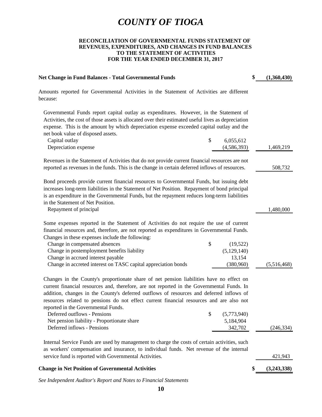#### **TO THE STATEMENT OF ACTIVITIES RECONCILIATION OF GOVERNMENTAL FUNDS STATEMENT OF FOR THE YEAR ENDED DECEMBER 31, 2017 REVENUES, EXPENDITURES, AND CHANGES IN FUND BALANCES**

| <b>Net Change in Fund Balances - Total Governmental Funds</b>                                                                                                                                                                                                                                                                                                                                                                                                                                                                                                                    | \$<br>(1,360,430) |
|----------------------------------------------------------------------------------------------------------------------------------------------------------------------------------------------------------------------------------------------------------------------------------------------------------------------------------------------------------------------------------------------------------------------------------------------------------------------------------------------------------------------------------------------------------------------------------|-------------------|
| Amounts reported for Governmental Activities in the Statement of Activities are different<br>because:                                                                                                                                                                                                                                                                                                                                                                                                                                                                            |                   |
| Governmental Funds report capital outlay as expenditures. However, in the Statement of<br>Activities, the cost of those assets is allocated over their estimated useful lives as depreciation<br>expense. This is the amount by which depreciation expense exceeded capital outlay and the<br>net book value of disposed assets.                                                                                                                                                                                                                                                 |                   |
| Capital outlay<br>\$<br>6,055,612<br>Depreciation expense<br>(4, 586, 393)                                                                                                                                                                                                                                                                                                                                                                                                                                                                                                       | 1,469,219         |
| Revenues in the Statement of Activities that do not provide current financial resources are not<br>reported as revenues in the funds. This is the change in certain deferred inflows of resources.                                                                                                                                                                                                                                                                                                                                                                               | 508,732           |
| Bond proceeds provide current financial resources to Governmental Funds, but issuing debt<br>increases long-term liabilities in the Statement of Net Position. Repayment of bond principal<br>is an expenditure in the Governmental Funds, but the repayment reduces long-term liabilities<br>in the Statement of Net Position.                                                                                                                                                                                                                                                  |                   |
| Repayment of principal                                                                                                                                                                                                                                                                                                                                                                                                                                                                                                                                                           | 1,480,000         |
| Some expenses reported in the Statement of Activities do not require the use of current<br>financial resources and, therefore, are not reported as expenditures in Governmental Funds.<br>Changes in these expenses include the following:<br>Change in compensated absences<br>\$<br>(19,522)<br>Change in postemployment benefits liability<br>(5, 129, 140)<br>Change in accrued interest payable<br>13,154<br>Change in accreted interest on TASC capital appreciation bonds<br>(380,960)                                                                                    | (5,516,468)       |
| Changes in the County's proportionate share of net pension liabilities have no effect on<br>current financial resources and, therefore, are not reported in the Governmental Funds. In<br>addition, changes in the County's deferred outflows of resources and deferred inflows of<br>resources related to pensions do not effect current financial resources and are also not<br>reported in the Governmental Funds.<br>Deferred outflows - Pensions<br>\$<br>(5,773,940)<br>5,184,904<br>Net pension liability - Proportionate share<br>Deferred inflows - Pensions<br>342,702 | (246, 334)        |
|                                                                                                                                                                                                                                                                                                                                                                                                                                                                                                                                                                                  |                   |
| Internal Service Funds are used by management to charge the costs of certain activities, such<br>as workers' compensation and insurance, to individual funds. Net revenue of the internal                                                                                                                                                                                                                                                                                                                                                                                        |                   |
| service fund is reported with Governmental Activities.                                                                                                                                                                                                                                                                                                                                                                                                                                                                                                                           | 421,943           |
| <b>Change in Net Position of Governmental Activities</b>                                                                                                                                                                                                                                                                                                                                                                                                                                                                                                                         | (3,243,338)       |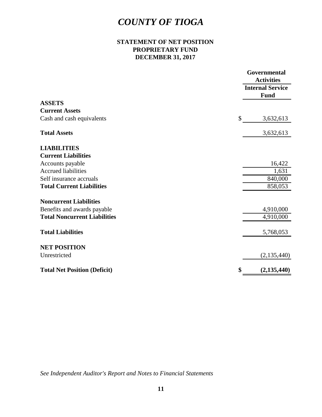## **STATEMENT OF NET POSITION PROPRIETARY FUND DECEMBER 31, 2017**

|                                     | Governmental | <b>Activities</b>       |
|-------------------------------------|--------------|-------------------------|
|                                     |              | <b>Internal Service</b> |
|                                     |              | <b>Fund</b>             |
| <b>ASSETS</b>                       |              |                         |
| <b>Current Assets</b>               |              |                         |
| Cash and cash equivalents           | \$           | 3,632,613               |
| <b>Total Assets</b>                 |              | 3,632,613               |
| <b>LIABILITIES</b>                  |              |                         |
| <b>Current Liabilities</b>          |              |                         |
| Accounts payable                    |              | 16,422                  |
| <b>Accrued liabilities</b>          |              | 1,631                   |
| Self insurance accruals             |              | 840,000                 |
| <b>Total Current Liabilities</b>    |              | 858,053                 |
| <b>Noncurrent Liabilities</b>       |              |                         |
| Benefits and awards payable         |              | 4,910,000               |
| <b>Total Noncurrent Liabilities</b> |              | 4,910,000               |
| <b>Total Liabilities</b>            |              | 5,768,053               |
| <b>NET POSITION</b>                 |              |                         |
| Unrestricted                        |              | (2, 135, 440)           |
| <b>Total Net Position (Deficit)</b> | \$           | (2, 135, 440)           |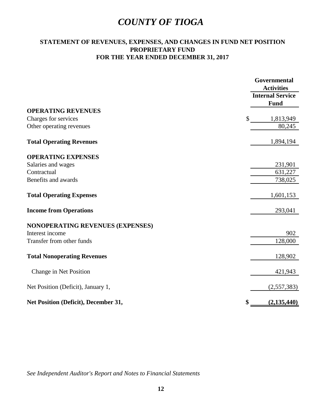## **STATEMENT OF REVENUES, EXPENSES, AND CHANGES IN FUND NET POSITION PROPRIETARY FUND FOR THE YEAR ENDED DECEMBER 31, 2017**

|                                            | Governmental<br><b>Activities</b>      |
|--------------------------------------------|----------------------------------------|
|                                            | <b>Internal Service</b><br><b>Fund</b> |
| <b>OPERATING REVENUES</b>                  |                                        |
| Charges for services<br>\$                 | 1,813,949                              |
| Other operating revenues                   | 80,245                                 |
| <b>Total Operating Revenues</b>            | 1,894,194                              |
| <b>OPERATING EXPENSES</b>                  |                                        |
| Salaries and wages                         | 231,901                                |
| Contractual                                | 631,227                                |
| Benefits and awards                        | 738,025                                |
| <b>Total Operating Expenses</b>            | 1,601,153                              |
| <b>Income from Operations</b>              | 293,041                                |
| <b>NONOPERATING REVENUES (EXPENSES)</b>    |                                        |
| Interest income                            | 902                                    |
| Transfer from other funds                  | 128,000                                |
| <b>Total Nonoperating Revenues</b>         | 128,902                                |
| Change in Net Position                     | 421,943                                |
| Net Position (Deficit), January 1,         | (2,557,383)                            |
| \$<br>Net Position (Deficit), December 31, | (2, 135, 440)                          |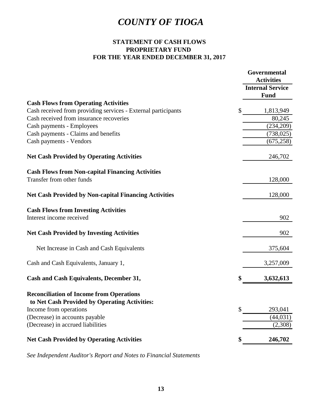### **STATEMENT OF CASH FLOWS PROPRIETARY FUND FOR THE YEAR ENDED DECEMBER 31, 2017**

|                                                                         |               | Governmental<br><b>Activities</b> |
|-------------------------------------------------------------------------|---------------|-----------------------------------|
|                                                                         |               | <b>Internal Service</b>           |
|                                                                         |               | <b>Fund</b>                       |
| <b>Cash Flows from Operating Activities</b>                             |               |                                   |
| Cash received from providing services - External participants           | $\mathcal{S}$ | 1,813,949                         |
| Cash received from insurance recoveries                                 |               | 80,245                            |
| Cash payments - Employees                                               |               | (234,209)                         |
| Cash payments - Claims and benefits                                     |               | (738, 025)                        |
| Cash payments - Vendors                                                 |               | (675, 258)                        |
| <b>Net Cash Provided by Operating Activities</b>                        |               | 246,702                           |
| <b>Cash Flows from Non-capital Financing Activities</b>                 |               |                                   |
| Transfer from other funds                                               |               | 128,000                           |
| <b>Net Cash Provided by Non-capital Financing Activities</b>            |               | 128,000                           |
| <b>Cash Flows from Investing Activities</b><br>Interest income received |               | 902                               |
|                                                                         |               |                                   |
| <b>Net Cash Provided by Investing Activities</b>                        |               | 902                               |
| Net Increase in Cash and Cash Equivalents                               |               | 375,604                           |
| Cash and Cash Equivalents, January 1,                                   |               | 3,257,009                         |
| Cash and Cash Equivalents, December 31,                                 |               | 3,632,613                         |
| <b>Reconciliation of Income from Operations</b>                         |               |                                   |
| to Net Cash Provided by Operating Activities:                           |               |                                   |
| Income from operations                                                  | \$            | 293,041                           |
| (Decrease) in accounts payable                                          |               | (44, 031)                         |
| (Decrease) in accrued liabilities                                       |               | (2,308)                           |
| <b>Net Cash Provided by Operating Activities</b>                        | \$            | 246,702                           |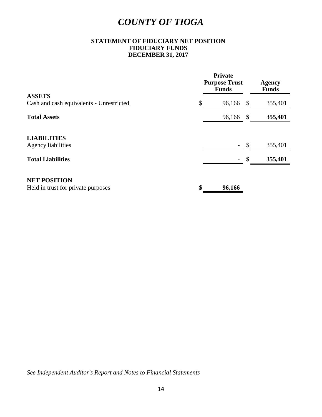#### **STATEMENT OF FIDUCIARY NET POSITION FIDUCIARY FUNDS DECEMBER 31, 2017**

|                                                           | <b>Private</b><br><b>Purpose Trust</b><br><b>Funds</b> |                                | <b>Agency</b><br><b>Funds</b> |
|-----------------------------------------------------------|--------------------------------------------------------|--------------------------------|-------------------------------|
| <b>ASSETS</b>                                             |                                                        |                                |                               |
| Cash and cash equivalents - Unrestricted                  | \$                                                     | 96,166<br>$\mathcal{S}$        | 355,401                       |
| <b>Total Assets</b>                                       |                                                        | $\mathbf{\$}$<br>96,166        | 355,401                       |
| <b>LIABILITIES</b><br>Agency liabilities                  |                                                        | \$<br>$\overline{\phantom{0}}$ | 355,401                       |
| <b>Total Liabilities</b>                                  |                                                        | \$                             | 355,401                       |
| <b>NET POSITION</b><br>Held in trust for private purposes | \$                                                     | 96,166                         |                               |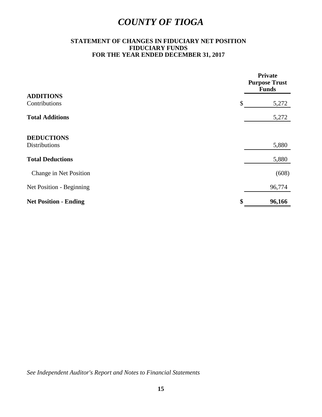#### **STATEMENT OF CHANGES IN FIDUCIARY NET POSITION FIDUCIARY FUNDS FOR THE YEAR ENDED DECEMBER 31, 2017**

|                              | <b>Private</b><br><b>Purpose Trust</b><br><b>Funds</b> |
|------------------------------|--------------------------------------------------------|
| <b>ADDITIONS</b>             |                                                        |
| Contributions                | \$<br>5,272                                            |
| <b>Total Additions</b>       | 5,272                                                  |
| <b>DEDUCTIONS</b>            |                                                        |
| <b>Distributions</b>         | 5,880                                                  |
| <b>Total Deductions</b>      | 5,880                                                  |
| Change in Net Position       | (608)                                                  |
| Net Position - Beginning     | 96,774                                                 |
| <b>Net Position - Ending</b> | \$<br>96,166                                           |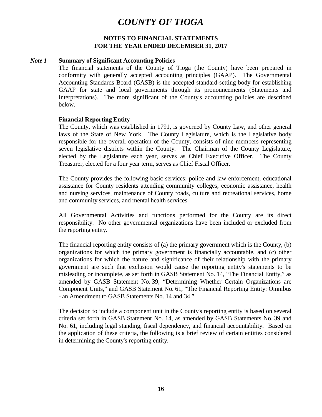### **NOTES TO FINANCIAL STATEMENTS FOR THE YEAR ENDED DECEMBER 31, 2017**

#### *Note 1* **Summary of Significant Accounting Policies**

The financial statements of the County of Tioga (the County) have been prepared in conformity with generally accepted accounting principles (GAAP). The Governmental Accounting Standards Board (GASB) is the accepted standard-setting body for establishing GAAP for state and local governments through its pronouncements (Statements and Interpretations). The more significant of the County's accounting policies are described below.

#### **Financial Reporting Entity**

The County, which was established in 1791, is governed by County Law, and other general laws of the State of New York. The County Legislature, which is the Legislative body responsible for the overall operation of the County, consists of nine members representing seven legislative districts within the County. The Chairman of the County Legislature, elected by the Legislature each year, serves as Chief Executive Officer. The County Treasurer, elected for a four year term, serves as Chief Fiscal Officer.

The County provides the following basic services: police and law enforcement, educational assistance for County residents attending community colleges, economic assistance, health and nursing services, maintenance of County roads, culture and recreational services, home and community services, and mental health services.

All Governmental Activities and functions performed for the County are its direct responsibility. No other governmental organizations have been included or excluded from the reporting entity.

The financial reporting entity consists of (a) the primary government which is the County, (b) organizations for which the primary government is financially accountable, and (c) other organizations for which the nature and significance of their relationship with the primary government are such that exclusion would cause the reporting entity's statements to be misleading or incomplete, as set forth in GASB Statement No. 14, "The Financial Entity," as amended by GASB Statement No. 39, "Determining Whether Certain Organizations are Component Units," and GASB Statement No. 61, "The Financial Reporting Entity: Omnibus - an Amendment to GASB Statements No. 14 and 34."

The decision to include a component unit in the County's reporting entity is based on several criteria set forth in GASB Statement No. 14, as amended by GASB Statements No. 39 and No. 61, including legal standing, fiscal dependency, and financial accountability. Based on the application of these criteria, the following is a brief review of certain entities considered in determining the County's reporting entity.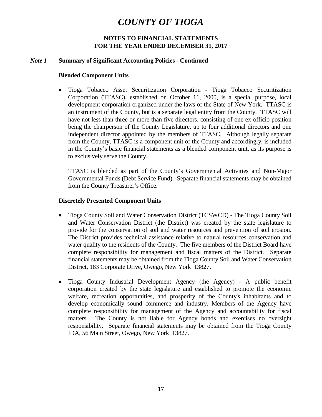### **NOTES TO FINANCIAL STATEMENTS FOR THE YEAR ENDED DECEMBER 31, 2017**

#### *Note 1* **Summary of Significant Accounting Policies - Continued**

### **Blended Component Units**

• Tioga Tobacco Asset Securitization Corporation - Tioga Tobacco Securitization Corporation (TTASC), established on October 11, 2000, is a special purpose, local development corporation organized under the laws of the State of New York. TTASC is an instrument of the County, but is a separate legal entity from the County. TTASC will have not less than three or more than five directors, consisting of one ex-officio position being the chairperson of the County Legislature, up to four additional directors and one independent director appointed by the members of TTASC. Although legally separate from the County, TTASC is a component unit of the County and accordingly, is included in the County's basic financial statements as a blended component unit, as its purpose is to exclusively serve the County.

TTASC is blended as part of the County's Governmental Activities and Non-Major Governmental Funds (Debt Service Fund). Separate financial statements may be obtained from the County Treasurer's Office.

### **Discretely Presented Component Units**

- Tioga County Soil and Water Conservation District (TCSWCD) The Tioga County Soil and Water Conservation District (the District) was created by the state legislature to provide for the conservation of soil and water resources and prevention of soil erosion. The District provides technical assistance relative to natural resources conservation and water quality to the residents of the County. The five members of the District Board have complete responsibility for management and fiscal matters of the District. Separate financial statements may be obtained from the Tioga County Soil and Water Conservation District, 183 Corporate Drive, Owego, New York 13827.
- Tioga County Industrial Development Agency (the Agency) A public benefit corporation created by the state legislature and established to promote the economic welfare, recreation opportunities, and prosperity of the County's inhabitants and to develop economically sound commerce and industry. Members of the Agency have complete responsibility for management of the Agency and accountability for fiscal matters. The County is not liable for Agency bonds and exercises no oversight responsibility. Separate financial statements may be obtained from the Tioga County IDA, 56 Main Street, Owego, New York 13827.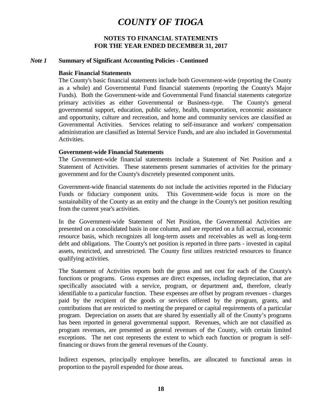### **NOTES TO FINANCIAL STATEMENTS FOR THE YEAR ENDED DECEMBER 31, 2017**

#### *Note 1* **Summary of Significant Accounting Policies - Continued**

### **Basic Financial Statements**

The County's basic financial statements include both Government-wide (reporting the County as a whole) and Governmental Fund financial statements (reporting the County's Major Funds). Both the Government-wide and Governmental Fund financial statements categorize primary activities as either Governmental or Business-type. The County's general governmental support, education, public safety, health, transportation, economic assistance and opportunity, culture and recreation, and home and community services are classified as Governmental Activities. Services relating to self-insurance and workers' compensation administration are classified as Internal Service Funds, and are also included in Governmental Activities.

### **Government-wide Financial Statements**

The Government-wide financial statements include a Statement of Net Position and a Statement of Activities. These statements present summaries of activities for the primary government and for the County's discretely presented component units.

Government-wide financial statements do not include the activities reported in the Fiduciary Funds or fiduciary component units. This Government-wide focus is more on the sustainability of the County as an entity and the change in the County's net position resulting from the current year's activities.

In the Government-wide Statement of Net Position, the Governmental Activities are presented on a consolidated basis in one column, and are reported on a full accrual, economic resource basis, which recognizes all long-term assets and receivables as well as long-term debt and obligations. The County's net position is reported in three parts - invested in capital assets, restricted, and unrestricted. The County first utilizes restricted resources to finance qualifying activities.

The Statement of Activities reports both the gross and net cost for each of the County's functions or programs. Gross expenses are direct expenses, including depreciation, that are specifically associated with a service, program, or department and, therefore, clearly identifiable to a particular function. These expenses are offset by program revenues - charges paid by the recipient of the goods or services offered by the program, grants, and contributions that are restricted to meeting the prepared or capital requirements of a particular program. Depreciation on assets that are shared by essentially all of the County's programs has been reported in general governmental support. Revenues, which are not classified as program revenues, are presented as general revenues of the County, with certain limited exceptions. The net cost represents the extent to which each function or program is selffinancing or draws from the general revenues of the County.

Indirect expenses, principally employee benefits, are allocated to functional areas in proportion to the payroll expended for those areas.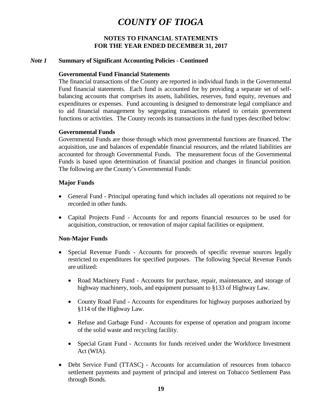### **NOTES TO FINANCIAL STATEMENTS FOR THE YEAR ENDED DECEMBER 31, 2017**

### *Note 1* **Summary of Significant Accounting Policies - Continued**

#### **Governmental Fund Financial Statements**

The financial transactions of the County are reported in individual funds in the Governmental Fund financial statements. Each fund is accounted for by providing a separate set of selfbalancing accounts that comprises its assets, liabilities, reserves, fund equity, revenues and expenditures or expenses. Fund accounting is designed to demonstrate legal compliance and to aid financial management by segregating transactions related to certain government functions or activities. The County records its transactions in the fund types described below:

#### **Governmental Funds**

Governmental Funds are those through which most governmental functions are financed. The acquisition, use and balances of expendable financial resources, and the related liabilities are accounted for through Governmental Funds. The measurement focus of the Governmental Funds is based upon determination of financial position and changes in financial position. The following are the County's Governmental Funds:

### **Major Funds**

- General Fund Principal operating fund which includes all operations not required to be recorded in other funds.
- Capital Projects Fund Accounts for and reports financial resources to be used for acquisition, construction, or renovation of major capital facilities or equipment.

## **Non-Major Funds**

- Special Revenue Funds Accounts for proceeds of specific revenue sources legally restricted to expenditures for specified purposes. The following Special Revenue Funds are utilized:
	- Road Machinery Fund Accounts for purchase, repair, maintenance, and storage of highway machinery, tools, and equipment pursuant to §133 of Highway Law.
	- County Road Fund Accounts for expenditures for highway purposes authorized by §114 of the Highway Law.
	- Refuse and Garbage Fund Accounts for expense of operation and program income of the solid waste and recycling facility.
	- Special Grant Fund Accounts for funds received under the Workforce Investment Act (WIA).
- Debt Service Fund (TTASC) Accounts for accumulation of resources from tobacco settlement payments and payment of principal and interest on Tobacco Settlement Pass through Bonds.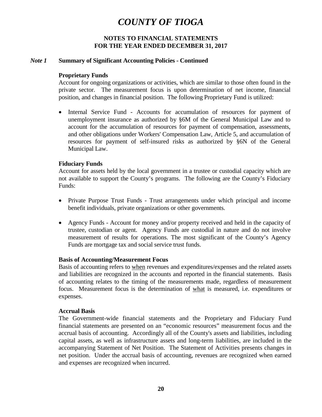### **NOTES TO FINANCIAL STATEMENTS FOR THE YEAR ENDED DECEMBER 31, 2017**

#### *Note 1* **Summary of Significant Accounting Policies - Continued**

#### **Proprietary Funds**

Account for ongoing organizations or activities, which are similar to those often found in the private sector. The measurement focus is upon determination of net income, financial position, and changes in financial position. The following Proprietary Fund is utilized:

• Internal Service Fund - Accounts for accumulation of resources for payment of unemployment insurance as authorized by §6M of the General Municipal Law and to account for the accumulation of resources for payment of compensation, assessments, and other obligations under Workers' Compensation Law, Article 5, and accumulation of resources for payment of self-insured risks as authorized by §6N of the General Municipal Law.

#### **Fiduciary Funds**

Account for assets held by the local government in a trustee or custodial capacity which are not available to support the County's programs. The following are the County's Fiduciary Funds:

- Private Purpose Trust Funds Trust arrangements under which principal and income benefit individuals, private organizations or other governments.
- Agency Funds Account for money and/or property received and held in the capacity of trustee, custodian or agent. Agency Funds are custodial in nature and do not involve measurement of results for operations. The most significant of the County's Agency Funds are mortgage tax and social service trust funds.

#### **Basis of Accounting/Measurement Focus**

Basis of accounting refers to when revenues and expenditures/expenses and the related assets and liabilities are recognized in the accounts and reported in the financial statements. Basis of accounting relates to the timing of the measurements made, regardless of measurement focus. Measurement focus is the determination of what is measured, i.e. expenditures or expenses.

#### **Accrual Basis**

The Government-wide financial statements and the Proprietary and Fiduciary Fund financial statements are presented on an "economic resources" measurement focus and the accrual basis of accounting. Accordingly all of the County's assets and liabilities, including capital assets, as well as infrastructure assets and long-term liabilities, are included in the accompanying Statement of Net Position. The Statement of Activities presents changes in net position. Under the accrual basis of accounting, revenues are recognized when earned and expenses are recognized when incurred.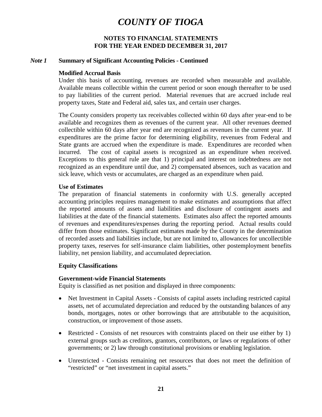### **NOTES TO FINANCIAL STATEMENTS FOR THE YEAR ENDED DECEMBER 31, 2017**

#### *Note 1* **Summary of Significant Accounting Policies - Continued**

#### **Modified Accrual Basis**

Under this basis of accounting, revenues are recorded when measurable and available. Available means collectible within the current period or soon enough thereafter to be used to pay liabilities of the current period. Material revenues that are accrued include real property taxes, State and Federal aid, sales tax, and certain user charges.

The County considers property tax receivables collected within 60 days after year-end to be available and recognizes them as revenues of the current year. All other revenues deemed collectible within 60 days after year end are recognized as revenues in the current year. If expenditures are the prime factor for determining eligibility, revenues from Federal and State grants are accrued when the expenditure is made. Expenditures are recorded when incurred. The cost of capital assets is recognized as an expenditure when received. Exceptions to this general rule are that 1) principal and interest on indebtedness are not recognized as an expenditure until due, and 2) compensated absences, such as vacation and sick leave, which vests or accumulates, are charged as an expenditure when paid.

#### **Use of Estimates**

The preparation of financial statements in conformity with U.S. generally accepted accounting principles requires management to make estimates and assumptions that affect the reported amounts of assets and liabilities and disclosure of contingent assets and liabilities at the date of the financial statements. Estimates also affect the reported amounts of revenues and expenditures/expenses during the reporting period. Actual results could differ from those estimates. Significant estimates made by the County in the determination of recorded assets and liabilities include, but are not limited to, allowances for uncollectible property taxes, reserves for self-insurance claim liabilities, other postemployment benefits liability, net pension liability, and accumulated depreciation.

#### **Equity Classifications**

#### **Government-wide Financial Statements**

Equity is classified as net position and displayed in three components:

- Net Investment in Capital Assets Consists of capital assets including restricted capital assets, net of accumulated depreciation and reduced by the outstanding balances of any bonds, mortgages, notes or other borrowings that are attributable to the acquisition, construction, or improvement of those assets.
- Restricted Consists of net resources with constraints placed on their use either by 1) external groups such as creditors, grantors, contributors, or laws or regulations of other governments; or 2) law through constitutional provisions or enabling legislation.
- Unrestricted Consists remaining net resources that does not meet the definition of "restricted" or "net investment in capital assets."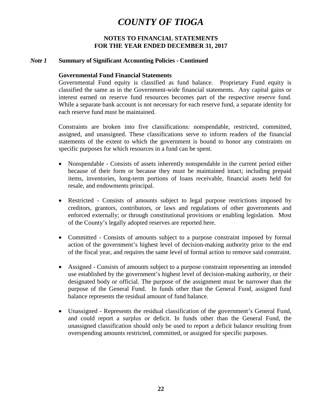### **NOTES TO FINANCIAL STATEMENTS FOR THE YEAR ENDED DECEMBER 31, 2017**

### *Note 1* **Summary of Significant Accounting Policies - Continued**

#### **Governmental Fund Financial Statements**

Governmental Fund equity is classified as fund balance. Proprietary Fund equity is classified the same as in the Government-wide financial statements. Any capital gains or interest earned on reserve fund resources becomes part of the respective reserve fund. While a separate bank account is not necessary for each reserve fund, a separate identity for each reserve fund must be maintained.

Constraints are broken into five classifications: nonspendable, restricted, committed, assigned, and unassigned. These classifications serve to inform readers of the financial statements of the extent to which the government is bound to honor any constraints on specific purposes for which resources in a fund can be spent.

- Nonspendable Consists of assets inherently nonspendable in the current period either because of their form or because they must be maintained intact; including prepaid items, inventories, long-term portions of loans receivable, financial assets held for resale, and endowments principal.
- Restricted Consists of amounts subject to legal purpose restrictions imposed by creditors, grantors, contributors, or laws and regulations of other governments and enforced externally; or through constitutional provisions or enabling legislation. Most of the County's legally adopted reserves are reported here.
- Committed Consists of amounts subject to a purpose constraint imposed by formal action of the government's highest level of decision-making authority prior to the end of the fiscal year, and requires the same level of formal action to remove said constraint.
- Assigned Consists of amounts subject to a purpose constraint representing an intended use established by the government's highest level of decision-making authority, or their designated body or official. The purpose of the assignment must be narrower than the purpose of the General Fund. In funds other than the General Fund, assigned fund balance represents the residual amount of fund balance.
- Unassigned Represents the residual classification of the government's General Fund, and could report a surplus or deficit. In funds other than the General Fund, the unassigned classification should only be used to report a deficit balance resulting from overspending amounts restricted, committed, or assigned for specific purposes.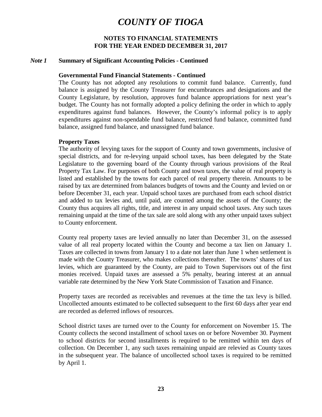### **NOTES TO FINANCIAL STATEMENTS FOR THE YEAR ENDED DECEMBER 31, 2017**

#### *Note 1* **Summary of Significant Accounting Policies - Continued**

#### **Governmental Fund Financial Statements - Continued**

The County has not adopted any resolutions to commit fund balance. Currently, fund balance is assigned by the County Treasurer for encumbrances and designations and the County Legislature, by resolution, approves fund balance appropriations for next year's budget. The County has not formally adopted a policy defining the order in which to apply expenditures against fund balances. However, the County's informal policy is to apply expenditures against non-spendable fund balance, restricted fund balance, committed fund balance, assigned fund balance, and unassigned fund balance.

#### **Property Taxes**

The authority of levying taxes for the support of County and town governments, inclusive of special districts, and for re-levying unpaid school taxes, has been delegated by the State Legislature to the governing board of the County through various provisions of the Real Property Tax Law. For purposes of both County and town taxes, the value of real property is listed and established by the towns for each parcel of real property therein. Amounts to be raised by tax are determined from balances budgets of towns and the County and levied on or before December 31, each year. Unpaid school taxes are purchased from each school district and added to tax levies and, until paid, are counted among the assets of the County; the County thus acquires all rights, title, and interest in any unpaid school taxes. Any such taxes remaining unpaid at the time of the tax sale are sold along with any other unpaid taxes subject to County enforcement.

County real property taxes are levied annually no later than December 31, on the assessed value of all real property located within the County and become a tax lien on January 1. Taxes are collected in towns from January 1 to a date not later than June 1 when settlement is made with the County Treasurer, who makes collections thereafter. The towns' shares of tax levies, which are guaranteed by the County, are paid to Town Supervisors out of the first monies received. Unpaid taxes are assessed a 5% penalty, bearing interest at an annual variable rate determined by the New York State Commission of Taxation and Finance.

Property taxes are recorded as receivables and revenues at the time the tax levy is billed. Uncollected amounts estimated to be collected subsequent to the first 60 days after year end are recorded as deferred inflows of resources.

School district taxes are turned over to the County for enforcement on November 15. The County collects the second installment of school taxes on or before November 30. Payment to school districts for second installments is required to be remitted within ten days of collection. On December 1, any such taxes remaining unpaid are relevied as County taxes in the subsequent year. The balance of uncollected school taxes is required to be remitted by April 1.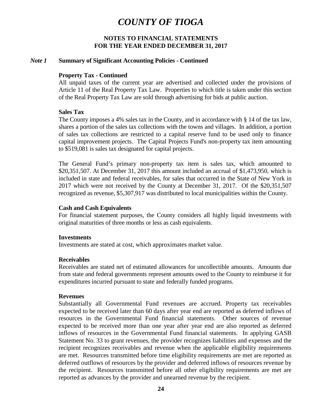## **NOTES TO FINANCIAL STATEMENTS FOR THE YEAR ENDED DECEMBER 31, 2017**

#### *Note 1* **Summary of Significant Accounting Policies - Continued**

#### **Property Tax - Continued**

All unpaid taxes of the current year are advertised and collected under the provisions of Article 11 of the Real Property Tax Law. Properties to which title is taken under this section of the Real Property Tax Law are sold through advertising for bids at public auction.

#### **Sales Tax**

The County imposes a 4% sales tax in the County, and in accordance with § 14 of the tax law, shares a portion of the sales tax collections with the towns and villages. In addition, a portion of sales tax collections are restricted to a capital reserve fund to be used only to finance capital improvement projects. The Capital Projects Fund's non-property tax item amounting to \$519,081 is sales tax designated for capital projects.

The General Fund's primary non-property tax item is sales tax, which amounted to \$20,351,507. At December 31, 2017 this amount included an accrual of \$1,473,950, which is included in state and federal receivables, for sales that occurred in the State of New York in 2017 which were not received by the County at December 31, 2017. Of the \$20,351,507 recognized as revenue, \$5,307,917 was distributed to local municipalities within the County.

#### **Cash and Cash Equivalents**

For financial statement purposes, the County considers all highly liquid investments with original maturities of three months or less as cash equivalents.

#### **Investments**

Investments are stated at cost, which approximates market value.

#### **Receivables**

Receivables are stated net of estimated allowances for uncollectible amounts. Amounts due from state and federal governments represent amounts owed to the County to reimburse it for expenditures incurred pursuant to state and federally funded programs.

#### **Revenues**

Substantially all Governmental Fund revenues are accrued. Property tax receivables expected to be received later than 60 days after year end are reported as deferred inflows of resources in the Governmental Fund financial statements. Other sources of revenue expected to be received more than one year after year end are also reported as deferred inflows of resources in the Governmental Fund financial statements. In applying GASB Statement No. 33 to grant revenues, the provider recognizes liabilities and expenses and the recipient recognizes receivables and revenue when the applicable eligibility requirements are met. Resources transmitted before time eligibility requirements are met are reported as deferred outflows of resources by the provider and deferred inflows of resources revenue by the recipient. Resources transmitted before all other eligibility requirements are met are reported as advances by the provider and unearned revenue by the recipient.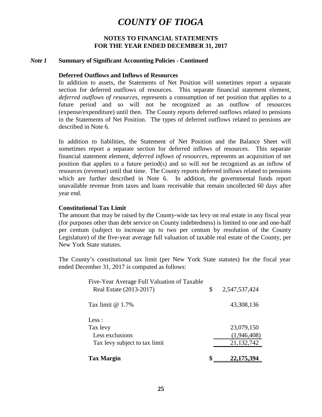### **NOTES TO FINANCIAL STATEMENTS FOR THE YEAR ENDED DECEMBER 31, 2017**

#### *Note 1* **Summary of Significant Accounting Policies - Continued**

### **Deferred Outflows and Inflows of Resources**

In addition to assets, the Statements of Net Position will sometimes report a separate section for deferred outflows of resources. This separate financial statement element, *deferred outflows of resources*, represents a consumption of net position that applies to a future period and so will not be recognized as an outflow of resources (expense/expenditure) until then. The County reports deferred outflows related to pensions in the Statements of Net Position. The types of deferred outflows related to pensions are described in Note 6.

In addition to liabilities, the Statement of Net Position and the Balance Sheet will sometimes report a separate section for deferred inflows of resources. This separate financial statement element, *deferred inflows of resources*, represents an acquisition of net position that applies to a future period(s) and so will *not* be recognized as an inflow of resources (revenue) until that time. The County reports deferred inflows related to pensions which are further described in Note 6. In addition, the governmental funds report unavailable revenue from taxes and loans receivable that remain uncollected 60 days after year end.

#### **Constitutional Tax Limit**

The amount that may be raised by the County-wide tax levy on real estate in any fiscal year (for purposes other than debt service on County indebtedness) is limited to one and one-half per centum (subject to increase up to two per centum by resolution of the County Legislature) of the five-year average full valuation of taxable real estate of the County, per New York State statutes.

The County's constitutional tax limit (per New York State statutes) for the fiscal year ended December 31, 2017 is computed as follows:

| <b>Tax Margin</b>                                                      | 22, 175, 394        |
|------------------------------------------------------------------------|---------------------|
| Tax levy subject to tax limit                                          | 21,132,742          |
| Less exclusions                                                        | (1,946,408)         |
| Tax levy                                                               | 23,079,150          |
| Less :                                                                 |                     |
| Tax limit $@1.7\%$                                                     | 43,308,136          |
| Five-Year Average Full Valuation of Taxable<br>Real Estate (2013-2017) | \$<br>2,547,537,424 |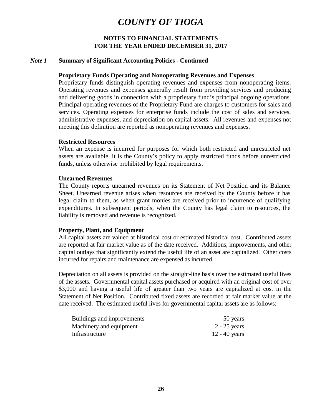## **NOTES TO FINANCIAL STATEMENTS FOR THE YEAR ENDED DECEMBER 31, 2017**

#### *Note 1* **Summary of Significant Accounting Policies - Continued**

#### **Proprietary Funds Operating and Nonoperating Revenues and Expenses**

Proprietary funds distinguish operating revenues and expenses from nonoperating items. Operating revenues and expenses generally result from providing services and producing and delivering goods in connection with a proprietary fund's principal ongoing operations. Principal operating revenues of the Proprietary Fund are charges to customers for sales and services. Operating expenses for enterprise funds include the cost of sales and services, administrative expenses, and depreciation on capital assets. All revenues and expenses not meeting this definition are reported as nonoperating revenues and expenses.

#### **Restricted Resources**

When an expense is incurred for purposes for which both restricted and unrestricted net assets are available, it is the County's policy to apply restricted funds before unrestricted funds, unless otherwise prohibited by legal requirements.

#### **Unearned Revenues**

The County reports unearned revenues on its Statement of Net Position and its Balance Sheet. Unearned revenue arises when resources are received by the County before it has legal claim to them, as when grant monies are received prior to incurrence of qualifying expenditures. In subsequent periods, when the County has legal claim to resources, the liability is removed and revenue is recognized.

#### **Property, Plant, and Equipment**

All capital assets are valued at historical cost or estimated historical cost. Contributed assets are reported at fair market value as of the date received. Additions, improvements, and other capital outlays that significantly extend the useful life of an asset are capitalized. Other costs incurred for repairs and maintenance are expensed as incurred.

Depreciation on all assets is provided on the straight-line basis over the estimated useful lives of the assets. Governmental capital assets purchased or acquired with an original cost of over \$3,000 and having a useful life of greater than two years are capitalized at cost in the Statement of Net Position. Contributed fixed assets are recorded at fair market value at the date received. The estimated useful lives for governmental capital assets are as follows:

| Buildings and improvements | 50 years       |
|----------------------------|----------------|
| Machinery and equipment    | $2 - 25$ years |
| Infrastructure             | 12 - 40 years  |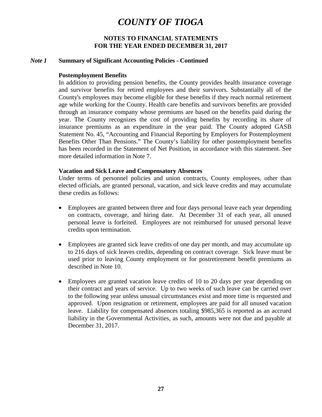### **NOTES TO FINANCIAL STATEMENTS FOR THE YEAR ENDED DECEMBER 31, 2017**

### *Note 1* **Summary of Significant Accounting Policies - Continued**

### **Postemployment Benefits**

In addition to providing pension benefits, the County provides health insurance coverage and survivor benefits for retired employees and their survivors. Substantially all of the County's employees may become eligible for these benefits if they reach normal retirement age while working for the County. Health care benefits and survivors benefits are provided through an insurance company whose premiums are based on the benefits paid during the year. The County recognizes the cost of providing benefits by recording its share of insurance premiums as an expenditure in the year paid. The County adopted GASB Statement No. 45, "Accounting and Financial Reporting by Employers for Postemployment Benefits Other Than Pensions." The County's liability for other postemployment benefits has been recorded in the Statement of Net Position, in accordance with this statement. See more detailed information in Note 7.

#### **Vacation and Sick Leave and Compensatory Absences**

Under terms of personnel policies and union contracts, County employees, other than elected officials, are granted personal, vacation, and sick leave credits and may accumulate these credits as follows:

- Employees are granted between three and four days personal leave each year depending on contracts, coverage, and hiring date. At December 31 of each year, all unused personal leave is forfeited. Employees are not reimbursed for unused personal leave credits upon termination.
- Employees are granted sick leave credits of one day per month, and may accumulate up to 216 days of sick leaves credits, depending on contract coverage. Sick leave must be used prior to leaving County employment or for postretirement benefit premiums as described in Note 10.
- Employees are granted vacation leave credits of 10 to 20 days per year depending on their contract and years of service. Up to two weeks of such leave can be carried over to the following year unless unusual circumstances exist and more time is requested and approved. Upon resignation or retirement, employees are paid for all unused vacation leave. Liability for compensated absences totaling \$985,365 is reported as an accrued liability in the Governmental Activities, as such, amounts were not due and payable at December 31, 2017.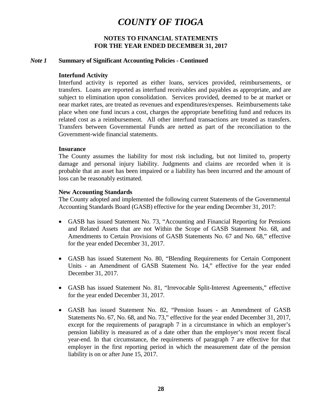### **NOTES TO FINANCIAL STATEMENTS FOR THE YEAR ENDED DECEMBER 31, 2017**

#### *Note 1* **Summary of Significant Accounting Policies - Continued**

#### **Interfund Activity**

Interfund activity is reported as either loans, services provided, reimbursements, or transfers. Loans are reported as interfund receivables and payables as appropriate, and are subject to elimination upon consolidation. Services provided, deemed to be at market or near market rates, are treated as revenues and expenditures/expenses. Reimbursements take place when one fund incurs a cost, charges the appropriate benefiting fund and reduces its related cost as a reimbursement. All other interfund transactions are treated as transfers. Transfers between Governmental Funds are netted as part of the reconciliation to the Government-wide financial statements.

#### **Insurance**

The County assumes the liability for most risk including, but not limited to, property damage and personal injury liability. Judgments and claims are recorded when it is probable that an asset has been impaired or a liability has been incurred and the amount of loss can be reasonably estimated.

#### **New Accounting Standards**

The County adopted and implemented the following current Statements of the Governmental Accounting Standards Board (GASB) effective for the year ending December 31, 2017:

- GASB has issued Statement No. 73, "Accounting and Financial Reporting for Pensions and Related Assets that are not Within the Scope of GASB Statement No. 68, and Amendments to Certain Provisions of GASB Statements No. 67 and No. 68," effective for the year ended December 31, 2017.
- GASB has issued Statement No. 80, "Blending Requirements for Certain Component Units - an Amendment of GASB Statement No. 14," effective for the year ended December 31, 2017.
- GASB has issued Statement No. 81, "Irrevocable Split-Interest Agreements," effective for the year ended December 31, 2017.
- GASB has issued Statement No. 82, "Pension Issues an Amendment of GASB Statements No. 67, No. 68, and No. 73," effective for the year ended December 31, 2017, except for the requirements of paragraph 7 in a circumstance in which an employer's pension liability is measured as of a date other than the employer's most recent fiscal year-end. In that circumstance, the requirements of paragraph 7 are effective for that employer in the first reporting period in which the measurement date of the pension liability is on or after June 15, 2017.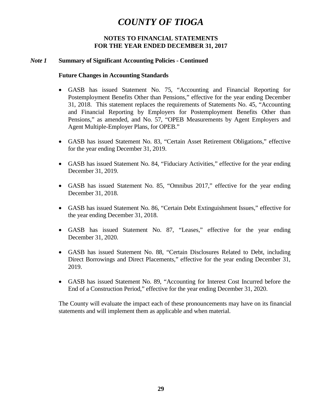### **NOTES TO FINANCIAL STATEMENTS FOR THE YEAR ENDED DECEMBER 31, 2017**

### *Note 1* **Summary of Significant Accounting Policies - Continued**

### **Future Changes in Accounting Standards**

- GASB has issued Statement No. 75, "Accounting and Financial Reporting for Postemployment Benefits Other than Pensions," effective for the year ending December 31, 2018. This statement replaces the requirements of Statements No. 45, "Accounting and Financial Reporting by Employers for Postemployment Benefits Other than Pensions," as amended, and No. 57, "OPEB Measurements by Agent Employers and Agent Multiple-Employer Plans, for OPEB."
- GASB has issued Statement No. 83, "Certain Asset Retirement Obligations," effective for the year ending December 31, 2019.
- GASB has issued Statement No. 84, "Fiduciary Activities," effective for the year ending December 31, 2019.
- GASB has issued Statement No. 85, "Omnibus 2017," effective for the year ending December 31, 2018.
- GASB has issued Statement No. 86, "Certain Debt Extinguishment Issues," effective for the year ending December 31, 2018.
- GASB has issued Statement No. 87, "Leases," effective for the year ending December 31, 2020.
- GASB has issued Statement No. 88, "Certain Disclosures Related to Debt, including Direct Borrowings and Direct Placements," effective for the year ending December 31, 2019.
- GASB has issued Statement No. 89, "Accounting for Interest Cost Incurred before the End of a Construction Period," effective for the year ending December 31, 2020.

The County will evaluate the impact each of these pronouncements may have on its financial statements and will implement them as applicable and when material.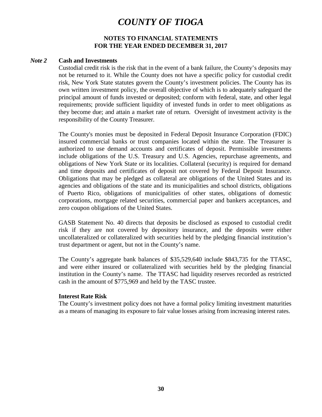### **NOTES TO FINANCIAL STATEMENTS FOR THE YEAR ENDED DECEMBER 31, 2017**

#### *Note 2* **Cash and Investments**

Custodial credit risk is the risk that in the event of a bank failure, the County's deposits may not be returned to it. While the County does not have a specific policy for custodial credit risk, New York State statutes govern the County's investment policies. The County has its own written investment policy, the overall objective of which is to adequately safeguard the principal amount of funds invested or deposited; conform with federal, state, and other legal requirements; provide sufficient liquidity of invested funds in order to meet obligations as they become due; and attain a market rate of return. Oversight of investment activity is the responsibility of the County Treasurer.

The County's monies must be deposited in Federal Deposit Insurance Corporation (FDIC) insured commercial banks or trust companies located within the state. The Treasurer is authorized to use demand accounts and certificates of deposit. Permissible investments include obligations of the U.S. Treasury and U.S. Agencies, repurchase agreements, and obligations of New York State or its localities. Collateral (security) is required for demand and time deposits and certificates of deposit not covered by Federal Deposit Insurance. Obligations that may be pledged as collateral are obligations of the United States and its agencies and obligations of the state and its municipalities and school districts, obligations of Puerto Rico, obligations of municipalities of other states, obligations of domestic corporations, mortgage related securities, commercial paper and bankers acceptances, and zero coupon obligations of the United States.

GASB Statement No. 40 directs that deposits be disclosed as exposed to custodial credit risk if they are not covered by depository insurance, and the deposits were either uncollateralized or collateralized with securities held by the pledging financial institution's trust department or agent, but not in the County's name.

The County's aggregate bank balances of \$35,529,640 include \$843,735 for the TTASC, and were either insured or collateralized with securities held by the pledging financial institution in the County's name. The TTASC had liquidity reserves recorded as restricted cash in the amount of \$775,969 and held by the TASC trustee.

#### **Interest Rate Risk**

The County's investment policy does not have a formal policy limiting investment maturities as a means of managing its exposure to fair value losses arising from increasing interest rates.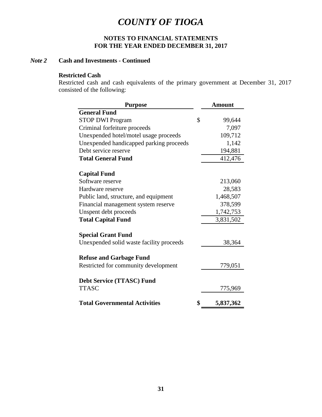## **NOTES TO FINANCIAL STATEMENTS FOR THE YEAR ENDED DECEMBER 31, 2017**

## *Note 2* **Cash and Investments - Continued**

#### **Restricted Cash**

Restricted cash and cash equivalents of the primary government at December 31, 2017 consisted of the following:

| <b>Purpose</b>                           | <b>Amount</b>   |
|------------------------------------------|-----------------|
| <b>General Fund</b>                      |                 |
| <b>STOP DWI Program</b>                  | \$<br>99,644    |
| Criminal forfeiture proceeds             | 7,097           |
| Unexpended hotel/motel usage proceeds    | 109,712         |
| Unexpended handicapped parking proceeds  | 1,142           |
| Debt service reserve                     | 194,881         |
| <b>Total General Fund</b>                | 412,476         |
|                                          |                 |
| <b>Capital Fund</b>                      |                 |
| Software reserve                         | 213,060         |
| Hardware reserve                         | 28,583          |
| Public land, structure, and equipment    | 1,468,507       |
| Financial management system reserve      | 378,599         |
| Unspent debt proceeds                    | 1,742,753       |
| <b>Total Capital Fund</b>                | 3,831,502       |
| <b>Special Grant Fund</b>                |                 |
| Unexpended solid waste facility proceeds | 38,364          |
| <b>Refuse and Garbage Fund</b>           |                 |
|                                          |                 |
| Restricted for community development     | 779,051         |
| <b>Debt Service (TTASC) Fund</b>         |                 |
| <b>TTASC</b>                             | 775,969         |
| <b>Total Governmental Activities</b>     | \$<br>5,837,362 |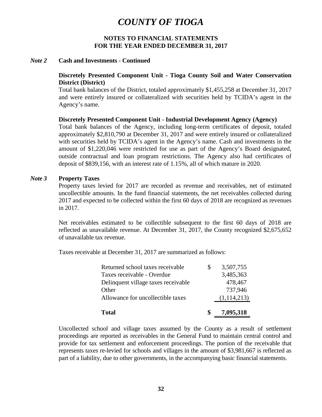## **NOTES TO FINANCIAL STATEMENTS FOR THE YEAR ENDED DECEMBER 31, 2017**

#### *Note 2* **Cash and Investments - Continued**

#### **Discretely Presented Component Unit - Tioga County Soil and Water Conservation District (District)**

Total bank balances of the District, totaled approximately \$1,455,258 at December 31, 2017 and were entirely insured or collateralized with securities held by TCIDA's agent in the Agency's name.

#### **Discretely Presented Component Unit - Industrial Development Agency (Agency)**

Total bank balances of the Agency, including long-term certificates of deposit, totaled approximately \$2,810,790 at December 31, 2017 and were entirely insured or collateralized with securities held by TCIDA's agent in the Agency's name. Cash and investments in the amount of \$1,220,046 were restricted for use as part of the Agency's Board designated, outside contractual and loan program restrictions. The Agency also had certificates of deposit of \$839,156, with an interest rate of 1.15%, all of which mature in 2020.

#### *Note 3* **Property Taxes**

Property taxes levied for 2017 are recorded as revenue and receivables, net of estimated uncollectible amounts. In the fund financial statements, the net receivables collected during 2017 and expected to be collected within the first 60 days of 2018 are recognized as revenues in 2017.

Net receivables estimated to be collectible subsequent to the first 60 days of 2018 are reflected as unavailable revenue. At December 31, 2017, the County recognized \$2,675,652 of unavailable tax revenue.

Taxes receivable at December 31, 2017 are summarized as follows:

| <b>Total</b>                        | \$ | 7,095,318   |
|-------------------------------------|----|-------------|
| Allowance for uncollectible taxes   |    | (1,114,213) |
| Other                               |    | 737,946     |
| Delinquent village taxes receivable |    | 478,467     |
| Taxes receivable - Overdue          |    | 3,485,363   |
| Returned school taxes receivable    | S  | 3,507,755   |

Uncollected school and village taxes assumed by the County as a result of settlement proceedings are reported as receivables in the General Fund to maintain central control and provide for tax settlement and enforcement proceedings. The portion of the receivable that represents taxes re-levied for schools and villages in the amount of \$3,981,667 is reflected as part of a liability, due to other governments, in the accompanying basic financial statements.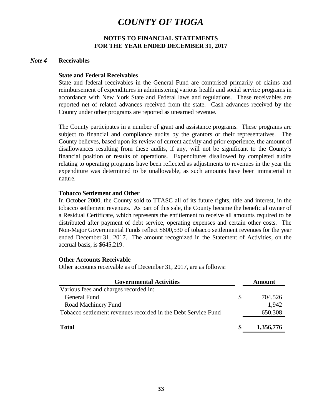### **NOTES TO FINANCIAL STATEMENTS FOR THE YEAR ENDED DECEMBER 31, 2017**

#### *Note 4* **Receivables**

#### **State and Federal Receivables**

State and federal receivables in the General Fund are comprised primarily of claims and reimbursement of expenditures in administering various health and social service programs in accordance with New York State and Federal laws and regulations. These receivables are reported net of related advances received from the state. Cash advances received by the County under other programs are reported as unearned revenue.

The County participates in a number of grant and assistance programs. These programs are subject to financial and compliance audits by the grantors or their representatives. The County believes, based upon its review of current activity and prior experience, the amount of disallowances resulting from these audits, if any, will not be significant to the County's financial position or results of operations. Expenditures disallowed by completed audits relating to operating programs have been reflected as adjustments to revenues in the year the expenditure was determined to be unallowable, as such amounts have been immaterial in nature.

#### **Tobacco Settlement and Other**

In October 2000, the County sold to TTASC all of its future rights, title and interest, in the tobacco settlement revenues. As part of this sale, the County became the beneficial owner of a Residual Certificate, which represents the entitlement to receive all amounts required to be distributed after payment of debt service, operating expenses and certain other costs. The Non-Major Governmental Funds reflect \$600,530 of tobacco settlement revenues for the year ended December 31, 2017. The amount recognized in the Statement of Activities, on the accrual basis, is \$645,219.

#### **Other Accounts Receivable**

Other accounts receivable as of December 31, 2017, are as follows:

| <b>Governmental Activities</b>                                |     | Amount    |
|---------------------------------------------------------------|-----|-----------|
| Various fees and charges recorded in:                         |     |           |
| General Fund                                                  | \$. | 704,526   |
| Road Machinery Fund                                           |     | 1,942     |
| Tobacco settlement revenues recorded in the Debt Service Fund |     | 650,308   |
| <b>Total</b>                                                  | S   | 1,356,776 |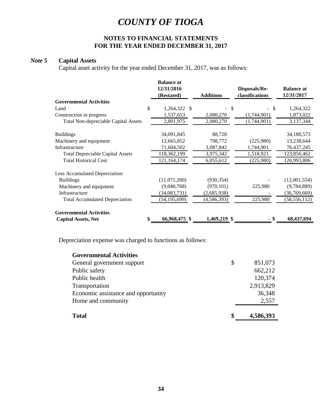## **NOTES TO FINANCIAL STATEMENTS FOR THE YEAR ENDED DECEMBER 31, 2017**

### *Note 5* **Capital Assets**

Capital asset activity for the year ended December 31, 2017, was as follows:

|                                             | <b>Balance at</b>               |                  |                                  |                                 |
|---------------------------------------------|---------------------------------|------------------|----------------------------------|---------------------------------|
|                                             | 12/31/2016<br>(Restated)        | <b>Additions</b> | Disposals/Re-<br>classifications | <b>Balance</b> at<br>12/31/2017 |
| <b>Governmental Activities</b>              |                                 |                  |                                  |                                 |
| Land                                        | \$<br>1,264,322<br>$\mathbb{S}$ | \$<br>۰          | S                                | 1,264,322                       |
| Construction in progress                    | 1,537,653                       | 2,080,270        | (1,744,901)                      | 1,873,022                       |
| <b>Total Non-depreciable Capital Assets</b> | 2,801,975                       | 2,080,270        | (1,744,901)                      | 3,137,344                       |
| <b>Buildings</b>                            | 34,091,845                      | 88,728           |                                  | 34,180,573                      |
| Machinery and equipment                     | 12,665,852                      | 798,772          | (225,980)                        | 13,238,644                      |
| Infrastructure                              | 71,604,502                      | 3,087,842        | 1,744,901                        | 76,437,245                      |
| <b>Total Depreciable Capital Assets</b>     | 118,362,199                     | 3,975,342        | 1,518,921                        | 123,856,462                     |
| <b>Total Historical Cost</b>                | 121, 164, 174                   | 6,055,612        | (225,980)                        | 126,993,806                     |
| Less Accumulated Depreciation:              |                                 |                  |                                  |                                 |
| <b>Buildings</b>                            | (11,071,200)                    | (930, 354)       |                                  | (12,001,554)                    |
| Machinery and equipment                     | (9,040,768)                     | (970, 101)       | 225,980                          | (9,784,889)                     |
| Infrastructure                              | (34,083,731)                    | (2,685,938)      |                                  | (36,769,669)                    |
| <b>Total Accumulated Depreciation</b>       | (54, 195, 699)                  | (4, 586, 393)    | 225,980                          | (58, 556, 112)                  |
| <b>Governmental Activities</b>              |                                 |                  |                                  |                                 |
| <b>Capital Assets, Net</b>                  | \$<br>66,968,475 \$             | 1,469,219 \$     | -\$                              | 68,437,694                      |

Depreciation expense was charged to functions as follows:

| <b>Governmental Activities</b>      |                 |
|-------------------------------------|-----------------|
| General government support          | \$<br>851,073   |
| Public safety                       | 662,212         |
| Public health                       | 120,374         |
| Transportation                      | 2,913,829       |
| Economic assistance and opportunity | 36,348          |
| Home and community                  | 2,557           |
|                                     |                 |
| <b>Total</b>                        | \$<br>4,586,393 |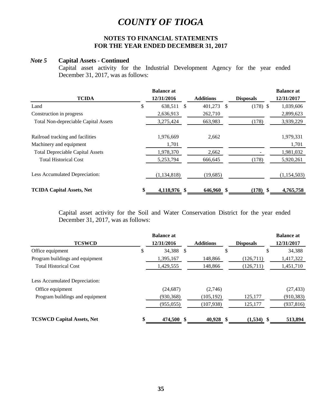## **NOTES TO FINANCIAL STATEMENTS FOR THE YEAR ENDED DECEMBER 31, 2017**

## *Note 5* **Capital Assets - Continued**

Capital asset activity for the Industrial Development Agency for the year ended December 31, 2017, was as follows:

|                                             | <b>Balance at</b>   |                          |                  | <b>Balance at</b> |
|---------------------------------------------|---------------------|--------------------------|------------------|-------------------|
| <b>TCIDA</b>                                | 12/31/2016          | <b>Additions</b>         | <b>Disposals</b> | 12/31/2017        |
| Land                                        | \$<br>638,511<br>-S | 401,273<br><sup>\$</sup> | $(178)$ \$       | 1,039,606         |
| Construction in progress                    | 2,636,913           | 262,710                  |                  | 2,899,623         |
| <b>Total Non-depreciable Capital Assets</b> | 3,275,424           | 663,983                  | (178)            | 3,939,229         |
| Railroad tracking and facilities            | 1,976,669           | 2,662                    |                  | 1,979,331         |
| Machinery and equipment                     | 1,701               |                          |                  | 1,701             |
| <b>Total Depreciable Capital Assets</b>     | 1,978,370           | 2,662                    |                  | 1,981,032         |
| <b>Total Historical Cost</b>                | 5,253,794           | 666,645                  | (178)            | 5,920,261         |
| Less Accumulated Depreciation:              | (1, 134, 818)       | (19,685)                 |                  | (1,154,503)       |
| <b>TCIDA Capital Assets, Net</b>            | 4,118,976<br>-S     | 646,960                  | $(178)$ \$       | 4,765,758         |

Capital asset activity for the Soil and Water Conservation District for the year ended December 31, 2017, was as follows:

|                                   | <b>Balance at</b> |                  |                  | <b>Balance at</b> |
|-----------------------------------|-------------------|------------------|------------------|-------------------|
| <b>TCSWCD</b>                     | 12/31/2016        | <b>Additions</b> | <b>Disposals</b> | 12/31/2017        |
| Office equipment                  | \$<br>34,388 \$   | D                | \$               | 34,388            |
| Program buildings and equipment   | 1,395,167         | 148,866          | (126,711)        | 1,417,322         |
| <b>Total Historical Cost</b>      | 1,429,555         | 148,866          | (126, 711)       | 1,451,710         |
| Less Accumulated Depreciation:    |                   |                  |                  |                   |
| Office equipment                  | (24, 687)         | (2,746)          |                  | (27, 433)         |
| Program buildings and equipment   | (930, 368)        | (105, 192)       | 125,177          | (910, 383)        |
|                                   | (955, 055)        | (107, 938)       | 125,177          | (937, 816)        |
| <b>TCSWCD Capital Assets, Net</b> | 474,500<br>\$.    | 40,928<br>\$.    | $(1,534)$ \$     | 513,894           |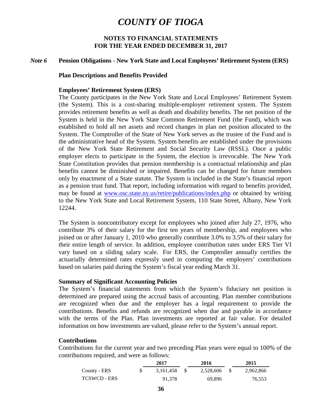### **NOTES TO FINANCIAL STATEMENTS FOR THE YEAR ENDED DECEMBER 31, 2017**

#### *Note 6* **Pension Obligations - New York State and Local Employees' Retirement System (ERS)**

#### **Plan Descriptions and Benefits Provided**

#### **Employees' Retirement System (ERS)**

The County participates in the New York State and Local Employees' Retirement System (the System). This is a cost-sharing multiple-employer retirement system. The System provides retirement benefits as well as death and disability benefits. The net position of the System is held in the New York State Common Retirement Fund (the Fund), which was established to hold all net assets and record changes in plan net position allocated to the System. The Comptroller of the State of New York serves as the trustee of the Fund and is the administrative head of the System. System benefits are established under the provisions of the New York State Retirement and Social Security Law (RSSL). Once a public employer elects to participate in the System, the election is irrevocable. The New York State Constitution provides that pension membership is a contractual relationship and plan benefits cannot be diminished or impaired. Benefits can be changed for future members only by enactment of a State statute. The System is included in the State's financial report as a pension trust fund. That report, including information with regard to benefits provided, may be found at [www.osc.state.ny.us/retire/publications/index.php](http://www.osc.state.ny.us/retire/publications/index.php) or obtained by writing to the New York State and Local Retirement System, 110 State Street, Albany, New York 12244.

The System is noncontributory except for employees who joined after July 27, 1976, who contribute 3% of their salary for the first ten years of membership, and employees who joined on or after January 1, 2010 who generally contribute 3.0% to 3.5% of their salary for their entire length of service. In addition, employee contribution rates under ERS Tier VI vary based on a sliding salary scale. For ERS, the Comptroller annually certifies the actuarially determined rates expressly used in computing the employers' contributions based on salaries paid during the System's fiscal year ending March 31.

#### **Summary of Significant Accounting Policies**

The System's financial statements from which the System's fiduciary net position is determined are prepared using the accrual basis of accounting. Plan member contributions are recognized when due and the employer has a legal requirement to provide the contributions. Benefits and refunds are recognized when due and payable in accordance with the terms of the Plan. Plan investments are reported at fair value. For detailed information on how investments are valued, please refer to the System's annual report.

#### **Contributions**

Contributions for the current year and two preceding Plan years were equal to 100% of the contributions required, and were as follows:

|                     | 2017      | 2016      | 2015      |
|---------------------|-----------|-----------|-----------|
| County - ERS        | 3.161.458 | 2.528.606 | 2,962,866 |
| <b>TCSWCD - ERS</b> | 91.378    | 69,896    | 76,553    |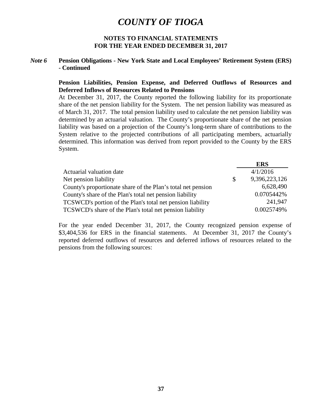#### **NOTES TO FINANCIAL STATEMENTS FOR THE YEAR ENDED DECEMBER 31, 2017**

#### *Note 6* **Pension Obligations - New York State and Local Employees' Retirement System (ERS) - Continued**

## **Pension Liabilities, Pension Expense, and Deferred Outflows of Resources and Deferred Inflows of Resources Related to Pensions**

At December 31, 2017, the County reported the following liability for its proportionate share of the net pension liability for the System. The net pension liability was measured as of March 31, 2017. The total pension liability used to calculate the net pension liability was determined by an actuarial valuation. The County's proportionate share of the net pension liability was based on a projection of the County's long-term share of contributions to the System relative to the projected contributions of all participating members, actuarially determined. This information was derived from report provided to the County by the ERS System.

|                                                              |          | <b>ERS</b>    |
|--------------------------------------------------------------|----------|---------------|
| Actuarial valuation date                                     |          | 4/1/2016      |
| Net pension liability                                        | <b>S</b> | 9,396,223,126 |
| County's proportionate share of the Plan's total net pension |          | 6,628,490     |
| County's share of the Plan's total net pension liability     |          | 0.0705442%    |
| TCSWCD's portion of the Plan's total net pension liability   |          | 241,947       |
| TCSWCD's share of the Plan's total net pension liability     |          | 0.0025749%    |

For the year ended December 31, 2017, the County recognized pension expense of \$3,404,536 for ERS in the financial statements. At December 31, 2017 the County's reported deferred outflows of resources and deferred inflows of resources related to the pensions from the following sources: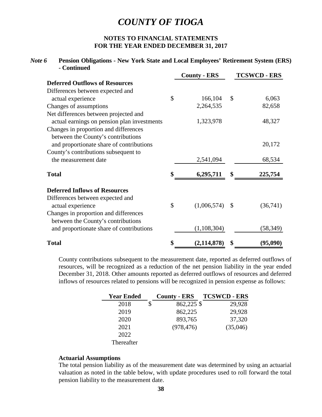#### **NOTES TO FINANCIAL STATEMENTS FOR THE YEAR ENDED DECEMBER 31, 2017**

#### *Note 6* **Pension Obligations - New York State and Local Employees' Retirement System (ERS) - Continued**

|                                             | <b>County - ERS</b> |                           | <b>TCSWCD - ERS</b> |
|---------------------------------------------|---------------------|---------------------------|---------------------|
| <b>Deferred Outflows of Resources</b>       |                     |                           |                     |
| Differences between expected and            |                     |                           |                     |
| actual experience                           | \$<br>166,104       | \$                        | 6,063               |
| Changes of assumptions                      | 2,264,535           |                           | 82,658              |
| Net differences between projected and       |                     |                           |                     |
| actual earnings on pension plan investments | 1,323,978           |                           | 48,327              |
| Changes in proportion and differences       |                     |                           |                     |
| between the County's contributions          |                     |                           |                     |
| and proportionate share of contributions    |                     |                           | 20,172              |
| County's contributions subsequent to        |                     |                           |                     |
| the measurement date                        | 2,541,094           |                           | 68,534              |
| <b>Total</b>                                | \$<br>6,295,711     | \$                        | 225,754             |
|                                             |                     |                           |                     |
| <b>Deferred Inflows of Resources</b>        |                     |                           |                     |
| Differences between expected and            |                     |                           |                     |
| actual experience                           | \$<br>(1,006,574)   | $\boldsymbol{\mathsf{S}}$ | (36,741)            |
| Changes in proportion and differences       |                     |                           |                     |
| between the County's contributions          |                     |                           |                     |
| and proportionate share of contributions    | (1,108,304)         |                           | (58, 349)           |
| <b>Total</b>                                | \$<br>(2, 114, 878) | \$                        | (95,090)            |

County contributions subsequent to the measurement date, reported as deferred outflows of resources, will be recognized as a reduction of the net pension liability in the year ended December 31, 2018. Other amounts reported as deferred outflows of resources and deferred inflows of resources related to pensions will be recognized in pension expense as follows:

| <b>Year Ended</b> | <b>County - ERS</b> | <b>TCSWCD - ERS</b> |
|-------------------|---------------------|---------------------|
| 2018              | \$<br>862,225 \$    | 29,928              |
| 2019              | 862,225             | 29,928              |
| 2020              | 893,765             | 37,320              |
| 2021              | (978, 476)          | (35,046)            |
| 2022              |                     |                     |
| Thereafter        |                     |                     |

#### **Actuarial Assumptions**

The total pension liability as of the measurement date was determined by using an actuarial valuation as noted in the table below, with update procedures used to roll forward the total pension liability to the measurement date.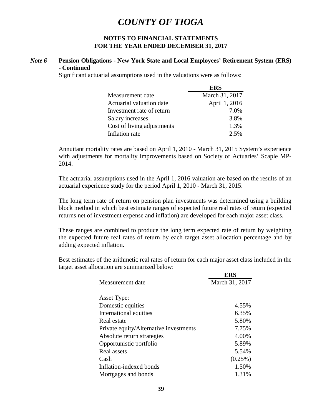#### **NOTES TO FINANCIAL STATEMENTS FOR THE YEAR ENDED DECEMBER 31, 2017**

### *Note 6* **Pension Obligations - New York State and Local Employees' Retirement System (ERS) - Continued**

Significant actuarial assumptions used in the valuations were as follows:

|                            | ERS            |
|----------------------------|----------------|
| Measurement date           | March 31, 2017 |
| Actuarial valuation date   | April 1, 2016  |
| Investment rate of return  | 7.0%           |
| Salary increases           | 3.8%           |
| Cost of living adjustments | 1.3%           |
| Inflation rate             | 2.5%           |

Annuitant mortality rates are based on April 1, 2010 - March 31, 2015 System's experience with adjustments for mortality improvements based on Society of Actuaries' Scaple MP-2014.

The actuarial assumptions used in the April 1, 2016 valuation are based on the results of an actuarial experience study for the period April 1, 2010 - March 31, 2015.

The long term rate of return on pension plan investments was determined using a building block method in which best estimate ranges of expected future real rates of return (expected returns net of investment expense and inflation) are developed for each major asset class.

These ranges are combined to produce the long term expected rate of return by weighting the expected future real rates of return by each target asset allocation percentage and by adding expected inflation.

Best estimates of the arithmetic real rates of return for each major asset class included in the target asset allocation are summarized below:

**ERS**

|                                        | ERS            |
|----------------------------------------|----------------|
| Measurement date                       | March 31, 2017 |
| <b>Asset Type:</b>                     |                |
| Domestic equities                      | 4.55%          |
| International equities                 | 6.35%          |
| Real estate                            | 5.80%          |
| Private equity/Alternative investments | 7.75%          |
| Absolute return strategies             | 4.00%          |
| Opportunistic portfolio                | 5.89%          |
| Real assets                            | 5.54%          |
| Cash                                   | $(0.25\%)$     |
| Inflation-indexed bonds                | 1.50%          |
| Mortgages and bonds                    | 1.31%          |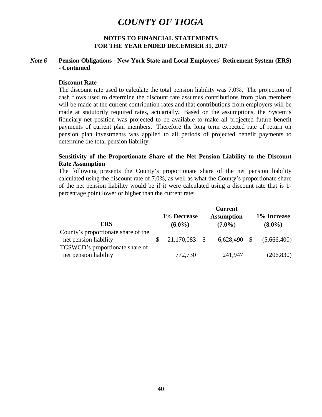### **NOTES TO FINANCIAL STATEMENTS FOR THE YEAR ENDED DECEMBER 31, 2017**

### *Note 6* **Pension Obligations - New York State and Local Employees' Retirement System (ERS) - Continued**

#### **Discount Rate**

The discount rate used to calculate the total pension liability was 7.0%. The projection of cash flows used to determine the discount rate assumes contributions from plan members will be made at the current contribution rates and that contributions from employers will be made at statutorily required rates, actuarially. Based on the assumptions, the System's fiduciary net position was projected to be available to make all projected future benefit payments of current plan members. Therefore the long term expected rate of return on pension plan investments was applied to all periods of projected benefit payments to determine the total pension liability.

## **Sensitivity of the Proportionate Share of the Net Pension Liability to the Discount Rate Assumption**

The following presents the County's proportionate share of the net pension liability calculated using the discount rate of 7.0%, as well as what the County's proportionate share of the net pension liability would be if it were calculated using a discount rate that is 1 percentage point lower or higher than the current rate:

| <b>ERS</b>                                               |  | 1% Decrease<br>$(6.0\%)$ | <b>Current</b><br><b>Assumption</b><br>$(7.0\%)$ | 1% Increase<br>$(8.0\%)$ |             |
|----------------------------------------------------------|--|--------------------------|--------------------------------------------------|--------------------------|-------------|
| County's proportionate share of the                      |  |                          |                                                  |                          |             |
| net pension liability<br>TCSWCD's proportionate share of |  | 21,170,083 \$            | $6,628,490$ \$                                   |                          | (5,666,400) |
| net pension liability                                    |  | 772,730                  | 241,947                                          |                          | (206, 830)  |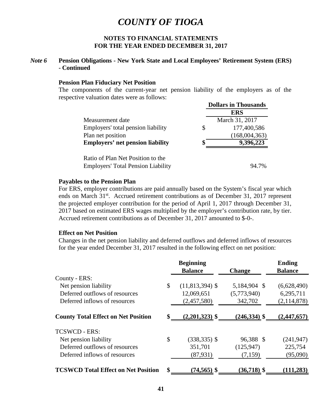#### **NOTES TO FINANCIAL STATEMENTS FOR THE YEAR ENDED DECEMBER 31, 2017**

#### *Note 6* **Pension Obligations - New York State and Local Employees' Retirement System (ERS) - Continued**

#### **Pension Plan Fiduciary Net Position**

The components of the current-year net pension liability of the employers as of the respective valuation dates were as follows:

|                                                                                | <b>Dollars in Thousands</b> |
|--------------------------------------------------------------------------------|-----------------------------|
|                                                                                | <b>ERS</b>                  |
| Measurement date                                                               | March 31, 2017              |
| Employers' total pension liability                                             | \$<br>177,400,586           |
| Plan net position                                                              | (168,004,363)               |
| <b>Employers' net pension liability</b>                                        | 9,396,223                   |
| Ratio of Plan Net Position to the<br><b>Employers' Total Pension Liability</b> | 94.7%                       |

#### **Payables to the Pension Plan**

For ERS, employer contributions are paid annually based on the System's fiscal year which ends on March 31<sup>st</sup>. Accrued retirement contributions as of December 31, 2017 represent the projected employer contribution for the period of April 1, 2017 through December 31, 2017 based on estimated ERS wages multiplied by the employer's contribution rate, by tier. Accrued retirement contributions as of December 31, 2017 amounted to \$-0-.

#### **Effect on Net Position**

Changes in the net pension liability and deferred outflows and deferred inflows of resources for the year ended December 31, 2017 resulted in the following effect on net position:

|                                            | <b>Beginning</b><br><b>Balance</b> | <b>Change</b>   | <b>Ending</b><br><b>Balance</b> |
|--------------------------------------------|------------------------------------|-----------------|---------------------------------|
| County - ERS:                              |                                    |                 |                                 |
| Net pension liability                      | \$<br>$(11,813,394)$ \$            | 5,184,904 \$    | (6,628,490)                     |
| Deferred outflows of resources             | 12,069,651                         | (5,773,940)     | 6,295,711                       |
| Deferred inflows of resources              | (2,457,580)                        | 342,702         | (2,114,878)                     |
| <b>County Total Effect on Net Position</b> | $(2,201,323)$ \$                   | $(246, 334)$ \$ | (2,447,657)                     |
| <b>TCSWCD - ERS:</b>                       |                                    |                 |                                 |
| Net pension liability                      | \$<br>$(338, 335)$ \$              | 96,388 \$       | (241, 947)                      |
| Deferred outflows of resources             | 351,701                            | (125, 947)      | 225,754                         |
| Deferred inflows of resources              | (87, 931)                          | (7,159)         | (95,090)                        |
| <b>TCSWCD Total Effect on Net Position</b> | \$<br>(74,565) \$                  | $(36,718)$ \$   | (111, 283)                      |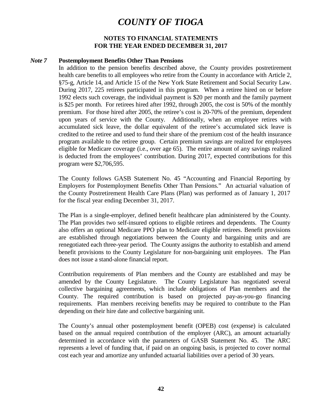### **NOTES TO FINANCIAL STATEMENTS FOR THE YEAR ENDED DECEMBER 31, 2017**

#### *Note 7* **Postemployment Benefits Other Than Pensions**

In addition to the pension benefits described above, the County provides postretirement health care benefits to all employees who retire from the County in accordance with Article 2, §75-g, Article 14, and Article 15 of the New York State Retirement and Social Security Law. During 2017, 225 retirees participated in this program. When a retiree hired on or before 1992 elects such coverage, the individual payment is \$20 per month and the family payment is \$25 per month. For retirees hired after 1992, through 2005, the cost is 50% of the monthly premium. For those hired after 2005, the retiree's cost is 20-70% of the premium, dependent upon years of service with the County. Additionally, when an employee retires with accumulated sick leave, the dollar equivalent of the retiree's accumulated sick leave is credited to the retiree and used to fund their share of the premium cost of the health insurance program available to the retiree group. Certain premium savings are realized for employees eligible for Medicare coverage (i.e., over age 65). The entire amount of any savings realized is deducted from the employees' contribution. During 2017, expected contributions for this program were \$2,706,595.

The County follows GASB Statement No. 45 "Accounting and Financial Reporting by Employers for Postemployment Benefits Other Than Pensions." An actuarial valuation of the County Postretirement Health Care Plans (Plan) was performed as of January 1, 2017 for the fiscal year ending December 31, 2017.

The Plan is a single-employer, defined benefit healthcare plan administered by the County. The Plan provides two self-insured options to eligible retirees and dependents. The County also offers an optional Medicare PPO plan to Medicare eligible retirees. Benefit provisions are established through negotiations between the County and bargaining units and are renegotiated each three-year period. The County assigns the authority to establish and amend benefit provisions to the County Legislature for non-bargaining unit employees. The Plan does not issue a stand-alone financial report.

Contribution requirements of Plan members and the County are established and may be amended by the County Legislature. The County Legislature has negotiated several collective bargaining agreements, which include obligations of Plan members and the County. The required contribution is based on projected pay-as-you-go financing requirements. Plan members receiving benefits may be required to contribute to the Plan depending on their hire date and collective bargaining unit.

The County's annual other postemployment benefit (OPEB) cost (expense) is calculated based on the annual required contribution of the employer (ARC), an amount actuarially determined in accordance with the parameters of GASB Statement No. 45. The ARC represents a level of funding that, if paid on an ongoing basis, is projected to cover normal cost each year and amortize any unfunded actuarial liabilities over a period of 30 years.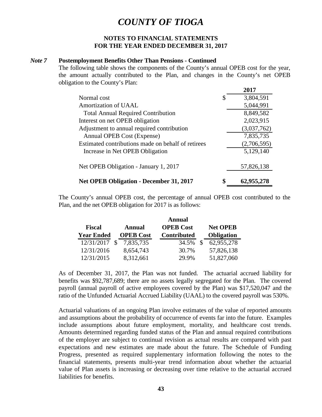#### **NOTES TO FINANCIAL STATEMENTS FOR THE YEAR ENDED DECEMBER 31, 2017**

#### *Note 7* **Postemployment Benefits Other Than Pensions - Continued**

The following table shows the components of the County's annual OPEB cost for the year, the amount actually contributed to the Plan, and changes in the County's net OPEB obligation to the County's Plan:

**2017**

|                                                    | 20 L L         |
|----------------------------------------------------|----------------|
| Normal cost                                        | 3,804,591<br>S |
| Amortization of UAAL                               | 5,044,991      |
| <b>Total Annual Required Contribution</b>          | 8,849,582      |
| Interest on net OPEB obligation                    | 2,023,915      |
| Adjustment to annual required contribution         | (3,037,762)    |
| Annual OPEB Cost (Expense)                         | 7,835,735      |
| Estimated contributions made on behalf of retirees | (2,706,595)    |
| Increase in Net OPEB Obligation                    | 5,129,140      |
|                                                    |                |
| Net OPEB Obligation - January 1, 2017              | 57,826,138     |
|                                                    |                |
| <b>Net OPEB Obligation - December 31, 2017</b>     | 62,955,278     |

The County's annual OPEB cost, the percentage of annual OPEB cost contributed to the Plan, and the net OPEB obligation for 2017 is as follows:

|                   |                  | <b>Annual</b>      |                   |
|-------------------|------------------|--------------------|-------------------|
| <b>Fiscal</b>     | <b>Annual</b>    | <b>OPEB Cost</b>   | <b>Net OPEB</b>   |
| <b>Year Ended</b> | <b>OPEB Cost</b> | <b>Contributed</b> | <b>Obligation</b> |
| 12/31/2017        | 7,835,735        | 34.5%              | 62,955,278        |
| 12/31/2016        | 8,654,743        | 30.7%              | 57,826,138        |
| 12/31/2015        | 8,312,661        | 29.9%              | 51,827,060        |

As of December 31, 2017, the Plan was not funded. The actuarial accrued liability for benefits was \$92,787,689; there are no assets legally segregated for the Plan. The covered payroll (annual payroll of active employees covered by the Plan) was \$17,520,047 and the ratio of the Unfunded Actuarial Accrued Liability (UAAL) to the covered payroll was 530%.

Actuarial valuations of an ongoing Plan involve estimates of the value of reported amounts and assumptions about the probability of occurrence of events far into the future. Examples include assumptions about future employment, mortality, and healthcare cost trends. Amounts determined regarding funded status of the Plan and annual required contributions of the employer are subject to continual revision as actual results are compared with past expectations and new estimates are made about the future. The Schedule of Funding Progress, presented as required supplementary information following the notes to the financial statements, presents multi-year trend information about whether the actuarial value of Plan assets is increasing or decreasing over time relative to the actuarial accrued liabilities for benefits.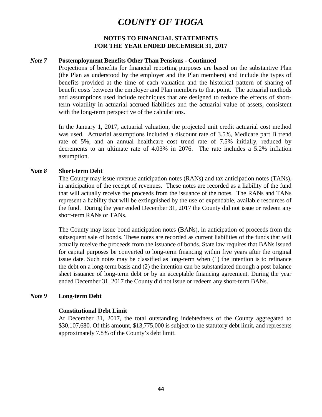### **NOTES TO FINANCIAL STATEMENTS FOR THE YEAR ENDED DECEMBER 31, 2017**

#### *Note 7* **Postemployment Benefits Other Than Pensions - Continued**

Projections of benefits for financial reporting purposes are based on the substantive Plan (the Plan as understood by the employer and the Plan members) and include the types of benefits provided at the time of each valuation and the historical pattern of sharing of benefit costs between the employer and Plan members to that point. The actuarial methods and assumptions used include techniques that are designed to reduce the effects of shortterm volatility in actuarial accrued liabilities and the actuarial value of assets, consistent with the long-term perspective of the calculations.

In the January 1, 2017, actuarial valuation, the projected unit credit actuarial cost method was used. Actuarial assumptions included a discount rate of 3.5%, Medicare part B trend rate of 5%, and an annual healthcare cost trend rate of 7.5% initially, reduced by decrements to an ultimate rate of 4.03% in 2076. The rate includes a 5.2% inflation assumption.

#### *Note 8* **Short-term Debt**

The County may issue revenue anticipation notes (RANs) and tax anticipation notes (TANs), in anticipation of the receipt of revenues. These notes are recorded as a liability of the fund that will actually receive the proceeds from the issuance of the notes. The RANs and TANs represent a liability that will be extinguished by the use of expendable, available resources of the fund. During the year ended December 31, 2017 the County did not issue or redeem any short-term RANs or TANs.

The County may issue bond anticipation notes (BANs), in anticipation of proceeds from the subsequent sale of bonds. These notes are recorded as current liabilities of the funds that will actually receive the proceeds from the issuance of bonds. State law requires that BANs issued for capital purposes be converted to long-term financing within five years after the original issue date. Such notes may be classified as long-term when (1) the intention is to refinance the debt on a long-term basis and (2) the intention can be substantiated through a post balance sheet issuance of long**-**term debt or by an acceptable financing agreement. During the year ended December 31, 2017 the County did not issue or redeem any short-term BANs.

#### *Note 9* **Long-term Debt**

#### **Constitutional Debt Limit**

At December 31, 2017, the total outstanding indebtedness of the County aggregated to \$30,107,680. Of this amount, \$13,775,000 is subject to the statutory debt limit, and represents approximately 7.8% of the County's debt limit.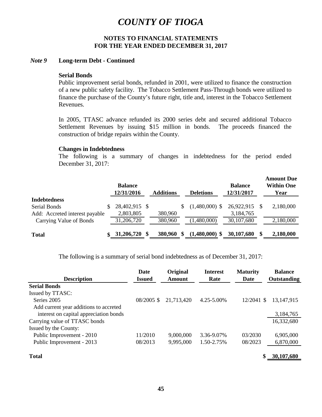### **NOTES TO FINANCIAL STATEMENTS FOR THE YEAR ENDED DECEMBER 31, 2017**

#### *Note 9* **Long-term Debt - Continued**

#### **Serial Bonds**

Public improvement serial bonds, refunded in 2001, were utilized to finance the construction of a new public safety facility. The Tobacco Settlement Pass-Through bonds were utilized to finance the purchase of the County's future right, title and, interest in the Tobacco Settlement Revenues.

In 2005, TTASC advance refunded its 2000 series debt and secured additional Tobacco Settlement Revenues by issuing \$15 million in bonds. The proceeds financed the construction of bridge repairs within the County.

#### **Changes in Indebtedness**

The following is a summary of changes in indebtedness for the period ended December 31, 2017:

|                                | <b>Balance</b><br>12/31/2016 | <b>Additions</b> | <b>Deletions</b>       | <b>Balance</b><br>12/31/2017 | <b>Amount Due</b><br><b>Within One</b><br>Year |
|--------------------------------|------------------------------|------------------|------------------------|------------------------------|------------------------------------------------|
| <b>Indebtedness</b>            |                              |                  |                        |                              |                                                |
| Serial Bonds                   | 28,402,915 \$                |                  | \$<br>$(1,480,000)$ \$ | 26,922,915 \$                | 2,180,000                                      |
| Add: Accreted interest payable | 2,803,805                    | 380,960          |                        | 3,184,765                    |                                                |
| Carrying Value of Bonds        | 31,206,720                   | 380,960          | (1,480,000)            | 30,107,680                   | 2,180,000                                      |
| <b>Total</b>                   | 31,206,720                   | 380,960          | \$<br>$(1,480,000)$ \$ | 30,107,680                   | 2,180,000                                      |

The following is a summary of serial bond indebtedness as of December 31, 2017:

|                                        | Date          | Original      | <b>Interest</b> | <b>Maturity</b> | <b>Balance</b>     |
|----------------------------------------|---------------|---------------|-----------------|-----------------|--------------------|
| <b>Description</b>                     | <b>Issued</b> | <b>Amount</b> | Rate            | Date            | <b>Outstanding</b> |
| <b>Serial Bonds</b>                    |               |               |                 |                 |                    |
| Issued by TTASC:                       |               |               |                 |                 |                    |
| Series 2005                            | 08/2005 \$    | 21,713,420    | 4.25-5.00%      | $12/2041$ \$    | 13, 147, 915       |
| Add current year additions to accreted |               |               |                 |                 |                    |
| interest on capital appreciation bonds |               |               |                 |                 | 3,184,765          |
| Carrying value of TTASC bonds          |               |               |                 |                 | 16,332,680         |
| Issued by the County:                  |               |               |                 |                 |                    |
| Public Improvement - 2010              | 11/2010       | 9,000,000     | 3.36-9.07%      | 03/2030         | 6,905,000          |
| Public Improvement - 2013              | 08/2013       | 9,995,000     | 1.50-2.75%      | 08/2023         | 6,870,000          |
|                                        |               |               |                 |                 |                    |

**Total \$ 30,107,680**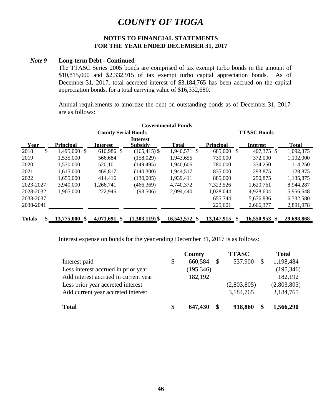## **NOTES TO FINANCIAL STATEMENTS FOR THE YEAR ENDED DECEMBER 31, 2017**

#### *Note 9* **Long-term Debt - Continued**

The TTASC Series 2005 bonds are comprised of tax exempt turbo bonds in the amount of \$10,815,000 and \$2,332,915 of tax exempt turbo capital appreciation bonds. As of December 31, 2017, total accreted interest of \$3,184,765 has been accrued on the capital appreciation bonds, for a total carrying value of \$16,332,680.

Annual requirements to amortize the debt on outstanding bonds as of December 31, 2017 are as follows:

|                     | <b>Governmental Funds</b> |                            |                                   |               |                  |                   |              |  |  |  |
|---------------------|---------------------------|----------------------------|-----------------------------------|---------------|------------------|-------------------|--------------|--|--|--|
|                     |                           | <b>County Serial Bonds</b> | <b>TTASC Bonds</b>                |               |                  |                   |              |  |  |  |
| Year                | <b>Principal</b>          | Interest                   | <b>Interest</b><br><b>Subsidy</b> | <b>Total</b>  | <b>Principal</b> | <b>Interest</b>   | <b>Total</b> |  |  |  |
| 2018<br>\$          | 1,495,000 \$              | 610,986 \$                 | $(165, 415)$ \$                   | 1,940,571 \$  | 685,000<br>-S    | 407,375 \$        | 1,092,375    |  |  |  |
| 2019                | 1,535,000                 | 566,684                    | (158.029)                         | 1,943,655     | 730,000          | 372,000           | 1,102,000    |  |  |  |
| 2020                | 1,570,000                 | 520,101                    | (149, 495)                        | 1,940,606     | 780,000          | 334,250           | 1,114,250    |  |  |  |
| 2021                | 1,615,000                 | 469,817                    | (140, 300)                        | 1,944,517     | 835,000          | 293,875           | 1,128,875    |  |  |  |
| 2022                | 1,655,000                 | 414,416                    | (130,005)                         | 1,939,411     | 885,000          | 250,875           | 1,135,875    |  |  |  |
| 2023-2027           | 3,940,000                 | 1,266,741                  | (466, 369)                        | 4,740,372     | 7,323,526        | 1,620,761         | 8,944,287    |  |  |  |
| 2028-2032           | 1,965,000                 | 222,946                    | (93,506)                          | 2,094,440     | 1,028,044        | 4.928.604         | 5,956,648    |  |  |  |
| 2033-2037           |                           |                            |                                   |               | 655,744          | 5,676,836         | 6,332,580    |  |  |  |
| 2038-2041           |                           |                            |                                   |               | 225,601          | 2,666,377         | 2,891,978    |  |  |  |
| <b>Totals</b><br>\$ | 13,775,000<br>-8          | $4,071,691$ \$             | $(1,303,119)$ \$                  | 16,543,572 \$ | 13,147,915<br>\$ | 16,550,953<br>\$. | 29,698,868   |  |  |  |

Interest expense on bonds for the year ending December 31, 2017 is as follows:

|                                      | County        | <b>TTASC</b>  | <b>Total</b>    |
|--------------------------------------|---------------|---------------|-----------------|
| Interest paid                        | \$<br>660,584 | \$<br>537,900 | \$<br>1,198,484 |
| Less interest accrued in prior year  | (195, 346)    |               | (195, 346)      |
| Add interest accrued in current year | 182,192       |               | 182,192         |
| Less prior year accreted interest    |               | (2,803,805)   | (2,803,805)     |
| Add current year accreted interest   |               | 3,184,765     | 3,184,765       |
| <b>Total</b>                         | \$<br>647,430 | \$<br>918,860 | \$<br>1,566,290 |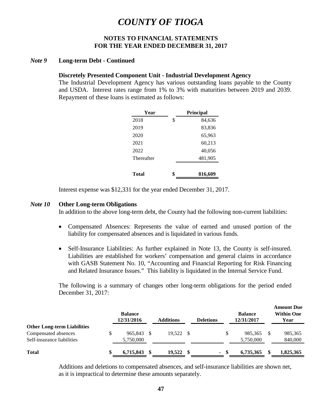### **NOTES TO FINANCIAL STATEMENTS FOR THE YEAR ENDED DECEMBER 31, 2017**

#### *Note 9* **Long-term Debt - Continued**

#### **Discretely Presented Component Unit - Industrial Development Agency**

The Industrial Development Agency has various outstanding loans payable to the County and USDA. Interest rates range from 1% to 3% with maturities between 2019 and 2039. Repayment of these loans is estimated as follows:

| Year       | Principal     |
|------------|---------------|
| 2018       | \$<br>84,636  |
| 2019       | 83,836        |
| 2020       | 65,963        |
| 2021       | 60,213        |
| 2022       | 40,056        |
| Thereafter | 481,905       |
|            |               |
| Total      | \$<br>816,609 |

Interest expense was \$12,331 for the year ended December 31, 2017.

#### *Note 10* **Other Long-term Obligations**

In addition to the above long-term debt, the County had the following non-current liabilities:

- Compensated Absences: Represents the value of earned and unused portion of the liability for compensated absences and is liquidated in various funds.
- Self-Insurance Liabilities: As further explained in Note 13, the County is self-insured. Liabilities are established for workers' compensation and general claims in accordance with GASB Statement No. 10, "Accounting and Financial Reporting for Risk Financing and Related Insurance Issues." This liability is liquidated in the Internal Service Fund.

The following is a summary of changes other long-term obligations for the period ended December 31, 2017:

|                                    |    | <b>Balance</b><br>12/31/2016 | <b>Additions</b> | <b>Deletions</b> | <b>Balance</b><br>12/31/2017 | <b>Amount Due</b><br><b>Within One</b><br>Year |
|------------------------------------|----|------------------------------|------------------|------------------|------------------------------|------------------------------------------------|
| <b>Other Long-term Liabilities</b> |    |                              |                  |                  |                              |                                                |
| Compensated absences               | S  | 965.843                      | 19.522 \$        |                  | \$<br>985.365                | 985,365                                        |
| Self-insurance liabilities         |    | 5,750,000                    |                  |                  | 5,750,000                    | 840,000                                        |
| <b>Total</b>                       | \$ | 6,715,843                    | 19,522           | ۰.               | 6,735,365                    | 1,825,365                                      |

Additions and deletions to compensated absences, and self-insurance liabilities are shown net, as it is impractical to determine these amounts separately.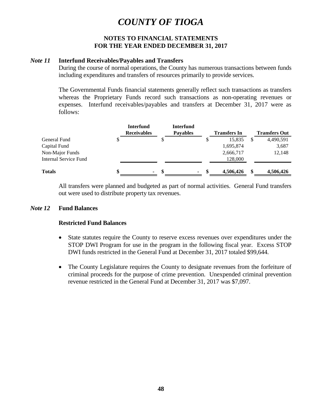### **NOTES TO FINANCIAL STATEMENTS FOR THE YEAR ENDED DECEMBER 31, 2017**

#### *Note 11* **Interfund Receivables/Payables and Transfers**

During the course of normal operations, the County has numerous transactions between funds including expenditures and transfers of resources primarily to provide services.

The Governmental Funds financial statements generally reflect such transactions as transfers whereas the Proprietary Funds record such transactions as non-operating revenues or expenses. Interfund receivables/payables and transfers at December 31, 2017 were as follows:

|                       | <b>Interfund</b><br><b>Receivables</b> | <b>Interfund</b><br><b>Payables</b> |   | <b>Transfers In</b> | <b>Transfers Out</b> |
|-----------------------|----------------------------------------|-------------------------------------|---|---------------------|----------------------|
| General Fund          | Φ                                      |                                     | S | 15,835              | 4,490,591            |
| Capital Fund          |                                        |                                     |   | 1,695,874           | 3,687                |
| Non-Major Funds       |                                        |                                     |   | 2,666,717           | 12,148               |
| Internal Service Fund |                                        |                                     |   | 128,000             |                      |
| <b>Totals</b>         | \$<br>\$<br>۰.                         |                                     |   | 4.506.426           | 4,506,426            |

All transfers were planned and budgeted as part of normal activities. General Fund transfers out were used to distribute property tax revenues.

#### *Note 12* **Fund Balances**

#### **Restricted Fund Balances**

- State statutes require the County to reserve excess revenues over expenditures under the STOP DWI Program for use in the program in the following fiscal year. Excess STOP DWI funds restricted in the General Fund at December 31, 2017 totaled \$99,644.
- The County Legislature requires the County to designate revenues from the forfeiture of criminal proceeds for the purpose of crime prevention. Unexpended criminal prevention revenue restricted in the General Fund at December 31, 2017 was \$7,097.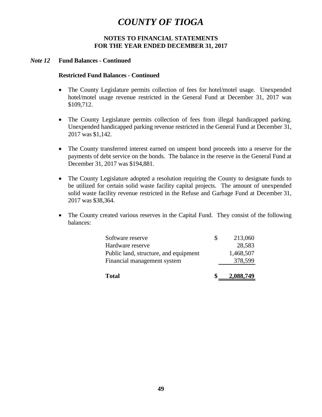### **NOTES TO FINANCIAL STATEMENTS FOR THE YEAR ENDED DECEMBER 31, 2017**

### *Note 12* **Fund Balances - Continued**

#### **Restricted Fund Balances - Continued**

- The County Legislature permits collection of fees for hotel/motel usage. Unexpended hotel/motel usage revenue restricted in the General Fund at December 31, 2017 was \$109,712.
- The County Legislature permits collection of fees from illegal handicapped parking. Unexpended handicapped parking revenue restricted in the General Fund at December 31, 2017 was \$1,142.
- The County transferred interest earned on unspent bond proceeds into a reserve for the payments of debt service on the bonds. The balance in the reserve in the General Fund at December 31, 2017 was \$194,881.
- The County Legislature adopted a resolution requiring the County to designate funds to be utilized for certain solid waste facility capital projects. The amount of unexpended solid waste facility revenue restricted in the Refuse and Garbage Fund at December 31, 2017 was \$38,364.
- The County created various reserves in the Capital Fund. They consist of the following balances:

| 213,060   |
|-----------|
| 28,583    |
| 1,468,507 |
| 378,599   |
| 2,088,749 |
|           |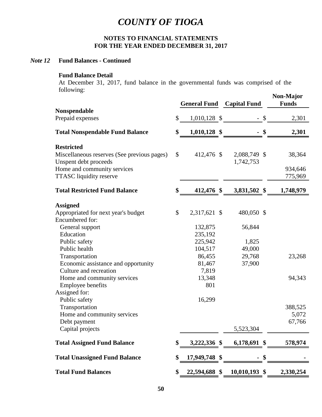## **NOTES TO FINANCIAL STATEMENTS FOR THE YEAR ENDED DECEMBER 31, 2017**

#### *Note 12* **Fund Balances - Continued**

#### **Fund Balance Detail**

At December 31, 2017, fund balance in the governmental funds was comprised of the following: **Non-Major** 

|                                                                                           | <b>General Fund</b>  | <b>Capital Fund</b>       |        | <b>NOIL-MAJOR</b><br><b>Funds</b> |
|-------------------------------------------------------------------------------------------|----------------------|---------------------------|--------|-----------------------------------|
| Nonspendable                                                                              |                      |                           |        |                                   |
| Prepaid expenses                                                                          | \$<br>$1,010,128$ \$ |                           | $-$ \$ | 2,301                             |
| <b>Total Nonspendable Fund Balance</b>                                                    | \$<br>$1,010,128$ \$ |                           | \$     | 2,301                             |
| <b>Restricted</b><br>Miscellaneous reserves (See previous pages)<br>Unspent debt proceeds | \$<br>412,476 \$     | 2,088,749 \$<br>1,742,753 |        | 38,364                            |
| Home and community services<br><b>TTASC</b> liquidity reserve                             |                      |                           |        | 934,646<br>775,969                |
| <b>Total Restricted Fund Balance</b>                                                      | \$<br>412,476 \$     | 3,831,502 \$              |        | 1,748,979                         |
| <b>Assigned</b>                                                                           |                      |                           |        |                                   |
| Appropriated for next year's budget<br>Encumbered for:                                    | \$<br>2,317,621 \$   | 480,050 \$                |        |                                   |
| General support                                                                           | 132,875              | 56,844                    |        |                                   |
| Education                                                                                 | 235,192              |                           |        |                                   |
| Public safety                                                                             | 225,942              | 1,825                     |        |                                   |
| Public health                                                                             | 104,517              | 49,000                    |        |                                   |
| Transportation                                                                            | 86,455               | 29,768                    |        | 23,268                            |
| Economic assistance and opportunity                                                       | 81,467               | 37,900                    |        |                                   |
| Culture and recreation                                                                    | 7,819                |                           |        |                                   |
| Home and community services                                                               | 13,348               |                           |        | 94,343                            |
| <b>Employee benefits</b>                                                                  | 801                  |                           |        |                                   |
| Assigned for:                                                                             |                      |                           |        |                                   |
| Public safety                                                                             | 16,299               |                           |        |                                   |
| Transportation                                                                            |                      |                           |        | 388,525                           |
| Home and community services                                                               |                      |                           |        | 5,072                             |
| Debt payment                                                                              |                      |                           |        | 67,766                            |
| Capital projects                                                                          |                      | 5,523,304                 |        |                                   |
| <b>Total Assigned Fund Balance</b>                                                        | \$<br>3,222,336 \$   | 6,178,691 \$              |        | 578,974                           |
| <b>Total Unassigned Fund Balance</b>                                                      | \$<br>17,949,748 \$  |                           | \$     |                                   |
| <b>Total Fund Balances</b>                                                                | \$<br>22,594,688 \$  | $10,010,193$ \$           |        | 2,330,254                         |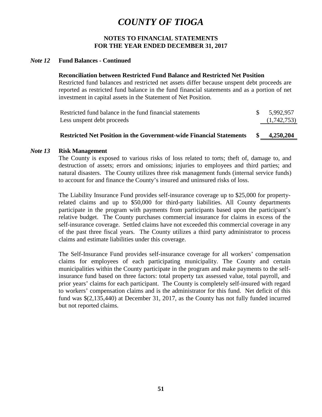### **NOTES TO FINANCIAL STATEMENTS FOR THE YEAR ENDED DECEMBER 31, 2017**

### *Note 12* **Fund Balances - Continued**

#### **Reconciliation between Restricted Fund Balance and Restricted Net Position**

Restricted fund balances and restricted net assets differ because unspent debt proceeds are reported as restricted fund balance in the fund financial statements and as a portion of net investment in capital assets in the Statement of Net Position.

| Restricted fund balance in the fund financial statements | 5,992,957   |
|----------------------------------------------------------|-------------|
| Less unspent debt proceeds                               | (1,742,753) |
|                                                          |             |

#### **Restricted Net Position in the Government-wide Financial Statements \$ 4,250,204**

#### *Note 13* **Risk Management**

The County is exposed to various risks of loss related to torts; theft of, damage to, and destruction of assets; errors and omissions; injuries to employees and third parties; and natural disasters. The County utilizes three risk management funds (internal service funds) to account for and finance the County's insured and uninsured risks of loss.

The Liability Insurance Fund provides self-insurance coverage up to \$25,000 for propertyrelated claims and up to \$50,000 for third-party liabilities. All County departments participate in the program with payments from participants based upon the participant's relative budget. The County purchases commercial insurance for claims in excess of the self-insurance coverage. Settled claims have not exceeded this commercial coverage in any of the past three fiscal years. The County utilizes a third party administrator to process claims and estimate liabilities under this coverage.

The Self-Insurance Fund provides self-insurance coverage for all workers' compensation claims for employees of each participating municipality. The County and certain municipalities within the County participate in the program and make payments to the selfinsurance fund based on three factors: total property tax assessed value, total payroll, and prior years' claims for each participant. The County is completely self-insured with regard to workers' compensation claims and is the administrator for this fund. Net deficit of this fund was \$(2,135,440) at December 31, 2017, as the County has not fully funded incurred but not reported claims.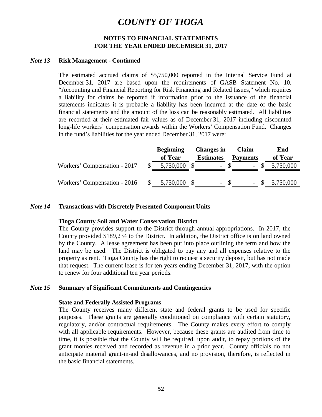### **NOTES TO FINANCIAL STATEMENTS FOR THE YEAR ENDED DECEMBER 31, 2017**

#### *Note 13* **Risk Management - Continued**

The estimated accrued claims of \$5,750,000 reported in the Internal Service Fund at December 31, 2017 are based upon the requirements of GASB Statement No. 10, "Accounting and Financial Reporting for Risk Financing and Related Issues," which requires a liability for claims be reported if information prior to the issuance of the financial statements indicates it is probable a liability has been incurred at the date of the basic financial statements and the amount of the loss can be reasonably estimated. All liabilities are recorded at their estimated fair values as of December 31, 2017 including discounted long-life workers' compensation awards within the Workers' Compensation Fund. Changes in the fund's liabilities for the year ended December 31, 2017 were:

|                              | <b>Beginning</b> |  | <b>Changes</b> in        |  | <b>Claim</b>    |      | End       |
|------------------------------|------------------|--|--------------------------|--|-----------------|------|-----------|
|                              | of Year          |  | <b>Estimates</b>         |  | <b>Payments</b> |      | of Year   |
| Workers' Compensation - 2017 | 5,750,000        |  | $\overline{\phantom{a}}$ |  | $-$             |      | 5,750,000 |
|                              |                  |  |                          |  |                 |      |           |
| Workers' Compensation - 2016 | 5,750,000        |  | $\overline{\phantom{a}}$ |  |                 | - \$ | 5,750,000 |
|                              |                  |  |                          |  |                 |      |           |

#### *Note 14* **Transactions with Discretely Presented Component Units**

#### **Tioga County Soil and Water Conservation District**

The County provides support to the District through annual appropriations. In 2017, the County provided \$189,234 to the District. In addition, the District office is on land owned by the County. A lease agreement has been put into place outlining the term and how the land may be used. The District is obligated to pay any and all expenses relative to the property as rent. Tioga County has the right to request a security deposit, but has not made that request. The current lease is for ten years ending December 31, 2017, with the option to renew for four additional ten year periods.

#### *Note 15* **Summary of Significant Commitments and Contingencies**

#### **State and Federally Assisted Programs**

The County receives many different state and federal grants to be used for specific purposes. These grants are generally conditioned on compliance with certain statutory, regulatory, and/or contractual requirements. The County makes every effort to comply with all applicable requirements. However, because these grants are audited from time to time, it is possible that the County will be required, upon audit, to repay portions of the grant monies received and recorded as revenue in a prior year. County officials do not anticipate material grant-in-aid disallowances, and no provision, therefore, is reflected in the basic financial statements.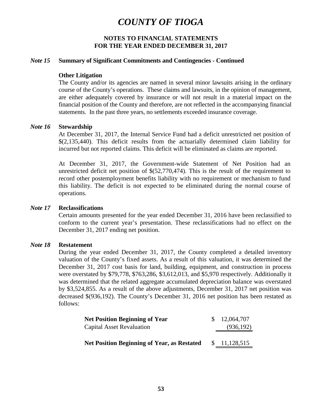### **NOTES TO FINANCIAL STATEMENTS FOR THE YEAR ENDED DECEMBER 31, 2017**

#### *Note 15* **Summary of Significant Commitments and Contingencies - Continued**

#### **Other Litigation**

The County and/or its agencies are named in several minor lawsuits arising in the ordinary course of the County's operations. These claims and lawsuits, in the opinion of management, are either adequately covered by insurance or will not result in a material impact on the financial position of the County and therefore, are not reflected in the accompanying financial statements. In the past three years, no settlements exceeded insurance coverage.

#### *Note 16* **Stewardship**

At December 31, 2017, the Internal Service Fund had a deficit unrestricted net position of \$(2,135,440). This deficit results from the actuarially determined claim liability for incurred but not reported claims. This deficit will be eliminated as claims are reported.

At December 31, 2017, the Government-wide Statement of Net Position had an unrestricted deficit net position of \$(52,770,474). This is the result of the requirement to record other postemployment benefits liability with no requirement or mechanism to fund this liability. The deficit is not expected to be eliminated during the normal course of operations.

#### *Note 17* **Reclassifications**

Certain amounts presented for the year ended December 31, 2016 have been reclassified to conform to the current year's presentation. These reclassifications had no effect on the December 31, 2017 ending net position.

#### *Note 18* **Restatement**

During the year ended December 31, 2017, the County completed a detailed inventory valuation of the County's fixed assets. As a result of this valuation, it was determined the December 31, 2017 cost basis for land, building, equipment, and construction in process were overstated by \$79,778, \$763,286, \$3,612,013, and \$5,970 respectively. Additionally it was determined that the related aggregate accumulated depreciation balance was overstated by \$3,524,855. As a result of the above adjustments, December 31, 2017 net position was decreased \$(936,192). The County's December 31, 2016 net position has been restated as follows:

| <b>Net Position Beginning of Year</b>              | \$12,064,707 |
|----------------------------------------------------|--------------|
| <b>Capital Asset Revaluation</b>                   | (936, 192)   |
|                                                    |              |
| <b>Net Position Beginning of Year, as Restated</b> | \$11,128,515 |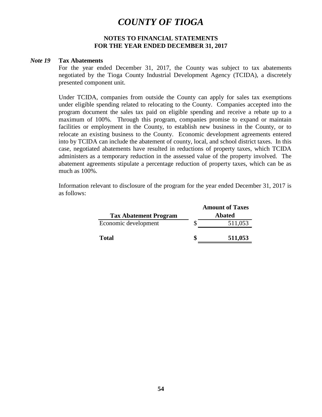### **NOTES TO FINANCIAL STATEMENTS FOR THE YEAR ENDED DECEMBER 31, 2017**

#### *Note 19* **Tax Abatements**

For the year ended December 31, 2017, the County was subject to tax abatements negotiated by the Tioga County Industrial Development Agency (TCIDA), a discretely presented component unit.

Under TCIDA, companies from outside the County can apply for sales tax exemptions under eligible spending related to relocating to the County. Companies accepted into the program document the sales tax paid on eligible spending and receive a rebate up to a maximum of 100%. Through this program, companies promise to expand or maintain facilities or employment in the County, to establish new business in the County, or to relocate an existing business to the County. Economic development agreements entered into by TCIDA can include the abatement of county, local, and school district taxes. In this case, negotiated abatements have resulted in reductions of property taxes, which TCIDA administers as a temporary reduction in the assessed value of the property involved. The abatement agreements stipulate a percentage reduction of property taxes, which can be as much as 100%.

Information relevant to disclosure of the program for the year ended December 31, 2017 is as follows:

|                              | <b>Amount of Taxes</b> |
|------------------------------|------------------------|
| <b>Tax Abatement Program</b> | <b>Abated</b>          |
| Economic development         | 511,053                |
| <b>Total</b>                 | 511,053                |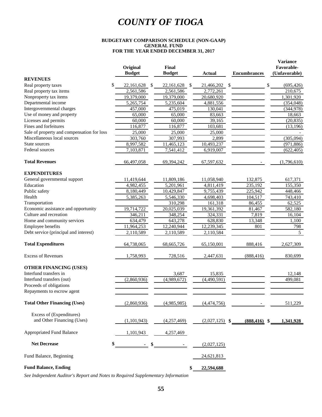#### **BUDGETARY COMPARISON SCHEDULE (NON-GAAP) GENERAL FUND FOR THE YEAR ENDED DECEMBER 31, 2017**

|                                                        | Original<br><b>Budget</b> | Final<br><b>Budget</b> | <b>Actual</b>               | <b>Encumbrances</b> | <b>Variance</b><br><b>Favorable-</b><br>(Unfavorable) |
|--------------------------------------------------------|---------------------------|------------------------|-----------------------------|---------------------|-------------------------------------------------------|
| <b>REVENUES</b>                                        |                           |                        |                             |                     |                                                       |
| Real property taxes                                    | \$<br>22,161,628          | -\$<br>22,161,628      | 21,466,202<br><sup>\$</sup> | <sup>\$</sup>       | \$<br>(695, 426)                                      |
| Real property tax items                                | 2,561,586                 | 2,561,586              | 2,772,261                   |                     | 210,675                                               |
| Nonproperty tax items                                  | 19,379,000                | 19,379,000             | 20,680,920                  |                     | 1,301,920                                             |
| Departmental income                                    | 5,265,754                 | 5,235,604              | 4,881,556                   |                     | (354,048)                                             |
| Intergovernmental charges                              | 457,000                   | 475,019                | 130,041                     |                     | (344, 978)                                            |
| Use of money and property                              | 65,000                    | 65,000                 | 83,663                      |                     | 18,663                                                |
| Licenses and permits                                   | 60,000                    | 60,000                 | 39,165                      |                     | (20, 835)                                             |
| Fines and forfeitures                                  | 116,877                   | 116,877                | 103,681                     |                     | (13, 196)                                             |
| Sale of property and compensation for loss             | 25,000                    | 25,000                 | 25,000                      |                     |                                                       |
| Miscellaneous local sources                            | 303,760                   | 307,993                | 2,899                       |                     | (305,094)                                             |
| State sources                                          | 8,997,582                 | 11,465,123             | 10,493,237                  |                     | (971, 886)                                            |
| Federal sources                                        | 7,103,871                 | 7,541,412              | 6,919,007                   |                     | (622, 405)                                            |
| <b>Total Revenues</b>                                  | 66,497,058                | 69,394,242             | 67,597,632                  |                     | (1,796,610)                                           |
| <b>EXPENDITURES</b>                                    |                           |                        |                             |                     |                                                       |
| General governmental support                           | 11,419,644                | 11,809,186             | 11,058,940                  | 132,875             | 617,371                                               |
| Education                                              | 4,982,455                 | 5,201,961              | 4,811,419                   | 235,192             | 155,350                                               |
| Public safety                                          | 8,180,449                 | 10,429,847             | 9,755,439                   | 225,942             | 448,466                                               |
| Health                                                 | 5,385,263                 | 5,546,330              | 4,698,403                   | 104,517             | 743,410                                               |
| Transportation                                         |                           | 310,298                | 161,318                     | 86,455              | 62,525                                                |
| Economic assistance and opportunity                    | 19,714,722                | 20,025,039             | 19,361,392                  | 81,467              | 582,180                                               |
| Culture and recreation                                 | 346,211                   | 348,254                | 324,331                     | 7,819               | 16,104                                                |
| Home and community services                            | 634,479                   | 643,278                | 628,830                     | 13,348              | 1,100                                                 |
| Employee benefits                                      | 11,964,253                | 12,240,944             | 12,239,345                  | 801                 | 798                                                   |
| Debt service (principal and interest)                  | 2,110,589                 | 2,110,589              | 2,110,584                   |                     | 5                                                     |
| <b>Total Expenditures</b>                              | 64,738,065                | 68,665,726             | 65,150,001                  | 888,416             | 2,627,309                                             |
| <b>Excess of Revenues</b>                              | 1,758,993                 | 728,516                | 2,447,631                   | (888, 416)          | 830,699                                               |
| <b>OTHER FINANCING (USES)</b>                          |                           |                        |                             |                     |                                                       |
| Interfund transfers in                                 |                           | 3,687                  | 15,835                      |                     | 12,148                                                |
| Interfund transfers (out)                              | (2,860,936)               | (4,989,672)            | (4,490,591)                 |                     | 499,081                                               |
| Proceeds of obligations                                |                           |                        |                             |                     |                                                       |
| Repayments to escrow agent                             |                           |                        |                             |                     |                                                       |
| <b>Total Other Financing (Uses)</b>                    | (2,860,936)               | (4,985,985)            | (4,474,756)                 |                     | 511,229                                               |
| Excess of (Expenditures)<br>and Other Financing (Uses) | (1,101,943)               | (4,257,469)            | $(2,027,125)$ \$            | $(888, 416)$ \$     | 1,341,928                                             |
| <b>Appropriated Fund Balance</b>                       | 1,101,943                 | 4,257,469              |                             |                     |                                                       |
| <b>Net Decrease</b>                                    | \$<br>- \$                |                        | (2,027,125)                 |                     |                                                       |
| Fund Balance, Beginning                                |                           |                        | 24,621,813                  |                     |                                                       |
| <b>Fund Balance, Ending</b>                            |                           |                        | 22,594,688<br>\$            |                     |                                                       |

*See Independent Auditor's Report and Notes to Required Supplementary Information*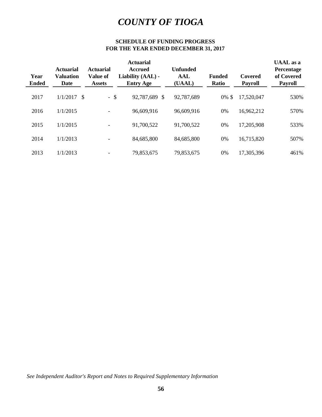#### **SCHEDULE OF FUNDING PROGRESS FOR THE YEAR ENDED DECEMBER 31, 2017**

| Year<br><b>Ended</b> | <b>Actuarial</b><br><b>Valuation</b><br>Date | <b>Actuarial</b><br>Value of<br><b>Assets</b> | <b>Actuarial</b><br><b>Accrued</b><br>Liability (AAL) -<br><b>Entry Age</b> | <b>Unfunded</b><br>AAL<br>(UAAL) | <b>Funded</b><br><b>Ratio</b> | Covered<br><b>Payroll</b> | <b>UAAL</b> as a<br>Percentage<br>of Covered<br><b>Payroll</b> |
|----------------------|----------------------------------------------|-----------------------------------------------|-----------------------------------------------------------------------------|----------------------------------|-------------------------------|---------------------------|----------------------------------------------------------------|
| 2017                 | 1/1/2017<br>-\$                              | $-$ \$                                        | 92,787,689 \$                                                               | 92,787,689                       | 0% \$                         | 17,520,047                | 530%                                                           |
| 2016                 | 1/1/2015                                     | $\overline{\phantom{a}}$                      | 96,609,916                                                                  | 96,609,916                       | 0%                            | 16,962,212                | 570%                                                           |
| 2015                 | 1/1/2015                                     | $\overline{\phantom{a}}$                      | 91,700,522                                                                  | 91,700,522                       | 0%                            | 17,205,908                | 533%                                                           |
| 2014                 | 1/1/2013                                     | $\overline{\phantom{a}}$                      | 84,685,800                                                                  | 84,685,800                       | 0%                            | 16,715,820                | 507%                                                           |
| 2013                 | 1/1/2013                                     | $\overline{\phantom{a}}$                      | 79,853,675                                                                  | 79,853,675                       | 0%                            | 17,305,396                | 461%                                                           |

*See Independent Auditor's Report and Notes to Required Supplementary Information*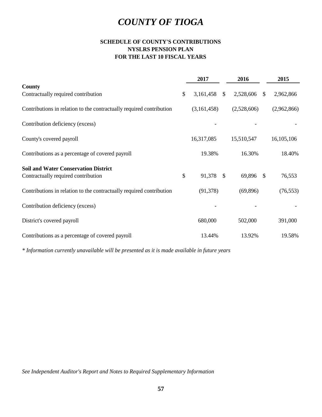## **SCHEDULE OF COUNTY'S CONTRIBUTIONS NYSLRS PENSION PLAN FOR THE LAST 10 FISCAL YEARS**

|                                                                                    | 2017            |               | 2016        |               | 2015        |
|------------------------------------------------------------------------------------|-----------------|---------------|-------------|---------------|-------------|
| County<br>Contractually required contribution                                      | \$<br>3,161,458 | $\mathbb{S}$  | 2,528,606   | <sup>\$</sup> | 2,962,866   |
| Contributions in relation to the contractually required contribution               | (3,161,458)     |               | (2,528,606) |               | (2,962,866) |
| Contribution deficiency (excess)                                                   |                 |               |             |               |             |
| County's covered payroll                                                           | 16,317,085      |               | 15,510,547  |               | 16,105,106  |
| Contributions as a percentage of covered payroll                                   | 19.38%          |               | 16.30%      |               | 18.40%      |
| <b>Soil and Water Conservation District</b><br>Contractually required contribution | \$<br>91,378    | $\mathcal{S}$ | 69,896      | <sup>\$</sup> | 76,553      |
| Contributions in relation to the contractually required contribution               | (91, 378)       |               | (69, 896)   |               | (76, 553)   |
| Contribution deficiency (excess)                                                   |                 |               |             |               |             |
| District's covered payroll                                                         | 680,000         |               | 502,000     |               | 391,000     |
| Contributions as a percentage of covered payroll                                   | 13.44%          |               | 13.92%      |               | 19.58%      |

*\* Information currently unavailable will be presented as it is made available in future years*

*See Independent Auditor's Report and Notes to Required Supplementary Information*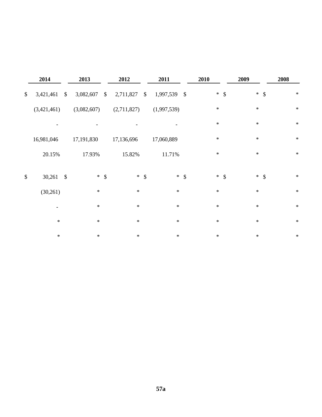|                           | 2014        |                         | 2013        |               | 2012        |              | 2011         |        | 2010   | 2009                      |        | 2008   |
|---------------------------|-------------|-------------------------|-------------|---------------|-------------|--------------|--------------|--------|--------|---------------------------|--------|--------|
| \$                        | 3,421,461   | $\mathsf{\$}$           | 3,082,607   | $\mathcal{S}$ | 2,711,827   | $\mathbb{S}$ | 1,997,539 \$ |        | $\ast$ | $\boldsymbol{\mathsf{S}}$ | $*$ \$ | $\ast$ |
|                           | (3,421,461) |                         | (3,082,607) |               | (2,711,827) |              | (1,997,539)  |        | $\ast$ |                           | $\ast$ | $\ast$ |
|                           |             |                         |             |               |             |              |              |        | $\ast$ |                           | $\ast$ | $\ast$ |
|                           | 16,981,046  |                         | 17,191,830  |               | 17,136,696  |              | 17,060,889   |        | $\ast$ |                           | $\ast$ | $\ast$ |
|                           | 20.15%      |                         | 17.93%      |               | 15.82%      |              | 11.71%       |        | $\ast$ |                           | $\ast$ | $\ast$ |
| $\boldsymbol{\mathsf{S}}$ | 30,261      | $\sqrt[6]{\frac{1}{2}}$ |             | $*$ \$        |             | $*$ \$       |              | $*$ \$ | $*$ \$ |                           | $*$ \$ | $\ast$ |
|                           | (30,261)    |                         | $\ast$      |               | $\ast$      |              | $\ast$       |        | $\ast$ |                           | $\ast$ | $\ast$ |
|                           |             |                         | $\ast$      |               | $\ast$      |              | $\ast$       |        | $\ast$ |                           | $\ast$ | $\ast$ |
|                           | $\star$     |                         | $\ast$      |               | $\ast$      |              | $\ast$       |        | $\ast$ |                           | $\ast$ | $\ast$ |
|                           | $\ast$      |                         | $\ast$      |               | $\ast$      |              | $\ast$       |        | $\ast$ |                           | $\ast$ | $\ast$ |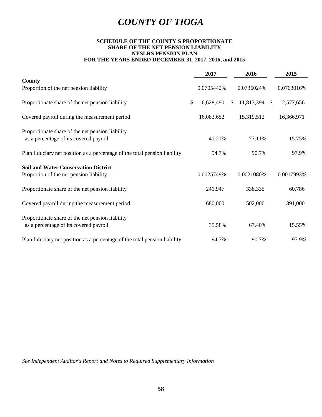#### **SCHEDULE OF THE COUNTY'S PROPORTIONATE SHARE OF THE NET PENSION LIABILITY NYSLRS PENSION PLAN FOR THE YEARS ENDED DECEMBER 31, 2017, 2016, and 2015**

|                                                                                            | 2017            | 2016             |               | 2015       |
|--------------------------------------------------------------------------------------------|-----------------|------------------|---------------|------------|
| County<br>Proportion of the net pension liability                                          | 0.0705442%      | 0.0736024%       |               | 0.0763016% |
| Proportionate share of the net pension liability                                           | \$<br>6,628,490 | \$<br>11,813,394 | <sup>\$</sup> | 2,577,656  |
| Covered payroll during the measurement period                                              | 16,083,652      | 15,319,512       |               | 16,366,971 |
| Proportionate share of the net pension liability<br>as a percentage of its covered payroll | 41.21%          | 77.11%           |               | 15.75%     |
| Plan fiduciary net position as a percentage of the total pension liability                 | 94.7%           | 90.7%            |               | 97.9%      |
| <b>Soil and Water Conservation District</b><br>Proportion of the net pension liability     | 0.0025749%      | 0.0021080%       |               | 0.0017993% |
| Proportionate share of the net pension liability                                           | 241,947         | 338,335          |               | 60,786     |
| Covered payroll during the measurement period                                              | 680,000         | 502,000          |               | 391,000    |
| Proportionate share of the net pension liability<br>as a percentage of its covered payroll | 35.58%          | 67.40%           |               | 15.55%     |
| Plan fiduciary net position as a percentage of the total pension liability                 | 94.7%           | 90.7%            |               | 97.9%      |

*See Independent Auditor's Report and Notes to Required Supplementary Information*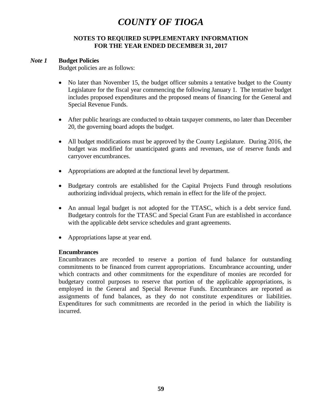## **NOTES TO REQUIRED SUPPLEMENTARY INFORMATION FOR THE YEAR ENDED DECEMBER 31, 2017**

## *Note 1* **Budget Policies**

Budget policies are as follows:

- No later than November 15, the budget officer submits a tentative budget to the County Legislature for the fiscal year commencing the following January 1. The tentative budget includes proposed expenditures and the proposed means of financing for the General and Special Revenue Funds.
- After public hearings are conducted to obtain taxpayer comments, no later than December 20, the governing board adopts the budget.
- All budget modifications must be approved by the County Legislature. During 2016, the budget was modified for unanticipated grants and revenues, use of reserve funds and carryover encumbrances.
- Appropriations are adopted at the functional level by department.
- Budgetary controls are established for the Capital Projects Fund through resolutions authorizing individual projects, which remain in effect for the life of the project.
- An annual legal budget is not adopted for the TTASC, which is a debt service fund. Budgetary controls for the TTASC and Special Grant Fun are established in accordance with the applicable debt service schedules and grant agreements.
- Appropriations lapse at year end.

## **Encumbrances**

Encumbrances are recorded to reserve a portion of fund balance for outstanding commitments to be financed from current appropriations. Encumbrance accounting, under which contracts and other commitments for the expenditure of monies are recorded for budgetary control purposes to reserve that portion of the applicable appropriations, is employed in the General and Special Revenue Funds. Encumbrances are reported as assignments of fund balances, as they do not constitute expenditures or liabilities. Expenditures for such commitments are recorded in the period in which the liability is incurred.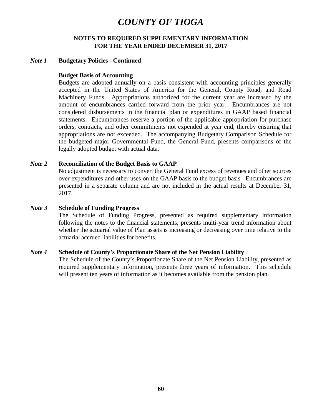## **NOTES TO REQUIRED SUPPLEMENTARY INFORMATION FOR THE YEAR ENDED DECEMBER 31, 2017**

### *Note 1* **Budgetary Policies - Continued**

#### **Budget Basis of Accounting**

Budgets are adopted annually on a basis consistent with accounting principles generally accepted in the United States of America for the General, County Road, and Road Machinery Funds. Appropriations authorized for the current year are increased by the amount of encumbrances carried forward from the prior year. Encumbrances are not considered disbursements in the financial plan or expenditures in GAAP based financial statements. Encumbrances reserve a portion of the applicable appropriation for purchase orders, contracts, and other commitments not expended at year end, thereby ensuring that appropriations are not exceeded. The accompanying Budgetary Comparison Schedule for the budgeted major Governmental Fund, the General Fund, presents comparisons of the legally adopted budget with actual data.

## *Note 2* **Reconciliation of the Budget Basis to GAAP**

No adjustment is necessary to convert the General Fund excess of revenues and other sources over expenditures and other uses on the GAAP basis to the budget basis. Encumbrances are presented in a separate column and are not included in the actual results at December 31, 2017.

#### *Note 3* **Schedule of Funding Progress**

The Schedule of Funding Progress, presented as required supplementary information following the notes to the financial statements, presents multi-year trend information about whether the actuarial value of Plan assets is increasing or decreasing over time relative to the actuarial accrued liabilities for benefits.

#### *Note 4* **Schedule of County's Proportionate Share of the Net Pension Liability**

The Schedule of the County's Proportionate Share of the Net Pension Liability, presented as required supplementary information, presents three years of information. This schedule will present ten years of information as it becomes available from the pension plan.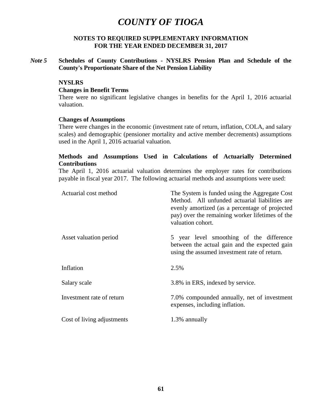### **NOTES TO REQUIRED SUPPLEMENTARY INFORMATION FOR THE YEAR ENDED DECEMBER 31, 2017**

*Note 5* **Schedules of County Contributions - NYSLRS Pension Plan and Schedule of the County's Proportionate Share of the Net Pension Liability** 

### **NYSLRS**

#### **Changes in Benefit Terms**

There were no significant legislative changes in benefits for the April 1, 2016 actuarial valuation.

### **Changes of Assumptions**

There were changes in the economic (investment rate of return, inflation, COLA, and salary scales) and demographic (pensioner mortality and active member decrements) assumptions used in the April 1, 2016 actuarial valuation.

## **Methods and Assumptions Used in Calculations of Actuarially Determined Contributions**

The April 1, 2016 actuarial valuation determines the employer rates for contributions payable in fiscal year 2017. The following actuarial methods and assumptions were used:

| Actuarial cost method      | The System is funded using the Aggregate Cost<br>Method. All unfunded actuarial liabilities are<br>evenly amortized (as a percentage of projected<br>pay) over the remaining worker lifetimes of the<br>valuation cohort. |
|----------------------------|---------------------------------------------------------------------------------------------------------------------------------------------------------------------------------------------------------------------------|
| Asset valuation period     | 5 year level smoothing of the difference<br>between the actual gain and the expected gain<br>using the assumed investment rate of return.                                                                                 |
| Inflation                  | 2.5%                                                                                                                                                                                                                      |
| Salary scale               | 3.8% in ERS, indexed by service.                                                                                                                                                                                          |
| Investment rate of return  | 7.0% compounded annually, net of investment<br>expenses, including inflation.                                                                                                                                             |
| Cost of living adjustments | 1.3% annually                                                                                                                                                                                                             |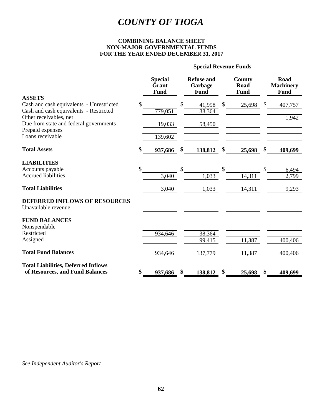### **COMBINING BALANCE SHEET NON-MAJOR GOVERNMENTAL FUNDS FOR THE YEAR ENDED DECEMBER 31, 2017**

|                                                                                    |                                        |     | <b>Special Revenue Funds</b>                |                                      |     |                                                |
|------------------------------------------------------------------------------------|----------------------------------------|-----|---------------------------------------------|--------------------------------------|-----|------------------------------------------------|
|                                                                                    | <b>Special</b><br><b>Grant</b><br>Fund |     | <b>Refuse and</b><br>Garbage<br><b>Fund</b> | County<br><b>Road</b><br><b>Fund</b> |     | <b>Road</b><br><b>Machinery</b><br><b>Fund</b> |
| <b>ASSETS</b>                                                                      | \$                                     | \$  |                                             | \$                                   | S   |                                                |
| Cash and cash equivalents - Unrestricted<br>Cash and cash equivalents - Restricted | 779,051                                |     | 41,998<br>38,364                            | 25,698                               |     | 407,757                                        |
| Other receivables, net                                                             |                                        |     |                                             |                                      |     | 1,942                                          |
| Due from state and federal governments<br>Prepaid expenses                         | 19,033                                 |     | $\overline{58,}450$                         |                                      |     |                                                |
| Loans receivable                                                                   | 139,602                                |     |                                             |                                      |     |                                                |
| <b>Total Assets</b>                                                                | \$<br>937,686                          | \$, | 138,812                                     | \$<br>25,698                         | SS- | 409,699                                        |
| <b>LIABILITIES</b>                                                                 |                                        |     |                                             |                                      |     |                                                |
| Accounts payable                                                                   | \$                                     | \$  |                                             | \$                                   | \$  | 6,494                                          |
| <b>Accrued liabilities</b>                                                         | $\overline{3,040}$                     |     | 1,033                                       | 14,311                               |     | 2,799                                          |
| <b>Total Liabilities</b>                                                           | 3,040                                  |     | 1,033                                       | 14,311                               |     | 9,293                                          |
| DEFERRED INFLOWS OF RESOURCES<br>Unavailable revenue                               |                                        |     |                                             |                                      |     |                                                |
| <b>FUND BALANCES</b><br>Nonspendable                                               |                                        |     |                                             |                                      |     |                                                |
| Restricted                                                                         | 934,646                                |     | 38,364                                      |                                      |     |                                                |
| Assigned                                                                           |                                        |     | 99,415                                      | 11,387                               |     | 400,406                                        |
| <b>Total Fund Balances</b>                                                         | 934,646                                |     | 137,779                                     | 11,387                               |     | 400,406                                        |
| <b>Total Liabilities, Deferred Inflows</b>                                         |                                        |     |                                             |                                      |     |                                                |
| of Resources, and Fund Balances                                                    | \$<br>937,686                          | \$  | 138,812                                     | \$<br>25,698                         |     | 409,699                                        |

*See Independent Auditor's Report*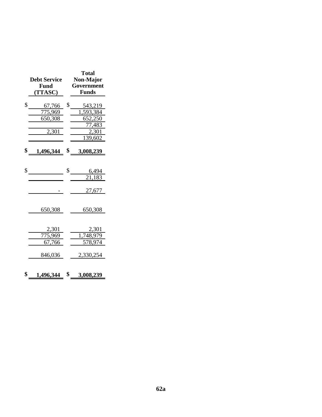|              | <b>Debt Service</b><br>Fund<br>(TTASC) | <b>Total</b><br><b>Non-Major</b><br>Government<br><b>Funds</b>                 |
|--------------|----------------------------------------|--------------------------------------------------------------------------------|
| \$           | 67,766<br>775,969<br>650,308<br>2,301  | $\frac{1}{2}$<br>543,219<br>1,593,384<br>652,250<br>77,483<br>2,301<br>139,602 |
|              | $\frac{$1,496,344}{$3,008,239}$        |                                                                                |
| $\mathbb{S}$ |                                        | $\frac{$}{21,183}$<br>27,677                                                   |
|              | 650,308                                | 650,308                                                                        |
|              | 2,301<br>775,969<br>67,766<br>846,036  | 2,301<br>1,748,979<br>578,974<br>2,330,254                                     |
| \$           | $1,496,344$ \$                         | 3,008,239                                                                      |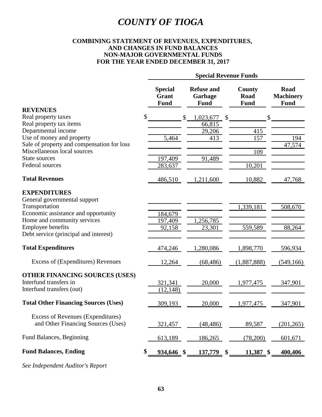## **COMBINING STATEMENT OF REVENUES, EXPENDITURES, NON-MAJOR GOVERNMENTAL FUNDS FOR THE YEAR ENDED DECEMBER 31, 2017 AND CHANGES IN FUND BALANCES**

|                                                                         |                                        | <b>Special Revenue Funds</b> |                                             |    |                        |                                         |
|-------------------------------------------------------------------------|----------------------------------------|------------------------------|---------------------------------------------|----|------------------------|-----------------------------------------|
|                                                                         | <b>Special</b><br>Grant<br><b>Fund</b> |                              | <b>Refuse and</b><br>Garbage<br><b>Fund</b> |    | County<br>Road<br>Fund | Road<br><b>Machinery</b><br><b>Fund</b> |
| <b>REVENUES</b>                                                         |                                        |                              |                                             |    |                        |                                         |
| Real property taxes                                                     | \$                                     |                              | 1,023,677                                   | \$ | \$                     |                                         |
| Real property tax items                                                 |                                        |                              | 66,815                                      |    |                        |                                         |
| Departmental income                                                     |                                        |                              | 29,206                                      |    | 415                    |                                         |
| Use of money and property<br>Sale of property and compensation for loss | 5,464                                  |                              | 413                                         |    | 157                    | 194                                     |
| Miscellaneous local sources                                             |                                        |                              |                                             |    |                        | 47,574                                  |
| State sources                                                           | 197,409                                |                              | 91,489                                      |    | 109                    |                                         |
| Federal sources                                                         | 283,637                                |                              |                                             |    | 10,201                 |                                         |
|                                                                         |                                        |                              |                                             |    |                        |                                         |
| <b>Total Revenues</b>                                                   | 486,510                                |                              | 1,211,600                                   |    | 10,882                 | 47,768                                  |
| <b>EXPENDITURES</b>                                                     |                                        |                              |                                             |    |                        |                                         |
| General governmental support                                            |                                        |                              |                                             |    |                        |                                         |
| Transportation                                                          |                                        |                              |                                             |    | 1,339,181              | 508,670                                 |
| Economic assistance and opportunity                                     | 184,679                                |                              |                                             |    |                        |                                         |
| Home and community services                                             | 197,409                                |                              | 1,256,785                                   |    |                        |                                         |
| <b>Employee benefits</b>                                                | 92,158                                 |                              | 23,301                                      |    | 559,589                | 88,264                                  |
| Debt service (principal and interest)                                   |                                        |                              |                                             |    |                        |                                         |
| <b>Total Expenditures</b>                                               | 474,246                                |                              | 1,280,086                                   |    | 1,898,770              | 596,934                                 |
| Excess of (Expenditures) Revenues                                       | 12,264                                 |                              | (68, 486)                                   |    | (1,887,888)            | (549, 166)                              |
| <b>OTHER FINANCING SOURCES (USES)</b>                                   |                                        |                              |                                             |    |                        |                                         |
| Interfund transfers in                                                  | 321,341                                |                              | 20,000                                      |    | 1,977,475              | 347,901                                 |
| Interfund transfers (out)                                               | (12, 148)                              |                              |                                             |    |                        |                                         |
| <b>Total Other Financing Sources (Uses)</b>                             | 309,193                                |                              | 20,000                                      |    | 1,977,475              | 347,901                                 |
| Excess of Revenues (Expenditures)<br>and Other Financing Sources (Uses) | 321,457                                |                              | (48, 486)                                   |    | 89,587                 | (201, 265)                              |
| <b>Fund Balances, Beginning</b>                                         | 613,189                                |                              | 186,265                                     |    | (78,200)               | 601,671                                 |
| <b>Fund Balances, Ending</b>                                            | \$<br>934,646 \$                       |                              | $137,779$ \$                                |    | $11,387$ \$            | 400,406                                 |

*See Independent Auditor's Report*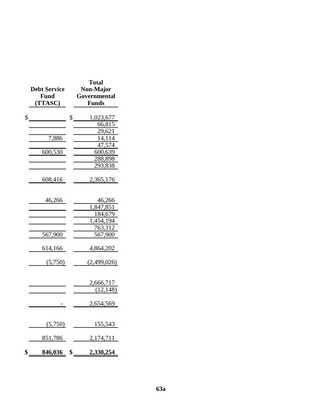| <b>Debt Service</b><br><b>Fund</b> | <b>Total</b><br><b>Non-Major</b><br>Governmental |
|------------------------------------|--------------------------------------------------|
| (TTASC)                            | <b>Funds</b>                                     |
| \$                                 | $\frac{1}{2}$<br>1,023,677                       |
|                                    | 66,815                                           |
|                                    | 29,621                                           |
| 7,886                              | 14,114                                           |
|                                    | 47,574                                           |
| 600,530                            | 600,639                                          |
|                                    | 288,898                                          |
|                                    | 293,838                                          |
| 608,416                            | 2,365,176                                        |
| 46,266                             | 46,266                                           |
|                                    | 1,847,851                                        |
|                                    | 184,679                                          |
|                                    | 1,454,194                                        |
|                                    | 763,312                                          |
| 567,900                            | 567,900                                          |
| 614,166                            | 4,864,202                                        |
| (5,750)                            | (2,499,026)                                      |
|                                    | 2,666,717                                        |
|                                    | (12, 148)                                        |
|                                    | 2,654,569                                        |
| (5,750)                            | 155,543                                          |
| <u>851,786</u>                     | <u>2,174,711</u>                                 |
| \$                                 | $846,036$ \$ 2,330,254                           |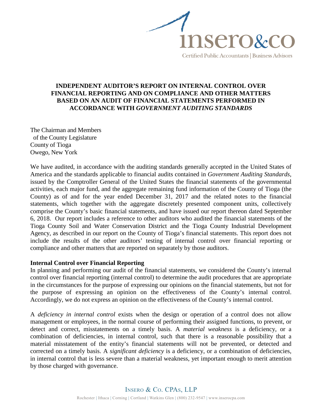

## **INDEPENDENT AUDITOR'S REPORT ON INTERNAL CONTROL OVER FINANCIAL REPORTING AND ON COMPLIANCE AND OTHER MATTERS BASED ON AN AUDIT OF FINANCIAL STATEMENTS PERFORMED IN ACCORDANCE WITH** *GOVERNMENT AUDITING STANDARDS*

The Chairman and Members of the County Legislature County of Tioga Owego, New York

We have audited, in accordance with the auditing standards generally accepted in the United States of America and the standards applicable to financial audits contained in *Government Auditing Standards*, issued by the Comptroller General of the United States the financial statements of the governmental activities, each major fund, and the aggregate remaining fund information of the County of Tioga (the County) as of and for the year ended December 31, 2017 and the related notes to the financial statements, which together with the aggregate discretely presented component units, collectively comprise the County's basic financial statements, and have issued our report thereon dated September 6, 2018. Our report includes a reference to other auditors who audited the financial statements of the Tioga County Soil and Water Conservation District and the Tioga County Industrial Development Agency, as described in our report on the County of Tioga's financial statements. This report does not include the results of the other auditors' testing of internal control over financial reporting or compliance and other matters that are reported on separately by those auditors.

## **Internal Control over Financial Reporting**

In planning and performing our audit of the financial statements, we considered the County's internal control over financial reporting (internal control) to determine the audit procedures that are appropriate in the circumstances for the purpose of expressing our opinions on the financial statements, but not for the purpose of expressing an opinion on the effectiveness of the County's internal control. Accordingly, we do not express an opinion on the effectiveness of the County's internal control.

A *deficiency in internal control* exists when the design or operation of a control does not allow management or employees, in the normal course of performing their assigned functions, to prevent, or detect and correct, misstatements on a timely basis. A *material weakness* is a deficiency, or a combination of deficiencies, in internal control, such that there is a reasonable possibility that a material misstatement of the entity's financial statements will not be prevented, or detected and corrected on a timely basis. A *significant deficiency* is a deficiency, or a combination of deficiencies, in internal control that is less severe than a material weakness, yet important enough to merit attention by those charged with governance.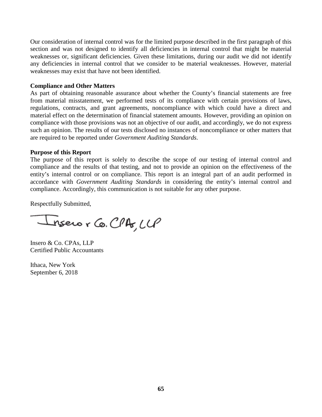Our consideration of internal control was for the limited purpose described in the first paragraph of this section and was not designed to identify all deficiencies in internal control that might be material weaknesses or, significant deficiencies. Given these limitations, during our audit we did not identify any deficiencies in internal control that we consider to be material weaknesses. However, material weaknesses may exist that have not been identified.

## **Compliance and Other Matters**

As part of obtaining reasonable assurance about whether the County's financial statements are free from material misstatement, we performed tests of its compliance with certain provisions of laws, regulations, contracts, and grant agreements, noncompliance with which could have a direct and material effect on the determination of financial statement amounts. However, providing an opinion on compliance with those provisions was not an objective of our audit, and accordingly, we do not express such an opinion. The results of our tests disclosed no instances of noncompliance or other matters that are required to be reported under *Government Auditing Standards*.

## **Purpose of this Report**

The purpose of this report is solely to describe the scope of our testing of internal control and compliance and the results of that testing, and not to provide an opinion on the effectiveness of the entity's internal control or on compliance. This report is an integral part of an audit performed in accordance with *Government Auditing Standards* in considering the entity's internal control and compliance. Accordingly, this communication is not suitable for any other purpose.

Respectfully Submitted,

Inseror Co. CPA, LLP

Insero & Co. CPAs, LLP Certified Public Accountants

Ithaca, New York September 6, 2018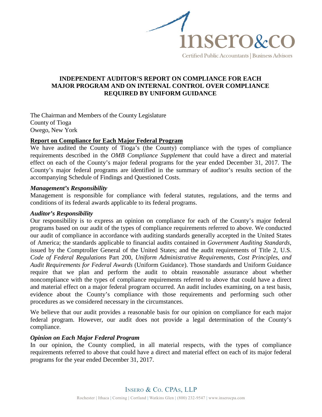

## **INDEPENDENT AUDITOR'S REPORT ON COMPLIANCE FOR EACH MAJOR PROGRAM AND ON INTERNAL CONTROL OVER COMPLIANCE REQUIRED BY UNIFORM GUIDANCE**

The Chairman and Members of the County Legislature County of Tioga Owego, New York

## **Report on Compliance for Each Major Federal Program**

We have audited the County of Tioga's (the County) compliance with the types of compliance requirements described in the *OMB Compliance Supplement* that could have a direct and material effect on each of the County's major federal programs for the year ended December 31, 2017. The County's major federal programs are identified in the summary of auditor's results section of the accompanying Schedule of Findings and Questioned Costs.

## *Management's Responsibility*

Management is responsible for compliance with federal statutes, regulations, and the terms and conditions of its federal awards applicable to its federal programs.

## *Auditor's Responsibility*

Our responsibility is to express an opinion on compliance for each of the County's major federal programs based on our audit of the types of compliance requirements referred to above. We conducted our audit of compliance in accordance with auditing standards generally accepted in the United States of America; the standards applicable to financial audits contained in *Government Auditing Standards*, issued by the Comptroller General of the United States; and the audit requirements of Title 2, U.S. *Code of Federal Regulations* Part 200, *Uniform Administrative Requirements, Cost Principles, and Audit Requirements for Federal Awards* (Uniform Guidance). Those standards and Uniform Guidance require that we plan and perform the audit to obtain reasonable assurance about whether noncompliance with the types of compliance requirements referred to above that could have a direct and material effect on a major federal program occurred. An audit includes examining, on a test basis, evidence about the County's compliance with those requirements and performing such other procedures as we considered necessary in the circumstances.

We believe that our audit provides a reasonable basis for our opinion on compliance for each major federal program. However, our audit does not provide a legal determination of the County's compliance.

## *Opinion on Each Major Federal Program*

In our opinion, the County complied, in all material respects, with the types of compliance requirements referred to above that could have a direct and material effect on each of its major federal programs for the year ended December 31, 2017.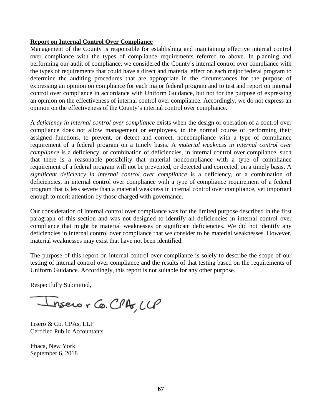## **Report on Internal Control Over Compliance**

Management of the County is responsible for establishing and maintaining effective internal control over compliance with the types of compliance requirements referred to above. In planning and performing our audit of compliance, we considered the County's internal control over compliance with the types of requirements that could have a direct and material effect on each major federal program to determine the auditing procedures that are appropriate in the circumstances for the purpose of expressing an opinion on compliance for each major federal program and to test and report on internal control over compliance in accordance with Uniform Guidance, but not for the purpose of expressing an opinion on the effectiveness of internal control over compliance. Accordingly, we do not express an opinion on the effectiveness of the County's internal control over compliance.

A *deficiency in internal control over compliance* exists when the design or operation of a control over compliance does not allow management or employees, in the normal course of performing their assigned functions, to prevent, or detect and correct, noncompliance with a type of compliance requirement of a federal program on a timely basis. A *material weakness in internal control over compliance* is a deficiency, or combination of deficiencies, in internal control over compliance, such that there is a reasonable possibility that material noncompliance with a type of compliance requirement of a federal program will not be prevented, or detected and corrected, on a timely basis. A *significant deficiency in internal control over compliance* is a deficiency, or a combination of deficiencies, in internal control over compliance with a type of compliance requirement of a federal program that is less severe than a material weakness in internal control over compliance, yet important enough to merit attention by those charged with governance.

Our consideration of internal control over compliance was for the limited purpose described in the first paragraph of this section and was not designed to identify all deficiencies in internal control over compliance that might be material weaknesses or significant deficiencies. We did not identify any deficiencies in internal control over compliance that we consider to be material weaknesses. However, material weaknesses may exist that have not been identified.

The purpose of this report on internal control over compliance is solely to describe the scope of our testing of internal control over compliance and the results of that testing based on the requirements of Uniform Guidance. Accordingly, this report is not suitable for any other purpose.

Respectfully Submitted,

 $M$ sero r Co. CP $A$ , LLP

Insero & Co. CPAs, LLP Certified Public Accountants

Ithaca, New York September 6, 2018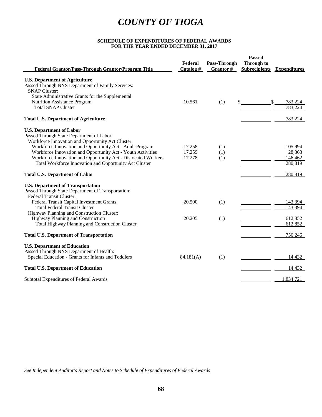#### **SCHEDULE OF EXPENDITURES OF FEDERAL AWARDS FOR THE YEAR ENDED DECEMBER 31, 2017**

|                                                                                                                                                                                                                                                                                                                                                                                                                                  | Federal                    | Pass-Through      | <b>Passed</b><br>Through to |                                                    |
|----------------------------------------------------------------------------------------------------------------------------------------------------------------------------------------------------------------------------------------------------------------------------------------------------------------------------------------------------------------------------------------------------------------------------------|----------------------------|-------------------|-----------------------------|----------------------------------------------------|
| <b>Federal Grantor/Pass-Through Grantor/Program Title</b>                                                                                                                                                                                                                                                                                                                                                                        | Catalog $#$                | Grantor#          | <b>Subrecipients</b>        | <b>Expenditures</b>                                |
| <b>U.S. Department of Agriculture</b><br>Passed Through NYS Department of Family Services:<br><b>SNAP Cluster:</b><br>State Administrative Grants for the Supplemental<br>Nutrition Assistance Program<br><b>Total SNAP Cluster</b>                                                                                                                                                                                              | 10.561                     | (1)               | \$<br>\$                    | 783,224<br>783,224                                 |
| <b>Total U.S. Department of Agriculture</b>                                                                                                                                                                                                                                                                                                                                                                                      |                            |                   |                             | 783,224                                            |
| <b>U.S. Department of Labor</b><br>Passed Through State Department of Labor:<br>Workforce Innovation and Opportunity Act Cluster:<br>Workforce Innovation and Opportunity Act - Adult Program<br>Workforce Innovation and Opportunity Act - Youth Activities<br>Workforce Innovation and Opportunity Act - Dislocated Workers<br>Total Workforce Innovation and Opportunity Act Cluster<br><b>Total U.S. Department of Labor</b> | 17.258<br>17.259<br>17.278 | (1)<br>(1)<br>(1) |                             | 105,994<br>28,363<br>146,462<br>280,819<br>280,819 |
|                                                                                                                                                                                                                                                                                                                                                                                                                                  |                            |                   |                             |                                                    |
| <b>U.S. Department of Transportation</b><br>Passed Through State Department of Transportation:<br>Federal Transit Cluster:<br>Federal Transit Capital Investment Grants<br><b>Total Federal Transit Cluster</b><br>Highway Planning and Construction Cluster:<br><b>Highway Planning and Construction</b><br><b>Total Highway Planning and Construction Cluster</b>                                                              | 20.500<br>20.205           | (1)<br>(1)        |                             | 143.394<br>143,394<br>612,852<br>612,852           |
| <b>Total U.S. Department of Transportation</b>                                                                                                                                                                                                                                                                                                                                                                                   |                            |                   |                             | 756,246                                            |
| <b>U.S. Department of Education</b><br>Passed Through NYS Department of Health:<br>Special Education - Grants for Infants and Toddlers                                                                                                                                                                                                                                                                                           | 84.181(A)                  | (1)               |                             | 14.432                                             |
| <b>Total U.S. Department of Education</b>                                                                                                                                                                                                                                                                                                                                                                                        |                            |                   |                             | 14,432                                             |
| Subtotal Expenditures of Federal Awards                                                                                                                                                                                                                                                                                                                                                                                          |                            |                   |                             | 1,834,721                                          |

*See Independent Auditor's Report and Notes to Schedule of Expenditures of Federal Awards*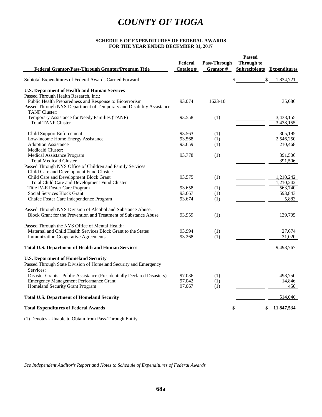#### **FOR THE YEAR ENDED DECEMBER 31, 2017 SCHEDULE OF EXPENDITURES OF FEDERAL AWARDS**

|                                                                         |           |              | <b>Passed</b>        |                     |
|-------------------------------------------------------------------------|-----------|--------------|----------------------|---------------------|
|                                                                         | Federal   | Pass-Through | Through to           |                     |
| <b>Federal Grantor/Pass-Through Grantor/Program Title</b>               | Catalog # | Grantor #    | <b>Subrecipients</b> | <b>Expenditures</b> |
| Subtotal Expenditures of Federal Awards Carried Forward                 |           |              | \$<br>\$             | 1,834,721           |
| <b>U.S. Department of Health and Human Services</b>                     |           |              |                      |                     |
| Passed Through Health Research, Inc.:                                   |           |              |                      |                     |
| Public Health Preparedness and Response to Bioterrorism                 | 93.074    | 1623-10      |                      | 35,086              |
| Passed Through NYS Department of Temporary and Disability Assistance:   |           |              |                      |                     |
| <b>TANF Cluster:</b>                                                    |           |              |                      |                     |
| Temporary Assistance for Needy Families (TANF)                          | 93.558    | (1)          |                      | 3,438,155           |
| <b>Total TANF Cluster</b>                                               |           |              |                      | 3,438,155           |
| <b>Child Support Enforcement</b>                                        | 93.563    | (1)          |                      | 305,195             |
| Low-income Home Energy Assistance                                       | 93.568    | (1)          |                      | 2,546,250           |
| <b>Adoption Assistance</b>                                              | 93.659    | (1)          |                      | 210,468             |
| Medicaid Cluster:                                                       |           |              |                      |                     |
| Medical Assistance Program                                              | 93.778    | (1)          |                      | 391,506             |
| <b>Total Medicaid Cluster</b>                                           |           |              |                      | 391,506             |
| Passed Through NYS Office of Children and Family Services:              |           |              |                      |                     |
| Child Care and Development Fund Cluster:                                |           |              |                      |                     |
| Child Care and Development Block Grant                                  | 93.575    | (1)          |                      | 1,210,242           |
| Total Child Care and Development Fund Cluster                           |           |              |                      | 1.210.242           |
| Title IV-E Foster Care Program                                          | 93.658    | (1)          |                      | 563,740             |
| Social Services Block Grant                                             | 93.667    | (1)          |                      | 593,843             |
| Chafee Foster Care Independence Program                                 | 93.674    | (1)          |                      | 5,883               |
| Passed Through NYS Division of Alcohol and Substance Abuse:             |           |              |                      |                     |
| Block Grant for the Prevention and Treatment of Substance Abuse         | 93.959    | (1)          |                      | 139,705             |
|                                                                         |           |              |                      |                     |
| Passed Through the NYS Office of Mental Health:                         |           |              |                      |                     |
| Maternal and Child Health Services Block Grant to the States            | 93.994    | (1)          |                      | 27.674              |
| <b>Immunization Cooperative Agreements</b>                              | 93.268    | (1)          |                      | 31,020              |
|                                                                         |           |              |                      |                     |
| <b>Total U.S. Department of Health and Human Services</b>               |           |              |                      | 9,498,767           |
| <b>U.S. Department of Homeland Security</b>                             |           |              |                      |                     |
| Passed Through State Division of Homeland Security and Emergency        |           |              |                      |                     |
| Services:                                                               |           |              |                      |                     |
| Disaster Grants - Public Assistance (Presidentially Declared Disasters) | 97.036    | (1)          |                      | 498.750             |
| <b>Emergency Management Performance Grant</b>                           | 97.042    | (1)          |                      | 14,846              |
| Homeland Security Grant Program                                         | 97.067    | (1)          |                      | 450                 |
| <b>Total U.S. Department of Homeland Security</b>                       |           |              |                      | 514,046             |
|                                                                         |           |              |                      |                     |
| <b>Total Expenditures of Federal Awards</b>                             |           |              |                      | 11,847,534          |

(1) Denotes - Unable to Obtain from Pass-Through Entity

*See Independent Auditor's Report and Notes to Schedule of Expenditures of Federal Awards*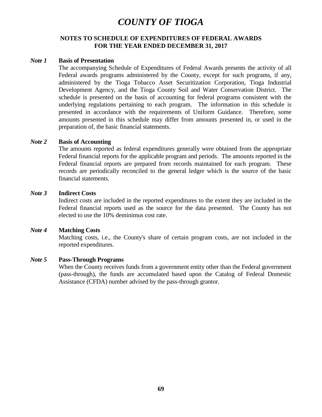## **NOTES TO SCHEDULE OF EXPENDITURES OF FEDERAL AWARDS FOR THE YEAR ENDED DECEMBER 31, 2017**

### *Note 1* **Basis of Presentation**

The accompanying Schedule of Expenditures of Federal Awards presents the activity of all Federal awards programs administered by the County, except for such programs, if any, administered by the Tioga Tobacco Asset Securitization Corporation, Tioga Industrial Development Agency, and the Tioga County Soil and Water Conservation District. The schedule is presented on the basis of accounting for federal programs consistent with the underlying regulations pertaining to each program. The information in this schedule is presented in accordance with the requirements of Uniform Guidance*.* Therefore, some amounts presented in this schedule may differ from amounts presented in, or used in the preparation of, the basic financial statements.

## *Note 2* **Basis of Accounting**

The amounts reported as federal expenditures generally were obtained from the appropriate Federal financial reports for the applicable program and periods. The amounts reported in the Federal financial reports are prepared from records maintained for each program. These records are periodically reconciled to the general ledger which is the source of the basic financial statements.

### *Note 3* **Indirect Costs**

Indirect costs are included in the reported expenditures to the extent they are included in the Federal financial reports used as the source for the data presented. The County has not elected to use the 10% deminimus cost rate.

## *Note 4* **Matching Costs**

Matching costs, i.e., the County's share of certain program costs, are not included in the reported expenditures.

## *Note 5* **Pass-Through Programs**

When the County receives funds from a government entity other than the Federal government (pass-through), the funds are accumulated based upon the Catalog of Federal Domestic Assistance (CFDA) number advised by the pass-through grantor.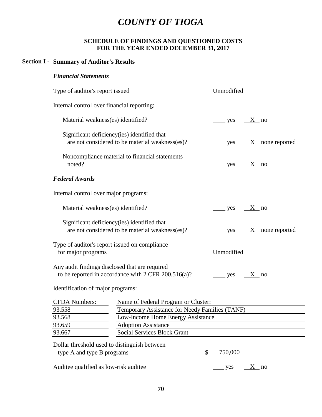## **SCHEDULE OF FINDINGS AND QUESTIONED COSTS FOR THE YEAR ENDED DECEMBER 31, 2017**

## **Section I - Summary of Auditor's Results**

## *Financial Statements*

| Type of auditor's report issued            |                                                                                                            | Unmodified                |
|--------------------------------------------|------------------------------------------------------------------------------------------------------------|---------------------------|
| Internal control over financial reporting: |                                                                                                            |                           |
| Material weakness(es) identified?          |                                                                                                            | $X$ no<br>yes             |
|                                            | Significant deficiency(ies) identified that<br>are not considered to be material weakness(es)?             | $X_$ none reported<br>yes |
| noted?                                     | Noncompliance material to financial statements                                                             | $X$ no<br>yes             |
| <b>Federal Awards</b>                      |                                                                                                            |                           |
| Internal control over major programs:      |                                                                                                            |                           |
| Material weakness(es) identified?          |                                                                                                            | $X$ no<br>yes             |
|                                            | Significant deficiency(ies) identified that<br>are not considered to be material weakness(es)?             | $X$ none reported<br>yes  |
| for major programs                         | Type of auditor's report issued on compliance                                                              | Unmodified                |
|                                            | Any audit findings disclosed that are required<br>to be reported in accordance with $2$ CFR $200.516(a)$ ? | $X$ no<br>yes             |
| Identification of major programs:          |                                                                                                            |                           |
| <b>CFDA Numbers:</b>                       | Name of Federal Program or Cluster:                                                                        |                           |
| 93.558                                     | Temporary Assistance for Needy Families (TANF)                                                             |                           |
| 93.568                                     | Low-Income Home Energy Assistance                                                                          |                           |
|                                            | <b>Adoption Assistance</b>                                                                                 |                           |
| 93.659<br>93.667                           | <b>Social Services Block Grant</b>                                                                         |                           |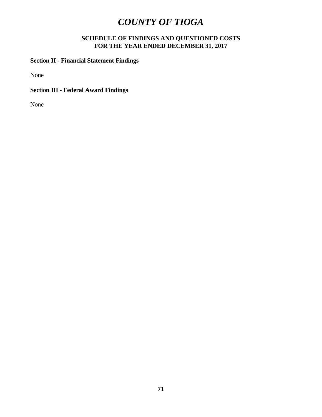## **SCHEDULE OF FINDINGS AND QUESTIONED COSTS FOR THE YEAR ENDED DECEMBER 31, 2017**

## **Section II - Financial Statement Findings**

None

## **Section III - Federal Award Findings**

None